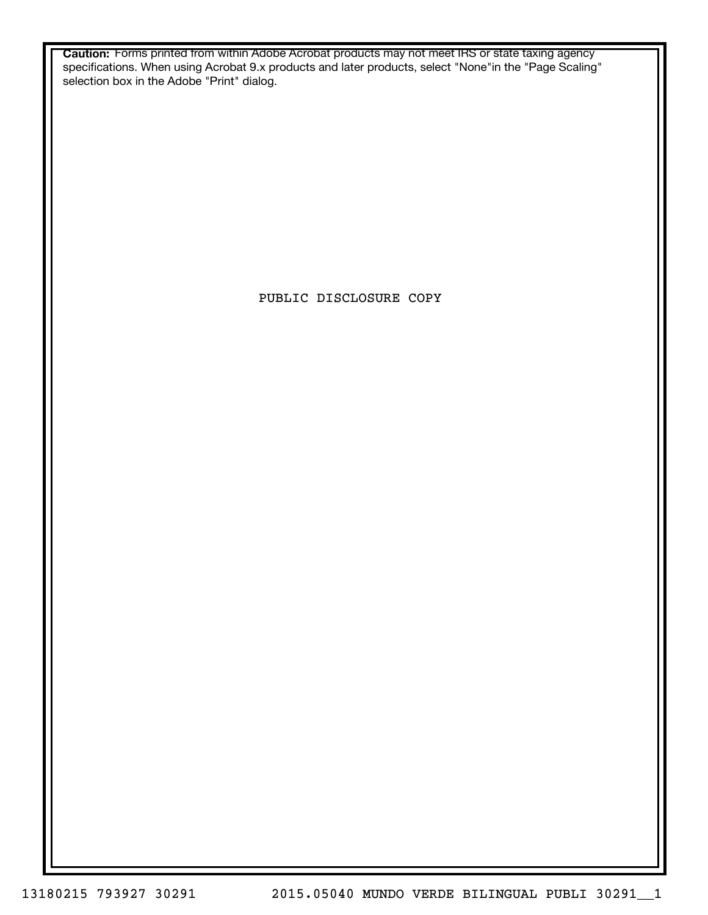**Caution:** Forms printed from within Adobe Acrobat products may not meet IRS or state taxing agency specifications. When using Acrobat 9.x products and later products, select "None"in the "Page Scaling" selection box in the Adobe "Print" dialog.

PUBLIC DISCLOSURE COPY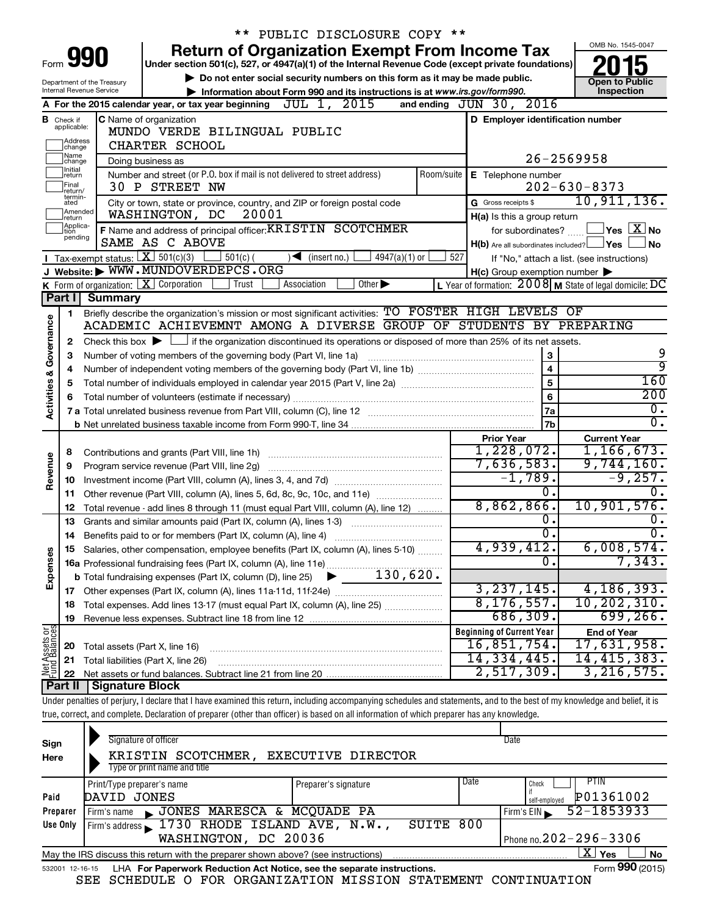|                         |                               |                                | ** PUBLIC DISCLOSURE COPY **                                                                                                                                               |                                                                                                                  |                                                           |
|-------------------------|-------------------------------|--------------------------------|----------------------------------------------------------------------------------------------------------------------------------------------------------------------------|------------------------------------------------------------------------------------------------------------------|-----------------------------------------------------------|
|                         |                               |                                | <b>Return of Organization Exempt From Income Tax</b>                                                                                                                       |                                                                                                                  | OMB No. 1545-0047                                         |
|                         |                               | Form 990                       | Under section 501(c), 527, or 4947(a)(1) of the Internal Revenue Code (except private foundations)                                                                         |                                                                                                                  |                                                           |
|                         |                               | Department of the Treasury     | Do not enter social security numbers on this form as it may be made public.                                                                                                |                                                                                                                  | <b>Open to Public</b>                                     |
|                         |                               | Internal Revenue Service       | Information about Form 990 and its instructions is at www.irs.gov/form990.                                                                                                 |                                                                                                                  | Inspection                                                |
|                         |                               |                                | A For the 2015 calendar year, or tax year beginning $JUL$ 1, $2015$                                                                                                        | and ending JUN 30, 2016                                                                                          |                                                           |
|                         | <b>B</b> Check if applicable: |                                | <b>C</b> Name of organization                                                                                                                                              | D Employer identification number                                                                                 |                                                           |
|                         | Address                       |                                | MUNDO VERDE BILINGUAL PUBLIC                                                                                                                                               |                                                                                                                  |                                                           |
|                         | change<br> Name               |                                | CHARTER SCHOOL                                                                                                                                                             |                                                                                                                  |                                                           |
|                         | change<br>Initial             | Doing business as              |                                                                                                                                                                            | 26-2569958                                                                                                       |                                                           |
|                         | return<br> Final              |                                | Number and street (or P.O. box if mail is not delivered to street address)                                                                                                 | Room/suite   E Telephone number                                                                                  |                                                           |
|                         | return/<br>termin-            |                                | 30 P STREET NW                                                                                                                                                             |                                                                                                                  | $202 - 630 - 8373$<br>10, 911, 136.                       |
|                         | ated<br>Amended               |                                | City or town, state or province, country, and ZIP or foreign postal code<br>20001                                                                                          | G Gross receipts \$                                                                                              |                                                           |
|                         | Ireturn<br>Applica-           |                                | WASHINGTON, DC                                                                                                                                                             | H(a) Is this a group return                                                                                      |                                                           |
|                         | tion<br>pending               |                                | F Name and address of principal officer: KRISTIN SCOTCHMER<br>SAME AS C ABOVE                                                                                              | for subordinates?                                                                                                | $\sqrt{}$ Yes $\left\lfloor \frac{X}{X} \right\rfloor$ No |
|                         |                               |                                | Tax-exempt status: $X \over 301(c)(3)$                                                                                                                                     | H(b) Are all subordinates included? Ves                                                                          | <b>No</b>                                                 |
|                         |                               |                                | $501(c)$ (<br>$\sqrt{\bullet}$ (insert no.)<br>$4947(a)(1)$ or<br>J Website: WWW.MUNDOVERDEPCS.ORG                                                                         | 527                                                                                                              | If "No," attach a list. (see instructions)                |
|                         |                               |                                | K Form of organization: $X$ Corporation<br>Other $\blacktriangleright$<br>Association<br>Trust                                                                             | $H(c)$ Group exemption number $\blacktriangleright$<br>L Year of formation: $2008$ M State of legal domicile: DC |                                                           |
|                         | Part I                        | <b>Summary</b>                 |                                                                                                                                                                            |                                                                                                                  |                                                           |
|                         | 1                             |                                | Briefly describe the organization's mission or most significant activities: TO FOSTER HIGH LEVELS OF                                                                       |                                                                                                                  |                                                           |
|                         |                               |                                | ACADEMIC ACHIEVEMNT AMONG A DIVERSE GROUP OF STUDENTS BY PREPARING                                                                                                         |                                                                                                                  |                                                           |
|                         | 2                             |                                | Check this box $\blacktriangleright$ $\Box$ if the organization discontinued its operations or disposed of more than 25% of its net assets.                                |                                                                                                                  |                                                           |
| Governance              | З                             |                                | Number of voting members of the governing body (Part VI, line 1a)                                                                                                          | 3                                                                                                                | 9                                                         |
|                         | 4                             |                                |                                                                                                                                                                            | $\overline{4}$                                                                                                   | ब्र                                                       |
| <b>Activities &amp;</b> | 5                             |                                |                                                                                                                                                                            | 5                                                                                                                | 160                                                       |
|                         | 6                             |                                |                                                                                                                                                                            | 6                                                                                                                | 200                                                       |
|                         |                               |                                |                                                                                                                                                                            | 7a                                                                                                               | $\overline{0}$ .                                          |
|                         |                               |                                |                                                                                                                                                                            | 7b                                                                                                               | $\overline{0}$ .                                          |
|                         |                               |                                |                                                                                                                                                                            | <b>Prior Year</b>                                                                                                | <b>Current Year</b>                                       |
|                         | 8                             |                                |                                                                                                                                                                            | 1,228,072.                                                                                                       | 1, 166, 673.                                              |
| Revenue                 | 9                             |                                | Program service revenue (Part VIII, line 2g)                                                                                                                               | 7,636,583.                                                                                                       | 9,744,160.                                                |
|                         | 10                            |                                |                                                                                                                                                                            | $-1,789.$                                                                                                        | $-9,257.$                                                 |
|                         | 11                            |                                | Other revenue (Part VIII, column (A), lines 5, 6d, 8c, 9c, 10c, and 11e)                                                                                                   | σ.                                                                                                               | $\overline{0}$ .                                          |
|                         | 12                            |                                | Total revenue - add lines 8 through 11 (must equal Part VIII, column (A), line 12)                                                                                         | 8,862,866.                                                                                                       | 10,901,576.                                               |
|                         | 13                            |                                | Grants and similar amounts paid (Part IX, column (A), lines 1-3)                                                                                                           | 0.                                                                                                               | $0$ .                                                     |
|                         | 14                            |                                |                                                                                                                                                                            | $\overline{0}$ .                                                                                                 | $\overline{0}$ .                                          |
|                         |                               |                                | Salaries, other compensation, employee benefits (Part IX, column (A), lines 5-10)                                                                                          | 4,939,412.                                                                                                       | 6,008,574.                                                |
|                         |                               |                                |                                                                                                                                                                            | $\overline{0}$ .                                                                                                 | 7,343.                                                    |
| Expenses                |                               |                                |                                                                                                                                                                            |                                                                                                                  |                                                           |
|                         |                               |                                |                                                                                                                                                                            | 3, 237, 145.                                                                                                     | 4, 186, 393.                                              |
|                         | 18                            |                                | Total expenses. Add lines 13-17 (must equal Part IX, column (A), line 25)                                                                                                  | 8, 176, 557.                                                                                                     | 10, 202, 310.                                             |
|                         | 19                            |                                |                                                                                                                                                                            | 686, 309.                                                                                                        | 699, 266.                                                 |
| Net Assets or           |                               |                                |                                                                                                                                                                            | <b>Beginning of Current Year</b><br>16,851,754.                                                                  | <b>End of Year</b>                                        |
|                         | 20                            | Total assets (Part X, line 16) |                                                                                                                                                                            | 14, 334, 445.                                                                                                    | 17,631,958.<br>14,415,383.                                |
|                         | 21                            |                                | Total liabilities (Part X, line 26)                                                                                                                                        | 2,517,309.                                                                                                       | 3, 216, 575.                                              |
|                         | 22<br><b>Part II</b>          | <b>Signature Block</b>         |                                                                                                                                                                            |                                                                                                                  |                                                           |
|                         |                               |                                | Under penalties of perjury, I declare that I have examined this return, including accompanying schedules and statements, and to the best of my knowledge and belief, it is |                                                                                                                  |                                                           |
|                         |                               |                                | true, correct, and complete. Declaration of preparer (other than officer) is based on all information of which preparer has any knowledge.                                 |                                                                                                                  |                                                           |
|                         |                               |                                |                                                                                                                                                                            |                                                                                                                  |                                                           |
|                         |                               |                                | Cianoturo of officer                                                                                                                                                       | Dotc                                                                                                             |                                                           |

| Sign<br>Here                                         | Signature of officer<br>Date<br><b>EXECUTIVE DIRECTOR</b><br>SCOTCHMER,<br>KRISTIN<br>Type or print name and title |                      |      |                            |  |  |  |  |  |  |
|------------------------------------------------------|--------------------------------------------------------------------------------------------------------------------|----------------------|------|----------------------------|--|--|--|--|--|--|
|                                                      | Print/Type preparer's name                                                                                         | Preparer's signature | Date | PTIN<br>Check              |  |  |  |  |  |  |
| Paid                                                 | DAVID JONES                                                                                                        |                      |      | P01361002<br>self-emploved |  |  |  |  |  |  |
| Preparer                                             | JONES MARESCA & MCQUADE PA<br>Firm's name                                                                          |                      |      | 52-1853933<br>Firm's $EIN$ |  |  |  |  |  |  |
| Use Only                                             | Firm's address 1730 RHODE ISLAND AVE, N.W.,                                                                        | SUITE 800            |      |                            |  |  |  |  |  |  |
| Phone no. $202 - 296 - 3306$<br>WASHINGTON, DC 20036 |                                                                                                                    |                      |      |                            |  |  |  |  |  |  |
|                                                      | $\mathbf{X}$ Yes<br>No<br>May the IRS discuss this return with the preparer shown above? (see instructions)        |                      |      |                            |  |  |  |  |  |  |
|                                                      | Form 990 (2015)<br>LHA For Paperwork Reduction Act Notice, see the separate instructions.<br>532001 12-16-15       |                      |      |                            |  |  |  |  |  |  |

SEE SCHEDULE O FOR ORGANIZATION MISSION STATEMENT CONTINUATION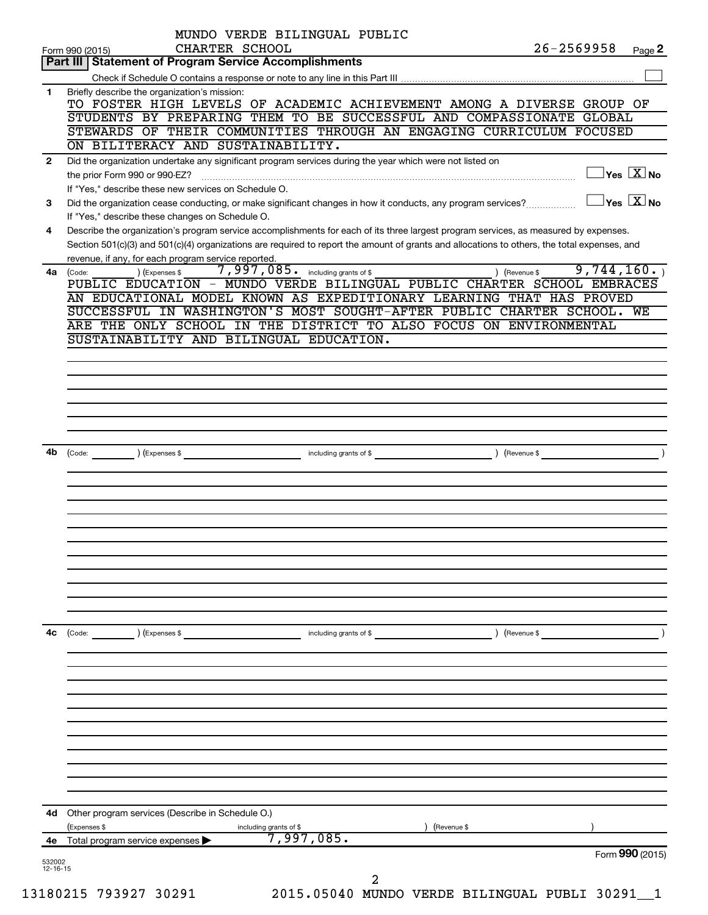| 4е             | 4d Other program services (Describe in Schedule O.)<br>(Expenses \$<br>(Revenue \$<br>including grants of \$<br>$\overline{7,997,085}$ .<br>Total program service expenses                                                                                                               | Form 990 (2015)                                                   |        |
|----------------|------------------------------------------------------------------------------------------------------------------------------------------------------------------------------------------------------------------------------------------------------------------------------------------|-------------------------------------------------------------------|--------|
|                |                                                                                                                                                                                                                                                                                          |                                                                   |        |
|                |                                                                                                                                                                                                                                                                                          |                                                                   |        |
|                |                                                                                                                                                                                                                                                                                          |                                                                   |        |
|                |                                                                                                                                                                                                                                                                                          |                                                                   |        |
|                |                                                                                                                                                                                                                                                                                          |                                                                   |        |
| 4c             | ) (Revenue \$<br>$\left(\text{Code:}\right)$ $\left(\text{Expenses $}\right)$<br>including grants of \$                                                                                                                                                                                  |                                                                   |        |
|                |                                                                                                                                                                                                                                                                                          |                                                                   |        |
|                |                                                                                                                                                                                                                                                                                          |                                                                   |        |
|                |                                                                                                                                                                                                                                                                                          |                                                                   |        |
| 4b             | Code: (Code: ) (Expenses \$ ) (Parameters of \$ ) (Revenue \$ ) (Revenue \$ ) (Revenue \$ ) (Revenue \$ ) (                                                                                                                                                                              |                                                                   |        |
|                |                                                                                                                                                                                                                                                                                          |                                                                   |        |
|                |                                                                                                                                                                                                                                                                                          |                                                                   |        |
|                | ARE THE ONLY SCHOOL IN THE DISTRICT TO ALSO FOCUS ON ENVIRONMENTAL<br>SUSTAINABILITY AND BILINGUAL EDUCATION.                                                                                                                                                                            |                                                                   |        |
|                | PUBLIC EDUCATION - MUNDO VERDE BILINGUAL PUBLIC CHARTER SCHOOL EMBRACES<br>AN EDUCATIONAL MODEL KNOWN AS EXPEDITIONARY LEARNING THAT HAS PROVED<br>SUCCESSFUL IN WASHINGTON'S MOST SOUGHT-AFTER PUBLIC CHARTER SCHOOL. WE                                                                |                                                                   |        |
|                | Section 501(c)(3) and 501(c)(4) organizations are required to report the amount of grants and allocations to others, the total expenses, and<br>revenue, if any, for each program service reported.<br>7,997,085. including grants of \$<br>) (Expenses \$<br>) (Revenue \$<br>4a (Code: | 9,744,160.                                                        |        |
| 4              | If "Yes," describe these changes on Schedule O.<br>Describe the organization's program service accomplishments for each of its three largest program services, as measured by expenses.                                                                                                  |                                                                   |        |
| 3              | If "Yes," describe these new services on Schedule O.<br>Did the organization cease conducting, or make significant changes in how it conducts, any program services?                                                                                                                     | $\Box$ Yes $[\overline{\mathrm{X}}]$ No<br>$\Box$ Yes $\Box X$ No |        |
| $\overline{2}$ | ON BILITERACY AND SUSTAINABILITY.<br>Did the organization undertake any significant program services during the year which were not listed on                                                                                                                                            |                                                                   |        |
|                | TO FOSTER HIGH LEVELS OF ACADEMIC ACHIEVEMENT AMONG A DIVERSE GROUP OF<br>STUDENTS BY PREPARING THEM TO BE SUCCESSFUL AND COMPASSIONATE GLOBAL<br>STEWARDS OF THEIR COMMUNITIES THROUGH AN ENGAGING CURRICULUM FOCUSED                                                                   |                                                                   |        |
| 1              | Briefly describe the organization's mission:                                                                                                                                                                                                                                             |                                                                   |        |
|                | CHARTER SCHOOL<br>Form 990 (2015)<br>Part III   Statement of Program Service Accomplishments                                                                                                                                                                                             | $26 - 2569958$                                                    | Page 2 |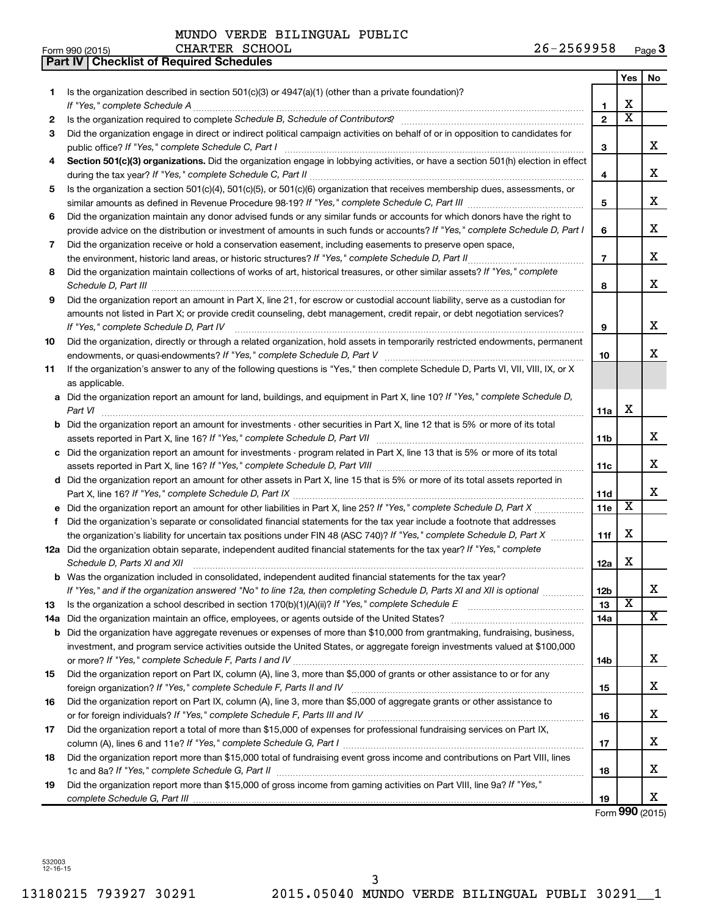|    | Part IV   Checklist of Required Schedules                                                                                                                                                                                           |                 |                         |                         |
|----|-------------------------------------------------------------------------------------------------------------------------------------------------------------------------------------------------------------------------------------|-----------------|-------------------------|-------------------------|
|    |                                                                                                                                                                                                                                     |                 | Yes                     | No                      |
| 1  | Is the organization described in section 501(c)(3) or $4947(a)(1)$ (other than a private foundation)?                                                                                                                               |                 |                         |                         |
|    |                                                                                                                                                                                                                                     | 1               | х                       |                         |
| 2  |                                                                                                                                                                                                                                     | $\overline{2}$  | $\overline{\textbf{x}}$ |                         |
| З  | Did the organization engage in direct or indirect political campaign activities on behalf of or in opposition to candidates for                                                                                                     |                 |                         |                         |
|    |                                                                                                                                                                                                                                     | 3               |                         | x                       |
| 4  | Section 501(c)(3) organizations. Did the organization engage in lobbying activities, or have a section 501(h) election in effect                                                                                                    |                 |                         |                         |
|    |                                                                                                                                                                                                                                     | 4               |                         | x                       |
| 5  | Is the organization a section 501(c)(4), 501(c)(5), or 501(c)(6) organization that receives membership dues, assessments, or                                                                                                        |                 |                         |                         |
|    |                                                                                                                                                                                                                                     | 5               |                         | x                       |
| 6  | Did the organization maintain any donor advised funds or any similar funds or accounts for which donors have the right to                                                                                                           |                 |                         |                         |
|    | provide advice on the distribution or investment of amounts in such funds or accounts? If "Yes," complete Schedule D, Part I                                                                                                        | 6               |                         | x                       |
| 7  | Did the organization receive or hold a conservation easement, including easements to preserve open space,                                                                                                                           |                 |                         |                         |
|    | the environment, historic land areas, or historic structures? If "Yes," complete Schedule D, Part II                                                                                                                                | $\overline{7}$  |                         | x                       |
| 8  | Did the organization maintain collections of works of art, historical treasures, or other similar assets? If "Yes," complete                                                                                                        |                 |                         |                         |
|    |                                                                                                                                                                                                                                     | 8               |                         | x                       |
|    |                                                                                                                                                                                                                                     |                 |                         |                         |
| 9  | Did the organization report an amount in Part X, line 21, for escrow or custodial account liability, serve as a custodian for                                                                                                       |                 |                         |                         |
|    | amounts not listed in Part X; or provide credit counseling, debt management, credit repair, or debt negotiation services?                                                                                                           |                 |                         | x                       |
|    | If "Yes," complete Schedule D, Part IV                                                                                                                                                                                              | 9               |                         |                         |
| 10 | Did the organization, directly or through a related organization, hold assets in temporarily restricted endowments, permanent                                                                                                       |                 |                         | x                       |
|    |                                                                                                                                                                                                                                     | 10              |                         |                         |
| 11 | If the organization's answer to any of the following questions is "Yes," then complete Schedule D, Parts VI, VII, VIII, IX, or X                                                                                                    |                 |                         |                         |
|    | as applicable.                                                                                                                                                                                                                      |                 |                         |                         |
|    | a Did the organization report an amount for land, buildings, and equipment in Part X, line 10? If "Yes," complete Schedule D,                                                                                                       |                 |                         |                         |
|    | Part VI                                                                                                                                                                                                                             | 11a             | х                       |                         |
|    | <b>b</b> Did the organization report an amount for investments - other securities in Part X, line 12 that is 5% or more of its total                                                                                                |                 |                         |                         |
|    |                                                                                                                                                                                                                                     | 11 <sub>b</sub> |                         | х                       |
|    | c Did the organization report an amount for investments - program related in Part X, line 13 that is 5% or more of its total                                                                                                        |                 |                         |                         |
|    |                                                                                                                                                                                                                                     | 11c             |                         | х                       |
|    | d Did the organization report an amount for other assets in Part X, line 15 that is 5% or more of its total assets reported in                                                                                                      |                 |                         |                         |
|    |                                                                                                                                                                                                                                     | 11d             |                         | х                       |
|    | e Did the organization report an amount for other liabilities in Part X, line 25? If "Yes," complete Schedule D, Part X                                                                                                             | 11e             | $\overline{\textbf{x}}$ |                         |
| f  | Did the organization's separate or consolidated financial statements for the tax year include a footnote that addresses                                                                                                             |                 |                         |                         |
|    | the organization's liability for uncertain tax positions under FIN 48 (ASC 740)? If "Yes," complete Schedule D, Part X                                                                                                              | 11f             | X                       |                         |
|    | 12a Did the organization obtain separate, independent audited financial statements for the tax year? If "Yes," complete                                                                                                             |                 |                         |                         |
|    | Schedule D, Parts XI and XII <b>continuum continuum continuum continuum continuum continuum continuum continuum</b> continuum continuum continuum continuum continuum continuum continuum continuum continuum continuum continuum c | 12a             | х                       |                         |
|    | b Was the organization included in consolidated, independent audited financial statements for the tax year?                                                                                                                         |                 |                         |                         |
|    | If "Yes," and if the organization answered "No" to line 12a, then completing Schedule D, Parts XI and XII is optional                                                                                                               | 12 <sub>b</sub> |                         | х                       |
| 13 |                                                                                                                                                                                                                                     | 13              | $\overline{\textbf{x}}$ |                         |
|    | 14a Did the organization maintain an office, employees, or agents outside of the United States?                                                                                                                                     | 14a             |                         | $\overline{\texttt{X}}$ |
|    | <b>b</b> Did the organization have aggregate revenues or expenses of more than \$10,000 from grantmaking, fundraising, business,                                                                                                    |                 |                         |                         |
|    | investment, and program service activities outside the United States, or aggregate foreign investments valued at \$100,000                                                                                                          |                 |                         |                         |
|    |                                                                                                                                                                                                                                     | 14 <sub>b</sub> |                         | x                       |
| 15 | Did the organization report on Part IX, column (A), line 3, more than \$5,000 of grants or other assistance to or for any                                                                                                           |                 |                         |                         |
|    |                                                                                                                                                                                                                                     | 15              |                         | x                       |
| 16 | Did the organization report on Part IX, column (A), line 3, more than \$5,000 of aggregate grants or other assistance to                                                                                                            |                 |                         |                         |
|    |                                                                                                                                                                                                                                     | 16              |                         | x                       |
| 17 | Did the organization report a total of more than \$15,000 of expenses for professional fundraising services on Part IX,                                                                                                             |                 |                         |                         |
|    |                                                                                                                                                                                                                                     | 17              |                         | x                       |
| 18 | Did the organization report more than \$15,000 total of fundraising event gross income and contributions on Part VIII, lines                                                                                                        |                 |                         |                         |
|    |                                                                                                                                                                                                                                     | 18              |                         | x                       |
| 19 | Did the organization report more than \$15,000 of gross income from gaming activities on Part VIII, line 9a? If "Yes,"                                                                                                              |                 |                         |                         |
|    |                                                                                                                                                                                                                                     | 19              |                         | x                       |

Form **990** (2015)

532003 12-16-15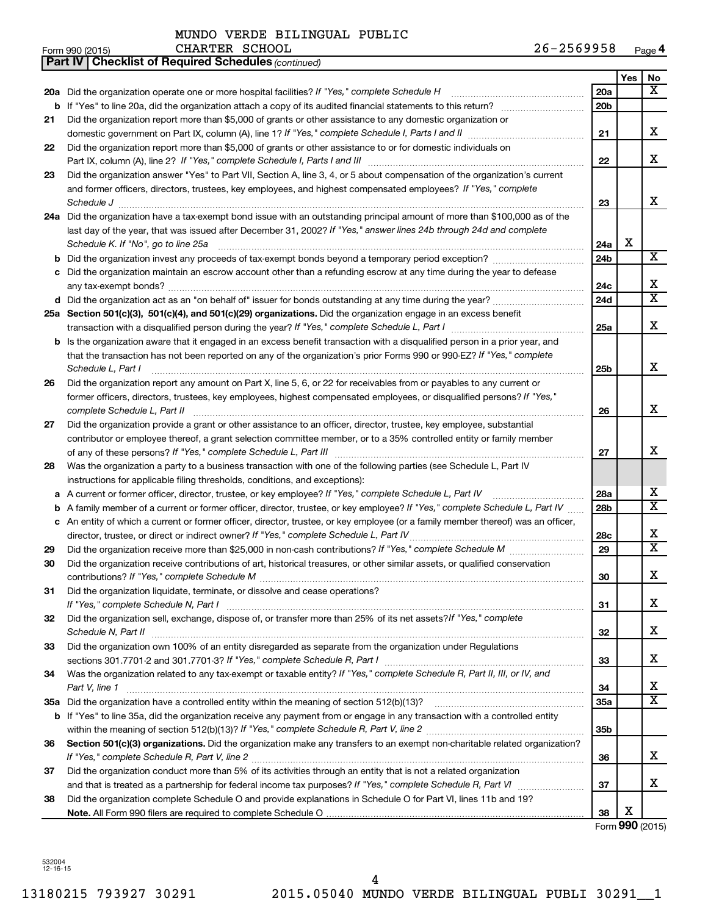|    | 26-2569958<br>CHARTER SCHOOL<br>Form 990 (2015)                                                                                                                                                                                                                                                                                                                                          |                 |     | Page 4                  |
|----|------------------------------------------------------------------------------------------------------------------------------------------------------------------------------------------------------------------------------------------------------------------------------------------------------------------------------------------------------------------------------------------|-----------------|-----|-------------------------|
|    | <b>Part IV   Checklist of Required Schedules (continued)</b>                                                                                                                                                                                                                                                                                                                             |                 |     |                         |
|    |                                                                                                                                                                                                                                                                                                                                                                                          |                 | Yes | No                      |
|    | 20a Did the organization operate one or more hospital facilities? If "Yes," complete Schedule H                                                                                                                                                                                                                                                                                          | 20a             |     | X                       |
| b  |                                                                                                                                                                                                                                                                                                                                                                                          | 20 <sub>b</sub> |     |                         |
| 21 | Did the organization report more than \$5,000 of grants or other assistance to any domestic organization or                                                                                                                                                                                                                                                                              |                 |     |                         |
|    |                                                                                                                                                                                                                                                                                                                                                                                          | 21              |     | x                       |
| 22 | Did the organization report more than \$5,000 of grants or other assistance to or for domestic individuals on                                                                                                                                                                                                                                                                            |                 |     |                         |
|    | Part IX, column (A), line 2? If "Yes," complete Schedule I, Parts I and III                                                                                                                                                                                                                                                                                                              | 22              |     | x                       |
| 23 | Did the organization answer "Yes" to Part VII, Section A, line 3, 4, or 5 about compensation of the organization's current                                                                                                                                                                                                                                                               |                 |     |                         |
|    | and former officers, directors, trustees, key employees, and highest compensated employees? If "Yes," complete                                                                                                                                                                                                                                                                           |                 |     |                         |
|    | $\textit{Schedule J} \textit{ \textbf{} \textbf{} \textbf{} \textbf{} \textbf{} \textbf{} \textbf{} \textbf{} \textbf{} \textbf{} \textbf{} \textbf{} \textbf{} \textbf{} \textbf{} \textbf{} \textbf{} \textbf{} \textbf{} \textbf{} \textbf{} \textbf{} \textbf{} \textbf{} \textbf{} \textbf{} \textbf{} \textbf{} \textbf{} \textbf{} \textbf{} \textbf{} \textbf{} \textbf{} \text$ | 23              |     | x                       |
|    | 24a Did the organization have a tax-exempt bond issue with an outstanding principal amount of more than \$100,000 as of the                                                                                                                                                                                                                                                              |                 |     |                         |
|    | last day of the year, that was issued after December 31, 2002? If "Yes," answer lines 24b through 24d and complete                                                                                                                                                                                                                                                                       |                 |     |                         |
|    | Schedule K. If "No", go to line 25a                                                                                                                                                                                                                                                                                                                                                      | 24a             | х   |                         |
|    |                                                                                                                                                                                                                                                                                                                                                                                          | 24b             |     | $\overline{X}$          |
|    | c Did the organization maintain an escrow account other than a refunding escrow at any time during the year to defease                                                                                                                                                                                                                                                                   |                 |     |                         |
|    |                                                                                                                                                                                                                                                                                                                                                                                          | 24c             |     | x                       |
|    |                                                                                                                                                                                                                                                                                                                                                                                          | 24d             |     | $\overline{\mathbf{x}}$ |
|    | 25a Section 501(c)(3), 501(c)(4), and 501(c)(29) organizations. Did the organization engage in an excess benefit                                                                                                                                                                                                                                                                         |                 |     |                         |
|    |                                                                                                                                                                                                                                                                                                                                                                                          | 25a             |     | x                       |
|    | <b>b</b> Is the organization aware that it engaged in an excess benefit transaction with a disqualified person in a prior year, and                                                                                                                                                                                                                                                      |                 |     |                         |
|    | that the transaction has not been reported on any of the organization's prior Forms 990 or 990-EZ? If "Yes," complete                                                                                                                                                                                                                                                                    |                 |     |                         |
|    | Schedule L, Part I                                                                                                                                                                                                                                                                                                                                                                       | 25b             |     | х                       |
| 26 | Did the organization report any amount on Part X, line 5, 6, or 22 for receivables from or payables to any current or                                                                                                                                                                                                                                                                    |                 |     |                         |
|    | former officers, directors, trustees, key employees, highest compensated employees, or disqualified persons? If "Yes,"                                                                                                                                                                                                                                                                   |                 |     |                         |
|    | complete Schedule L, Part II                                                                                                                                                                                                                                                                                                                                                             | 26              |     | х                       |
| 27 | Did the organization provide a grant or other assistance to an officer, director, trustee, key employee, substantial                                                                                                                                                                                                                                                                     |                 |     |                         |
|    | contributor or employee thereof, a grant selection committee member, or to a 35% controlled entity or family member                                                                                                                                                                                                                                                                      |                 |     |                         |
|    |                                                                                                                                                                                                                                                                                                                                                                                          | 27              |     | x                       |
| 28 | Was the organization a party to a business transaction with one of the following parties (see Schedule L, Part IV                                                                                                                                                                                                                                                                        |                 |     |                         |
|    | instructions for applicable filing thresholds, conditions, and exceptions):                                                                                                                                                                                                                                                                                                              |                 |     |                         |
|    | a A current or former officer, director, trustee, or key employee? If "Yes," complete Schedule L, Part IV                                                                                                                                                                                                                                                                                | 28a             |     | x                       |
|    | <b>b</b> A family member of a current or former officer, director, trustee, or key employee? If "Yes," complete Schedule L, Part IV                                                                                                                                                                                                                                                      | 28 <sub>b</sub> |     | $\overline{\mathbf{x}}$ |
|    | c An entity of which a current or former officer, director, trustee, or key employee (or a family member thereof) was an officer,                                                                                                                                                                                                                                                        |                 |     |                         |
|    | director, trustee, or direct or indirect owner? If "Yes," complete Schedule L, Part IV                                                                                                                                                                                                                                                                                                   | <b>28c</b>      |     | x                       |
| 29 |                                                                                                                                                                                                                                                                                                                                                                                          | 29              |     | $\overline{\mathbf{X}}$ |
|    | Did the organization receive contributions of art, historical treasures, or other similar assets, or qualified conservation                                                                                                                                                                                                                                                              |                 |     |                         |
|    |                                                                                                                                                                                                                                                                                                                                                                                          | 30              |     | х                       |
| 31 | Did the organization liquidate, terminate, or dissolve and cease operations?                                                                                                                                                                                                                                                                                                             |                 |     |                         |
|    |                                                                                                                                                                                                                                                                                                                                                                                          | 31              |     | x                       |
| 32 | Did the organization sell, exchange, dispose of, or transfer more than 25% of its net assets? If "Yes," complete                                                                                                                                                                                                                                                                         |                 |     |                         |
|    | Schedule N, Part II                                                                                                                                                                                                                                                                                                                                                                      | 32              |     | x                       |
| 33 | Did the organization own 100% of an entity disregarded as separate from the organization under Regulations                                                                                                                                                                                                                                                                               |                 |     |                         |
|    |                                                                                                                                                                                                                                                                                                                                                                                          | 33              |     | x                       |
| 34 | Was the organization related to any tax-exempt or taxable entity? If "Yes," complete Schedule R, Part II, III, or IV, and                                                                                                                                                                                                                                                                |                 |     |                         |
|    | Part V, line 1                                                                                                                                                                                                                                                                                                                                                                           | 34              |     | x                       |
|    |                                                                                                                                                                                                                                                                                                                                                                                          | 35a             |     | X                       |
|    | b If "Yes" to line 35a, did the organization receive any payment from or engage in any transaction with a controlled entity                                                                                                                                                                                                                                                              |                 |     |                         |
|    |                                                                                                                                                                                                                                                                                                                                                                                          | 35b             |     |                         |
| 36 | Section 501(c)(3) organizations. Did the organization make any transfers to an exempt non-charitable related organization?                                                                                                                                                                                                                                                               |                 |     |                         |
|    |                                                                                                                                                                                                                                                                                                                                                                                          | 36              |     | х                       |
| 37 | Did the organization conduct more than 5% of its activities through an entity that is not a related organization                                                                                                                                                                                                                                                                         |                 |     |                         |
|    |                                                                                                                                                                                                                                                                                                                                                                                          | 37              |     | x                       |
| 38 | Did the organization complete Schedule O and provide explanations in Schedule O for Part VI, lines 11b and 19?                                                                                                                                                                                                                                                                           |                 |     |                         |
|    |                                                                                                                                                                                                                                                                                                                                                                                          | 38              | х   |                         |
|    |                                                                                                                                                                                                                                                                                                                                                                                          |                 |     | Form 990 (2015)         |

532004 12-16-15

CHARTER SCHOOL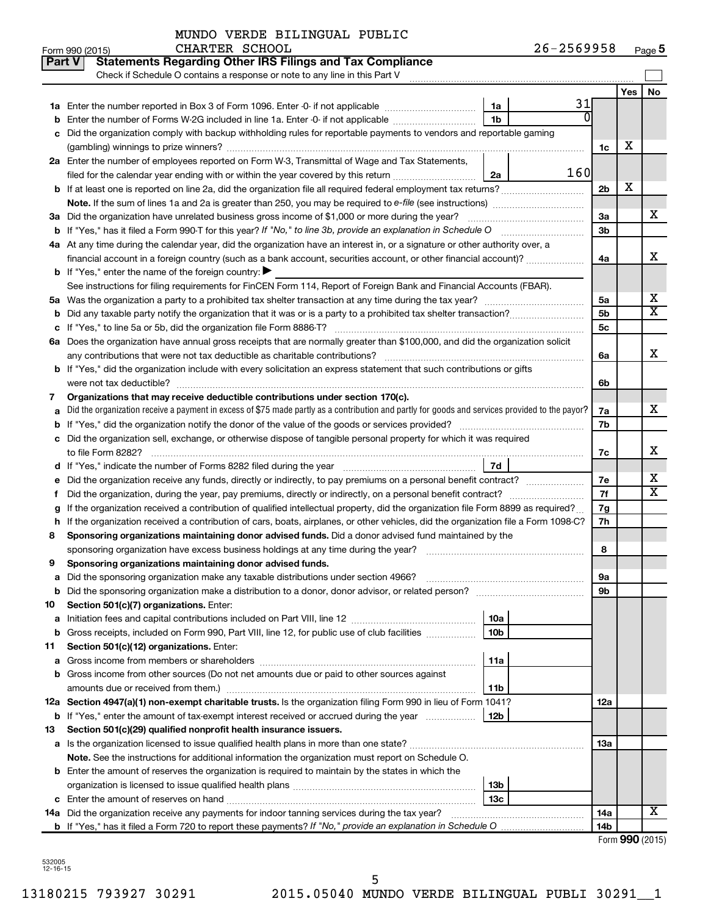| MUNDO VERDE BILINGUAL PUBLIC |  |
|------------------------------|--|
|------------------------------|--|

CHARTER SCHOOL

|    | <b>Statements Regarding Other IRS Filings and Tax Compliance</b><br>Part V<br>Check if Schedule O contains a response or note to any line in this Part V                        |                            |                        |            |                         |  |  |  |  |
|----|---------------------------------------------------------------------------------------------------------------------------------------------------------------------------------|----------------------------|------------------------|------------|-------------------------|--|--|--|--|
|    |                                                                                                                                                                                 |                            |                        |            |                         |  |  |  |  |
|    |                                                                                                                                                                                 | 31<br>1a                   |                        | <b>Yes</b> | No                      |  |  |  |  |
|    | Enter the number of Forms W-2G included in line 1a. Enter -0- if not applicable                                                                                                 | $\Omega$<br>1 <sub>b</sub> |                        |            |                         |  |  |  |  |
| с  | Did the organization comply with backup withholding rules for reportable payments to vendors and reportable gaming                                                              |                            |                        |            |                         |  |  |  |  |
|    |                                                                                                                                                                                 |                            | 1c                     | X          |                         |  |  |  |  |
|    | 2a Enter the number of employees reported on Form W-3, Transmittal of Wage and Tax Statements,                                                                                  |                            |                        |            |                         |  |  |  |  |
|    | filed for the calendar year ending with or within the year covered by this return                                                                                               | 160<br>2a                  |                        |            |                         |  |  |  |  |
| b  |                                                                                                                                                                                 |                            | 2 <sub>b</sub>         | х          |                         |  |  |  |  |
|    | Note. If the sum of lines 1a and 2a is greater than 250, you may be required to e-file (see instructions) <i>managererigion</i> ,                                               |                            |                        |            |                         |  |  |  |  |
|    | 3a Did the organization have unrelated business gross income of \$1,000 or more during the year?                                                                                |                            | За                     |            | х                       |  |  |  |  |
|    | <b>b</b> If "Yes," has it filed a Form 990-T for this year? If "No," to line 3b, provide an explanation in Schedule O manumum                                                   |                            | 3 <sub>b</sub>         |            |                         |  |  |  |  |
|    | 4a At any time during the calendar year, did the organization have an interest in, or a signature or other authority over, a                                                    |                            |                        |            |                         |  |  |  |  |
|    | financial account in a foreign country (such as a bank account, securities account, or other financial account)?                                                                |                            |                        |            |                         |  |  |  |  |
|    | <b>b</b> If "Yes," enter the name of the foreign country: $\blacktriangleright$                                                                                                 |                            |                        |            |                         |  |  |  |  |
|    | See instructions for filing requirements for FinCEN Form 114, Report of Foreign Bank and Financial Accounts (FBAR).                                                             |                            |                        |            |                         |  |  |  |  |
|    |                                                                                                                                                                                 |                            | 5a                     |            | х                       |  |  |  |  |
| b  |                                                                                                                                                                                 |                            | 5 <sub>b</sub>         |            | $\overline{\textbf{x}}$ |  |  |  |  |
| с  |                                                                                                                                                                                 |                            | 5 <sub>c</sub>         |            |                         |  |  |  |  |
|    | 6a Does the organization have annual gross receipts that are normally greater than \$100,000, and did the organization solicit                                                  |                            |                        |            |                         |  |  |  |  |
|    |                                                                                                                                                                                 |                            | 6a                     |            | X                       |  |  |  |  |
|    | <b>b</b> If "Yes," did the organization include with every solicitation an express statement that such contributions or gifts                                                   |                            |                        |            |                         |  |  |  |  |
|    |                                                                                                                                                                                 |                            | 6b                     |            |                         |  |  |  |  |
| 7  | Organizations that may receive deductible contributions under section 170(c).                                                                                                   |                            |                        |            |                         |  |  |  |  |
|    | Did the organization receive a payment in excess of \$75 made partly as a contribution and partly for goods and services provided to the payor?<br>a                            |                            |                        |            |                         |  |  |  |  |
|    |                                                                                                                                                                                 |                            |                        |            |                         |  |  |  |  |
|    | Did the organization sell, exchange, or otherwise dispose of tangible personal property for which it was required<br>с                                                          |                            |                        |            |                         |  |  |  |  |
|    |                                                                                                                                                                                 | 7d                         | 7с                     |            | X                       |  |  |  |  |
| е  | d If "Yes," indicate the number of Forms 8282 filed during the year manufactured in the set of the number of Forms 8282 filed during the year manufactured in the substitution. |                            | 7е                     |            | х                       |  |  |  |  |
|    | Did the organization, during the year, pay premiums, directly or indirectly, on a personal benefit contract?                                                                    |                            | 7f                     |            | $\overline{\textbf{x}}$ |  |  |  |  |
| g  | If the organization received a contribution of qualified intellectual property, did the organization file Form 8899 as required?                                                |                            | 7g                     |            |                         |  |  |  |  |
| h  | If the organization received a contribution of cars, boats, airplanes, or other vehicles, did the organization file a Form 1098-C?                                              |                            | 7h                     |            |                         |  |  |  |  |
| 8  | Sponsoring organizations maintaining donor advised funds. Did a donor advised fund maintained by the                                                                            |                            |                        |            |                         |  |  |  |  |
|    |                                                                                                                                                                                 |                            | 8                      |            |                         |  |  |  |  |
| 9  | Sponsoring organizations maintaining donor advised funds.                                                                                                                       |                            |                        |            |                         |  |  |  |  |
|    |                                                                                                                                                                                 |                            | 9а                     |            |                         |  |  |  |  |
| b  | Did the sponsoring organization make a distribution to a donor, donor advisor, or related person?                                                                               |                            | 9b                     |            |                         |  |  |  |  |
| 10 | Section 501(c)(7) organizations. Enter:                                                                                                                                         |                            |                        |            |                         |  |  |  |  |
| а  |                                                                                                                                                                                 | 10a                        |                        |            |                         |  |  |  |  |
| b  | Gross receipts, included on Form 990, Part VIII, line 12, for public use of club facilities                                                                                     | 10 <sub>b</sub>            |                        |            |                         |  |  |  |  |
| 11 | Section 501(c)(12) organizations. Enter:                                                                                                                                        |                            |                        |            |                         |  |  |  |  |
| а  |                                                                                                                                                                                 | 11a                        |                        |            |                         |  |  |  |  |
| b  | Gross income from other sources (Do not net amounts due or paid to other sources against                                                                                        |                            |                        |            |                         |  |  |  |  |
|    | amounts due or received from them.)                                                                                                                                             | 11b                        |                        |            |                         |  |  |  |  |
|    | 12a Section 4947(a)(1) non-exempt charitable trusts. Is the organization filing Form 990 in lieu of Form 1041?                                                                  |                            | 12a                    |            |                         |  |  |  |  |
|    | <b>b</b> If "Yes," enter the amount of tax-exempt interest received or accrued during the year                                                                                  | 12 <sub>b</sub>            |                        |            |                         |  |  |  |  |
| 13 | Section 501(c)(29) qualified nonprofit health insurance issuers.                                                                                                                |                            |                        |            |                         |  |  |  |  |
|    | a Is the organization licensed to issue qualified health plans in more than one state?                                                                                          |                            | 13a                    |            |                         |  |  |  |  |
|    | Note. See the instructions for additional information the organization must report on Schedule O.                                                                               |                            |                        |            |                         |  |  |  |  |
|    | <b>b</b> Enter the amount of reserves the organization is required to maintain by the states in which the                                                                       |                            |                        |            |                         |  |  |  |  |
|    |                                                                                                                                                                                 | 13 <sub>b</sub>            |                        |            |                         |  |  |  |  |
|    | <b>c</b> Enter the amount of reserves on hand                                                                                                                                   | 13 <sub>c</sub>            |                        |            | х                       |  |  |  |  |
|    | 14a Did the organization receive any payments for indoor tanning services during the tax year?                                                                                  |                            | 14a<br>14 <sub>b</sub> |            |                         |  |  |  |  |
|    |                                                                                                                                                                                 |                            |                        |            |                         |  |  |  |  |

| Form 990 (2015) |  |
|-----------------|--|
|-----------------|--|

532005 12-16-15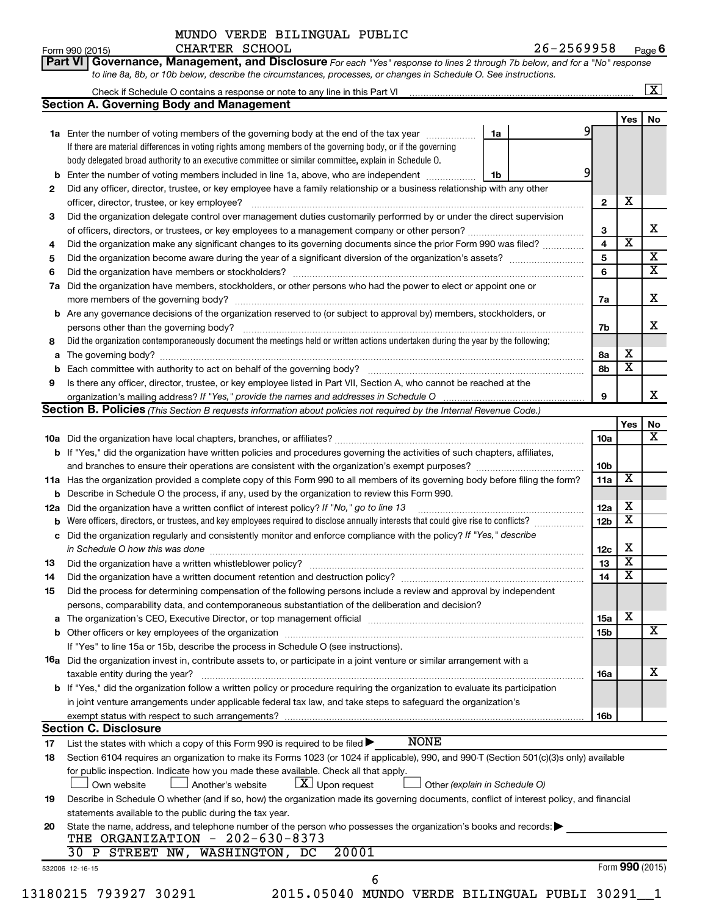**Part VI** Governance, Management, and Disclosure For each "Yes" response to lines 2 through 7b below, and for a "No" response *to line 8a, 8b, or 10b below, describe the circumstances, processes, or changes in Schedule O. See instructions.*

| b<br>2<br>3 | <b>Section A. Governing Body and Management</b><br>1a Enter the number of voting members of the governing body at the end of the tax year <i>manumum</i><br>If there are material differences in voting rights among members of the governing body, or if the governing<br>body delegated broad authority to an executive committee or similar committee, explain in Schedule O. | 1a | 91                      | Yes                     | No                      |
|-------------|----------------------------------------------------------------------------------------------------------------------------------------------------------------------------------------------------------------------------------------------------------------------------------------------------------------------------------------------------------------------------------|----|-------------------------|-------------------------|-------------------------|
|             |                                                                                                                                                                                                                                                                                                                                                                                  |    |                         |                         |                         |
|             |                                                                                                                                                                                                                                                                                                                                                                                  |    |                         |                         |                         |
|             |                                                                                                                                                                                                                                                                                                                                                                                  |    |                         |                         |                         |
|             |                                                                                                                                                                                                                                                                                                                                                                                  |    |                         |                         |                         |
|             |                                                                                                                                                                                                                                                                                                                                                                                  |    |                         |                         |                         |
|             | Enter the number of voting members included in line 1a, above, who are independent <i>manumum</i>                                                                                                                                                                                                                                                                                | 1b | 9                       |                         |                         |
|             | Did any officer, director, trustee, or key employee have a family relationship or a business relationship with any other                                                                                                                                                                                                                                                         |    |                         |                         |                         |
|             | officer, director, trustee, or key employee?                                                                                                                                                                                                                                                                                                                                     |    | $\mathbf{2}$            | X                       |                         |
|             | Did the organization delegate control over management duties customarily performed by or under the direct supervision                                                                                                                                                                                                                                                            |    |                         |                         |                         |
|             |                                                                                                                                                                                                                                                                                                                                                                                  |    | 3                       |                         | x                       |
| 4           | Did the organization make any significant changes to its governing documents since the prior Form 990 was filed?                                                                                                                                                                                                                                                                 |    | $\overline{\mathbf{4}}$ | $\overline{\mathbf{x}}$ |                         |
| 5           |                                                                                                                                                                                                                                                                                                                                                                                  |    | 5                       |                         | $\overline{\mathbf{X}}$ |
| 6           |                                                                                                                                                                                                                                                                                                                                                                                  |    | 6                       |                         | $\overline{\mathtt{x}}$ |
| 7a          | Did the organization have members, stockholders, or other persons who had the power to elect or appoint one or                                                                                                                                                                                                                                                                   |    |                         |                         |                         |
|             |                                                                                                                                                                                                                                                                                                                                                                                  |    |                         |                         | х                       |
|             |                                                                                                                                                                                                                                                                                                                                                                                  |    | 7а                      |                         |                         |
| b           | Are any governance decisions of the organization reserved to (or subject to approval by) members, stockholders, or                                                                                                                                                                                                                                                               |    |                         |                         |                         |
|             |                                                                                                                                                                                                                                                                                                                                                                                  |    | 7b                      |                         | х                       |
| 8           | Did the organization contemporaneously document the meetings held or written actions undertaken during the year by the following:                                                                                                                                                                                                                                                |    |                         |                         |                         |
| а           |                                                                                                                                                                                                                                                                                                                                                                                  |    | 8а                      | х                       |                         |
| b           |                                                                                                                                                                                                                                                                                                                                                                                  |    | 8b                      | $\overline{\mathbf{x}}$ |                         |
| 9           | Is there any officer, director, trustee, or key employee listed in Part VII, Section A, who cannot be reached at the                                                                                                                                                                                                                                                             |    |                         |                         |                         |
|             |                                                                                                                                                                                                                                                                                                                                                                                  |    | 9                       |                         | x                       |
|             | <b>Section B. Policies</b> (This Section B requests information about policies not required by the Internal Revenue Code.)                                                                                                                                                                                                                                                       |    |                         |                         |                         |
|             |                                                                                                                                                                                                                                                                                                                                                                                  |    |                         | Yes                     | No                      |
|             |                                                                                                                                                                                                                                                                                                                                                                                  |    | 10a                     |                         | $\overline{\mathbf{X}}$ |
|             | <b>b</b> If "Yes," did the organization have written policies and procedures governing the activities of such chapters, affiliates,                                                                                                                                                                                                                                              |    |                         |                         |                         |
|             |                                                                                                                                                                                                                                                                                                                                                                                  |    | 10 <sub>b</sub>         |                         |                         |
|             | 11a Has the organization provided a complete copy of this Form 990 to all members of its governing body before filing the form?                                                                                                                                                                                                                                                  |    | 11a                     | х                       |                         |
| b           | Describe in Schedule O the process, if any, used by the organization to review this Form 990.                                                                                                                                                                                                                                                                                    |    |                         |                         |                         |
| 12a         | Did the organization have a written conflict of interest policy? If "No," go to line 13                                                                                                                                                                                                                                                                                          |    | 12a                     | X                       |                         |
| b           | Were officers, directors, or trustees, and key employees required to disclose annually interests that could give rise to conflicts?                                                                                                                                                                                                                                              |    | 12 <sub>b</sub>         | $\overline{\textbf{x}}$ |                         |
| с           | Did the organization regularly and consistently monitor and enforce compliance with the policy? If "Yes," describe                                                                                                                                                                                                                                                               |    |                         |                         |                         |
|             |                                                                                                                                                                                                                                                                                                                                                                                  |    | 12c                     | х                       |                         |
| 13          |                                                                                                                                                                                                                                                                                                                                                                                  |    | 13                      | $\overline{\mathbf{x}}$ |                         |
| 14          |                                                                                                                                                                                                                                                                                                                                                                                  |    | 14                      | $\overline{\mathbf{x}}$ |                         |
| 15          | Did the process for determining compensation of the following persons include a review and approval by independent                                                                                                                                                                                                                                                               |    |                         |                         |                         |
|             | persons, comparability data, and contemporaneous substantiation of the deliberation and decision?                                                                                                                                                                                                                                                                                |    |                         |                         |                         |
|             |                                                                                                                                                                                                                                                                                                                                                                                  |    |                         | х                       |                         |
| а           | The organization's CEO, Executive Director, or top management official manufactured content content of the organization's CEO, Executive Director, or top management official manufactured content of the organization's                                                                                                                                                         |    | <b>15a</b>              |                         | x                       |
|             |                                                                                                                                                                                                                                                                                                                                                                                  |    | <b>15b</b>              |                         |                         |
|             | If "Yes" to line 15a or 15b, describe the process in Schedule O (see instructions).                                                                                                                                                                                                                                                                                              |    |                         |                         |                         |
|             | 16a Did the organization invest in, contribute assets to, or participate in a joint venture or similar arrangement with a                                                                                                                                                                                                                                                        |    |                         |                         |                         |
|             | taxable entity during the year?                                                                                                                                                                                                                                                                                                                                                  |    | 16a                     |                         | х                       |
|             | b If "Yes," did the organization follow a written policy or procedure requiring the organization to evaluate its participation                                                                                                                                                                                                                                                   |    |                         |                         |                         |
|             | in joint venture arrangements under applicable federal tax law, and take steps to safeguard the organization's                                                                                                                                                                                                                                                                   |    |                         |                         |                         |
|             | exempt status with respect to such arrangements?                                                                                                                                                                                                                                                                                                                                 |    | 16 <sub>b</sub>         |                         |                         |
|             | <b>Section C. Disclosure</b>                                                                                                                                                                                                                                                                                                                                                     |    |                         |                         |                         |
| 17          | <b>NONE</b><br>List the states with which a copy of this Form 990 is required to be filed $\blacktriangleright$                                                                                                                                                                                                                                                                  |    |                         |                         |                         |
| 18          | Section 6104 requires an organization to make its Forms 1023 (or 1024 if applicable), 990, and 990-T (Section 501(c)(3)s only) available                                                                                                                                                                                                                                         |    |                         |                         |                         |
|             | for public inspection. Indicate how you made these available. Check all that apply.                                                                                                                                                                                                                                                                                              |    |                         |                         |                         |
|             | $\lfloor x \rfloor$ Upon request<br>Other (explain in Schedule O)<br>Own website<br>Another's website                                                                                                                                                                                                                                                                            |    |                         |                         |                         |
| 19          | Describe in Schedule O whether (and if so, how) the organization made its governing documents, conflict of interest policy, and financial                                                                                                                                                                                                                                        |    |                         |                         |                         |
|             | statements available to the public during the tax year.                                                                                                                                                                                                                                                                                                                          |    |                         |                         |                         |
| 20          | State the name, address, and telephone number of the person who possesses the organization's books and records:                                                                                                                                                                                                                                                                  |    |                         |                         |                         |
|             | THE ORGANIZATION - 202-630-8373                                                                                                                                                                                                                                                                                                                                                  |    |                         |                         |                         |
|             | 30 P STREET NW, WASHINGTON, DC<br>20001                                                                                                                                                                                                                                                                                                                                          |    |                         |                         |                         |
|             |                                                                                                                                                                                                                                                                                                                                                                                  |    |                         |                         |                         |
|             |                                                                                                                                                                                                                                                                                                                                                                                  |    |                         |                         |                         |
|             | 532006 12-16-15<br>6                                                                                                                                                                                                                                                                                                                                                             |    |                         | Form 990 (2015)         |                         |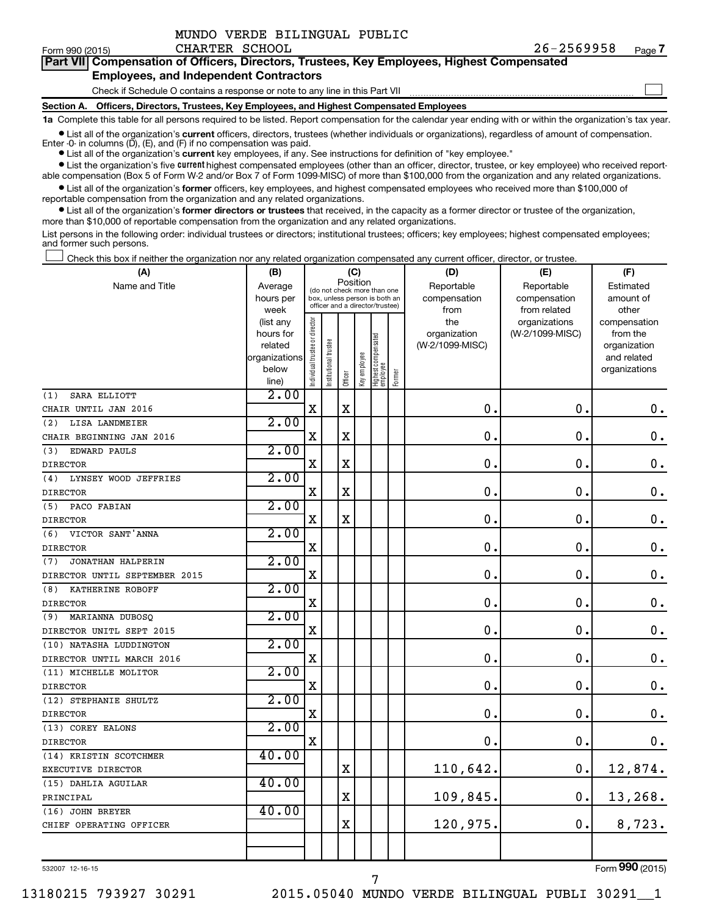|  | MUNDO VERDE BILINGUAL PUBLIC |  |
|--|------------------------------|--|
|  |                              |  |

 $\Box$ 

| Part VII Compensation of Officers, Directors, Trustees, Key Employees, Highest Compensated |
|--------------------------------------------------------------------------------------------|
| <b>Employees, and Independent Contractors</b>                                              |

Check if Schedule O contains a response or note to any line in this Part VII

**Section A. Officers, Directors, Trustees, Key Employees, and Highest Compensated Employees**

**1a**  Complete this table for all persons required to be listed. Report compensation for the calendar year ending with or within the organization's tax year.

 $\bullet$  List all of the organization's current officers, directors, trustees (whether individuals or organizations), regardless of amount of compensation.

**•** List all of the organization's **current** key employees, if any. See instructions for definition of "key employee." Enter -0- in columns  $(D)$ ,  $(E)$ , and  $(F)$  if no compensation was paid.

**•** List the organization's five current highest compensated employees (other than an officer, director, trustee, or key employee) who received report-

**•** List all of the organization's former officers, key employees, and highest compensated employees who received more than \$100,000 of able compensation (Box 5 of Form W-2 and/or Box 7 of Form 1099-MISC) of more than \$100,000 from the organization and any related organizations. reportable compensation from the organization and any related organizations.

**•** List all of the organization's former directors or trustees that received, in the capacity as a former director or trustee of the organization, more than \$10,000 of reportable compensation from the organization and any related organizations.

List persons in the following order: individual trustees or directors; institutional trustees; officers; key employees; highest compensated employees; and former such persons.

Check this box if neither the organization nor any related organization compensated any current officer, director, or trustee.  $\Box$ 

| (A)                           | (B)                  |                                |                      |             | (C)                                                              |                                 |        | (D)                             | (E)             | (F)                         |
|-------------------------------|----------------------|--------------------------------|----------------------|-------------|------------------------------------------------------------------|---------------------------------|--------|---------------------------------|-----------------|-----------------------------|
| Name and Title                | Average              | (do not check more than one    |                      |             | Position                                                         |                                 |        | Reportable                      | Reportable      | Estimated                   |
|                               | hours per            |                                |                      |             | box, unless person is both an<br>officer and a director/trustee) |                                 |        | compensation                    | compensation    | amount of                   |
|                               | week                 |                                |                      |             |                                                                  |                                 |        | from                            | from related    | other                       |
|                               | (list any            |                                |                      |             |                                                                  |                                 |        | the                             | organizations   | compensation                |
|                               | hours for<br>related |                                |                      |             |                                                                  |                                 |        | organization<br>(W-2/1099-MISC) | (W-2/1099-MISC) | from the                    |
|                               | organizations        |                                |                      |             |                                                                  |                                 |        |                                 |                 | organization<br>and related |
|                               | below                |                                |                      |             |                                                                  |                                 |        |                                 |                 | organizations               |
|                               | line)                | Individual trustee or director | nstitutional trustee | Officer     | Key employee                                                     | Highest compensated<br>employee | Former |                                 |                 |                             |
| SARA ELLIOTT<br>(1)           | 2.00                 |                                |                      |             |                                                                  |                                 |        |                                 |                 |                             |
| CHAIR UNTIL JAN 2016          |                      | $\mathbf X$                    |                      | $\mathbf X$ |                                                                  |                                 |        | 0.                              | $\mathbf 0$     | $\mathbf 0$ .               |
| (2)<br>LISA LANDMEIER         | 2.00                 |                                |                      |             |                                                                  |                                 |        |                                 |                 |                             |
| CHAIR BEGINNING JAN 2016      |                      | $\mathbf X$                    |                      | $\mathbf X$ |                                                                  |                                 |        | $\mathbf 0$                     | $\mathbf 0$     | $\mathbf 0$ .               |
| (3)<br>EDWARD PAULS           | 2.00                 |                                |                      |             |                                                                  |                                 |        |                                 |                 |                             |
| <b>DIRECTOR</b>               |                      | $\mathbf X$                    |                      | $\rm X$     |                                                                  |                                 |        | $\mathbf 0$                     | $\mathbf 0$     | $\mathbf 0$ .               |
| LYNSEY WOOD JEFFRIES<br>(4)   | 2.00                 |                                |                      |             |                                                                  |                                 |        |                                 |                 |                             |
| <b>DIRECTOR</b>               |                      | $\mathbf X$                    |                      | $\mathbf X$ |                                                                  |                                 |        | $\mathbf 0$ .                   | $\mathbf 0$     | $\mathbf 0$ .               |
| PACO FABIAN<br>(5)            | 2.00                 |                                |                      |             |                                                                  |                                 |        |                                 |                 |                             |
| <b>DIRECTOR</b>               |                      | $\mathbf X$                    |                      | $\mathbf X$ |                                                                  |                                 |        | $\mathbf 0$ .                   | $\mathbf 0$     | $\mathbf 0$ .               |
| (6) VICTOR SANT'ANNA          | 2.00                 |                                |                      |             |                                                                  |                                 |        |                                 |                 |                             |
| <b>DIRECTOR</b>               |                      | $\mathbf X$                    |                      |             |                                                                  |                                 |        | 0.                              | $\mathbf 0$     | $\mathbf 0$ .               |
| JONATHAN HALPERIN<br>(7)      | 2.00                 |                                |                      |             |                                                                  |                                 |        |                                 |                 |                             |
| DIRECTOR UNTIL SEPTEMBER 2015 |                      | $\mathbf X$                    |                      |             |                                                                  |                                 |        | 0.                              | $\mathbf 0$     | $\mathbf 0$ .               |
| KATHERINE ROBOFF<br>(8)       | 2.00                 |                                |                      |             |                                                                  |                                 |        |                                 |                 |                             |
| <b>DIRECTOR</b>               |                      | X                              |                      |             |                                                                  |                                 |        | $\mathbf 0$ .                   | $\mathbf 0$     | $\mathbf 0$ .               |
| MARIANNA DUBOSQ<br>(9)        | 2.00                 |                                |                      |             |                                                                  |                                 |        |                                 |                 |                             |
| DIRECTOR UNITL SEPT 2015      |                      | $\mathbf X$                    |                      |             |                                                                  |                                 |        | $\mathbf 0$ .                   | $\mathbf 0$     | $\mathbf 0$ .               |
| (10) NATASHA LUDDINGTON       | 2.00                 |                                |                      |             |                                                                  |                                 |        |                                 |                 |                             |
| DIRECTOR UNTIL MARCH 2016     |                      | X                              |                      |             |                                                                  |                                 |        | $\mathbf 0$ .                   | 0               | $\mathbf 0$ .               |
| (11) MICHELLE MOLITOR         | 2.00                 |                                |                      |             |                                                                  |                                 |        |                                 |                 |                             |
| <b>DIRECTOR</b>               |                      | X                              |                      |             |                                                                  |                                 |        | 0.                              | $\mathbf 0$     | $\mathbf 0$ .               |
| (12) STEPHANIE SHULTZ         | 2.00                 |                                |                      |             |                                                                  |                                 |        |                                 |                 |                             |
| <b>DIRECTOR</b>               |                      | $\mathbf X$                    |                      |             |                                                                  |                                 |        | 0.                              | $\mathbf 0$     | $\boldsymbol{0}$ .          |
| (13) COREY EALONS             | 2.00                 |                                |                      |             |                                                                  |                                 |        |                                 |                 |                             |
| <b>DIRECTOR</b>               |                      | $\mathbf X$                    |                      |             |                                                                  |                                 |        | 0.                              | $\mathbf 0$ .   | $\mathbf 0$ .               |
| (14) KRISTIN SCOTCHMER        | 40.00                |                                |                      |             |                                                                  |                                 |        |                                 |                 |                             |
| EXECUTIVE DIRECTOR            |                      |                                |                      | $\rm X$     |                                                                  |                                 |        | 110,642.                        | 0.              | 12,874.                     |
| (15) DAHLIA AGUILAR           | 40.00                |                                |                      |             |                                                                  |                                 |        |                                 |                 |                             |
| PRINCIPAL                     |                      |                                |                      | $\rm X$     |                                                                  |                                 |        | 109,845.                        | 0.              | 13,268.                     |
| (16) JOHN BREYER              | 40.00                |                                |                      |             |                                                                  |                                 |        |                                 |                 |                             |
| CHIEF OPERATING OFFICER       |                      |                                |                      | $\rm X$     |                                                                  |                                 |        | 120,975.                        | 0.              | 8,723.                      |
|                               |                      |                                |                      |             |                                                                  |                                 |        |                                 |                 |                             |
|                               |                      |                                |                      |             |                                                                  |                                 |        |                                 |                 |                             |

7

532007 12-16-15

Form (2015) **990**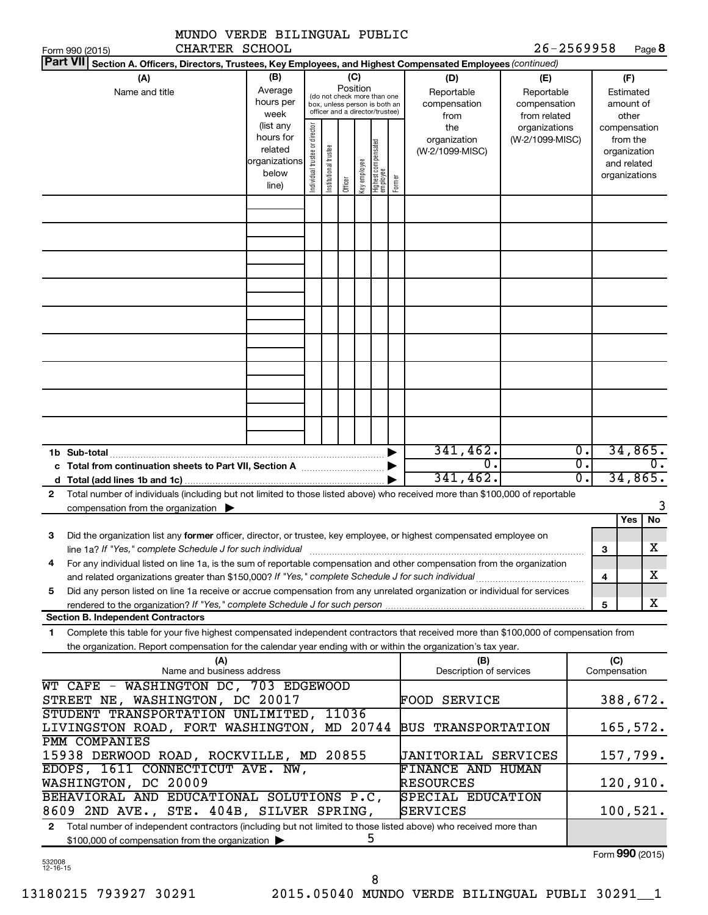| 26-2569958<br>CHARTER SCHOOL<br>Form 990 (2015)<br><b>Part VII</b><br>Section A. Officers, Directors, Trustees, Key Employees, and Highest Compensated Employees (continued)<br>(B)<br>(C)<br>(D)<br>(A)<br>(F)<br>(E)<br>Position<br>Average<br>Name and title<br>Reportable<br>Reportable<br>Estimated<br>(do not check more than one<br>hours per<br>compensation<br>compensation<br>amount of<br>box, unless person is both an<br>officer and a director/trustee)<br>week<br>from related<br>other<br>from<br>(list any<br>Individual trustee or director<br>the<br>organizations<br>compensation<br>hours for<br>organization<br>(W-2/1099-MISC)<br>from the<br>Highest compensated<br>employee<br>Institutional trustee<br>related<br>(W-2/1099-MISC)<br>organization<br>organizations<br>Key employee<br>and related<br>below<br>organizations<br>Former<br>Officer<br>line) | Page 8                   |
|-------------------------------------------------------------------------------------------------------------------------------------------------------------------------------------------------------------------------------------------------------------------------------------------------------------------------------------------------------------------------------------------------------------------------------------------------------------------------------------------------------------------------------------------------------------------------------------------------------------------------------------------------------------------------------------------------------------------------------------------------------------------------------------------------------------------------------------------------------------------------------------|--------------------------|
|                                                                                                                                                                                                                                                                                                                                                                                                                                                                                                                                                                                                                                                                                                                                                                                                                                                                                     |                          |
|                                                                                                                                                                                                                                                                                                                                                                                                                                                                                                                                                                                                                                                                                                                                                                                                                                                                                     |                          |
|                                                                                                                                                                                                                                                                                                                                                                                                                                                                                                                                                                                                                                                                                                                                                                                                                                                                                     |                          |
|                                                                                                                                                                                                                                                                                                                                                                                                                                                                                                                                                                                                                                                                                                                                                                                                                                                                                     |                          |
|                                                                                                                                                                                                                                                                                                                                                                                                                                                                                                                                                                                                                                                                                                                                                                                                                                                                                     |                          |
|                                                                                                                                                                                                                                                                                                                                                                                                                                                                                                                                                                                                                                                                                                                                                                                                                                                                                     |                          |
|                                                                                                                                                                                                                                                                                                                                                                                                                                                                                                                                                                                                                                                                                                                                                                                                                                                                                     |                          |
| 341,462.<br>$\overline{0}$ .<br>1b Sub-total<br>$\overline{0}$ .<br>σ.<br>σ.<br>341, 462.                                                                                                                                                                                                                                                                                                                                                                                                                                                                                                                                                                                                                                                                                                                                                                                           | 34,865.<br>0.<br>34,865. |
| Total number of individuals (including but not limited to those listed above) who received more than \$100,000 of reportable<br>$\mathbf{2}$<br>compensation from the organization $\blacktriangleright$                                                                                                                                                                                                                                                                                                                                                                                                                                                                                                                                                                                                                                                                            |                          |
| Yes                                                                                                                                                                                                                                                                                                                                                                                                                                                                                                                                                                                                                                                                                                                                                                                                                                                                                 | No                       |
| Did the organization list any former officer, director, or trustee, key employee, or highest compensated employee on<br>З<br>line 1a? If "Yes," complete Schedule J for such individual manufactured content content from the content of the<br>З                                                                                                                                                                                                                                                                                                                                                                                                                                                                                                                                                                                                                                   | $\overline{\text{X}}$    |
| For any individual listed on line 1a, is the sum of reportable compensation and other compensation from the organization<br>4<br>4                                                                                                                                                                                                                                                                                                                                                                                                                                                                                                                                                                                                                                                                                                                                                  | x.                       |
| Did any person listed on line 1a receive or accrue compensation from any unrelated organization or individual for services<br>5<br>rendered to the organization? If "Yes," complete Schedule J for such person manufaction contains and contained<br>5                                                                                                                                                                                                                                                                                                                                                                                                                                                                                                                                                                                                                              | x                        |
| <b>Section B. Independent Contractors</b>                                                                                                                                                                                                                                                                                                                                                                                                                                                                                                                                                                                                                                                                                                                                                                                                                                           |                          |
| Complete this table for your five highest compensated independent contractors that received more than \$100,000 of compensation from<br>1<br>the organization. Report compensation for the calendar year ending with or within the organization's tax year.                                                                                                                                                                                                                                                                                                                                                                                                                                                                                                                                                                                                                         |                          |
| (C)<br>(A)<br>(B)<br>Name and business address<br>Description of services<br>Compensation                                                                                                                                                                                                                                                                                                                                                                                                                                                                                                                                                                                                                                                                                                                                                                                           |                          |
| WT CAFE - WASHINGTON DC, 703 EDGEWOOD<br>STREET NE, WASHINGTON, DC 20017<br><b>FOOD SERVICE</b>                                                                                                                                                                                                                                                                                                                                                                                                                                                                                                                                                                                                                                                                                                                                                                                     | 388,672.                 |
| STUDENT TRANSPORTATION UNLIMITED, 11036<br>LIVINGSTON ROAD, FORT WASHINGTON, MD 20744<br><b>BUS TRANSPORTATION</b>                                                                                                                                                                                                                                                                                                                                                                                                                                                                                                                                                                                                                                                                                                                                                                  | 165,572.                 |
| PMM COMPANIES<br>15938 DERWOOD ROAD, ROCKVILLE, MD 20855<br>UANITORIAL SERVICES                                                                                                                                                                                                                                                                                                                                                                                                                                                                                                                                                                                                                                                                                                                                                                                                     | 157,799.                 |
| EDOPS, 1611 CONNECTICUT AVE. NW,<br>FINANCE AND HUMAN<br>WASHINGTON, DC 20009<br><b>RESOURCES</b>                                                                                                                                                                                                                                                                                                                                                                                                                                                                                                                                                                                                                                                                                                                                                                                   | 120,910.                 |
| BEHAVIORAL AND EDUCATIONAL SOLUTIONS P.C.<br>SPECIAL EDUCATION<br>8609 2ND AVE., STE. 404B, SILVER SPRING,<br>SERVICES                                                                                                                                                                                                                                                                                                                                                                                                                                                                                                                                                                                                                                                                                                                                                              | 100,521.                 |
| Total number of independent contractors (including but not limited to those listed above) who received more than<br>$\mathbf{2}$<br>5<br>\$100,000 of compensation from the organization ><br>$T_{\text{sum}}$ 000 (2015)                                                                                                                                                                                                                                                                                                                                                                                                                                                                                                                                                                                                                                                           |                          |

532008 12-16-15

Form (2015) **990**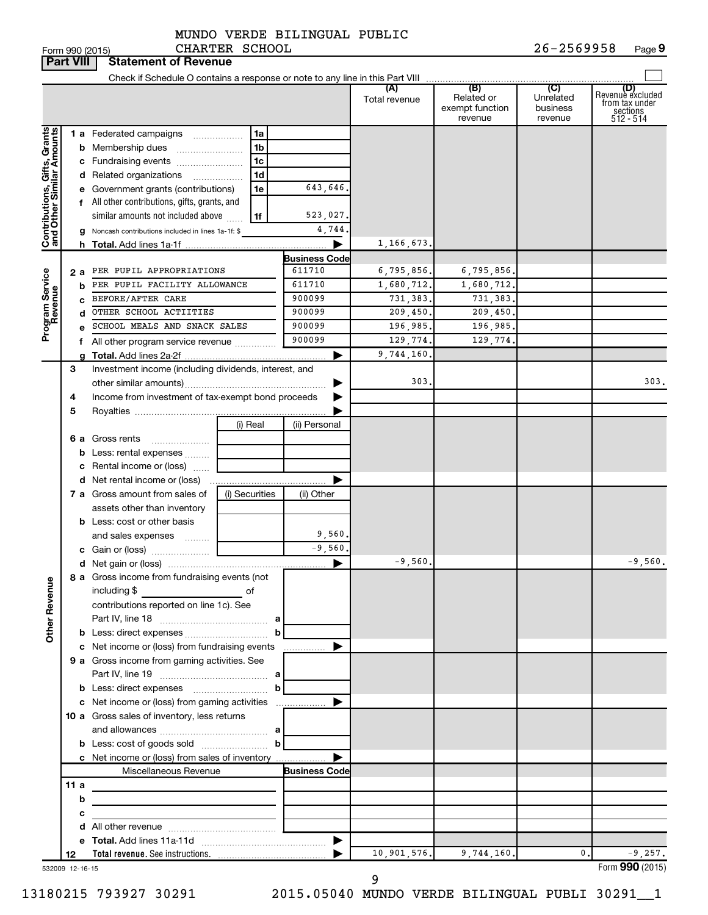#### MUNDO VERDE BILINGUAL PUBLIC CHARTER SCHOOL

|                              | <b>Part VIII</b> | <b>Statement of Revenue</b>                                                |                     |                      |                      |                                                 |                                         |                                                                    |
|------------------------------|------------------|----------------------------------------------------------------------------|---------------------|----------------------|----------------------|-------------------------------------------------|-----------------------------------------|--------------------------------------------------------------------|
|                              |                  |                                                                            |                     |                      |                      |                                                 |                                         |                                                                    |
|                              |                  |                                                                            |                     |                      | (A)<br>Total revenue | (B)<br>Related or<br>exempt function<br>revenue | (C)<br>Unrelated<br>business<br>revenue | (D)<br>Revenuè excluded<br>from tax under<br>sections<br>512 - 514 |
|                              |                  | <b>1 a</b> Federated campaigns                                             | 1a                  |                      |                      |                                                 |                                         |                                                                    |
| Contributions, Gifts, Grants |                  | <b>b</b> Membership dues                                                   | 1 <sub>b</sub>      |                      |                      |                                                 |                                         |                                                                    |
|                              |                  | c Fundraising events                                                       | 1 <sub>c</sub>      |                      |                      |                                                 |                                         |                                                                    |
|                              |                  | d Related organizations                                                    | 1 <sub>d</sub><br>. |                      |                      |                                                 |                                         |                                                                    |
|                              |                  | e Government grants (contributions)                                        | 1e                  | 643,646.             |                      |                                                 |                                         |                                                                    |
|                              |                  | f All other contributions, gifts, grants, and                              |                     |                      |                      |                                                 |                                         |                                                                    |
|                              |                  | similar amounts not included above                                         | 1f                  | 523,027.             |                      |                                                 |                                         |                                                                    |
|                              |                  | g Noncash contributions included in lines 1a-1f: \$                        |                     | 4,744                |                      |                                                 |                                         |                                                                    |
|                              |                  |                                                                            |                     | ▶                    | 1,166,673.           |                                                 |                                         |                                                                    |
|                              |                  |                                                                            |                     | <b>Business Code</b> |                      |                                                 |                                         |                                                                    |
|                              |                  | 2 a PER PUPIL APPROPRIATIONS                                               |                     | 611710               | 6,795,856.           | 6,795,856.                                      |                                         |                                                                    |
|                              | b                | PER PUPIL FACILITY ALLOWANCE                                               |                     | 611710               | 1,680,712.           | 1,680,712.                                      |                                         |                                                                    |
|                              |                  | BEFORE/AFTER CARE                                                          |                     | 900099<br>900099     | 731,383.             | 731,383.                                        |                                         |                                                                    |
|                              | d                | OTHER SCHOOL ACTIITIES<br>SCHOOL MEALS AND SNACK SALES                     |                     | 900099               | 209,450.             | 209, 450.                                       |                                         |                                                                    |
| Program Service<br>Revenue   |                  |                                                                            |                     | 900099               | 196,985.<br>129,774. | 196,985.<br>129,774.                            |                                         |                                                                    |
|                              |                  | f All other program service revenue                                        |                     | ▶                    | 9,744,160.           |                                                 |                                         |                                                                    |
|                              | З                | Investment income (including dividends, interest, and                      |                     |                      |                      |                                                 |                                         |                                                                    |
|                              |                  |                                                                            |                     |                      | 303.                 |                                                 |                                         | 303.                                                               |
|                              | 4                | Income from investment of tax-exempt bond proceeds                         |                     |                      |                      |                                                 |                                         |                                                                    |
|                              | 5                |                                                                            |                     |                      |                      |                                                 |                                         |                                                                    |
|                              |                  |                                                                            | (i) Real            | (ii) Personal        |                      |                                                 |                                         |                                                                    |
|                              |                  | <b>6 a</b> Gross rents                                                     |                     |                      |                      |                                                 |                                         |                                                                    |
|                              |                  | <b>b</b> Less: rental expenses                                             |                     |                      |                      |                                                 |                                         |                                                                    |
|                              |                  | c Rental income or (loss)                                                  |                     |                      |                      |                                                 |                                         |                                                                    |
|                              |                  | <b>d</b> Net rental income or (loss)                                       |                     | ▶                    |                      |                                                 |                                         |                                                                    |
|                              |                  | 7 a Gross amount from sales of                                             | (i) Securities      | (ii) Other           |                      |                                                 |                                         |                                                                    |
|                              |                  | assets other than inventory                                                |                     |                      |                      |                                                 |                                         |                                                                    |
|                              |                  | <b>b</b> Less: cost or other basis                                         |                     |                      |                      |                                                 |                                         |                                                                    |
|                              |                  | and sales expenses                                                         |                     | 9,560.               |                      |                                                 |                                         |                                                                    |
|                              |                  |                                                                            |                     | $-9,560.$            |                      |                                                 |                                         |                                                                    |
|                              |                  |                                                                            |                     | ▶                    | $-9,560.$            |                                                 |                                         | $-9,560.$                                                          |
| <b>Other Revenue</b>         |                  | 8 a Gross income from fundraising events (not<br>including \$              | of                  |                      |                      |                                                 |                                         |                                                                    |
|                              |                  | contributions reported on line 1c). See                                    |                     |                      |                      |                                                 |                                         |                                                                    |
|                              |                  |                                                                            |                     |                      |                      |                                                 |                                         |                                                                    |
|                              |                  |                                                                            |                     |                      |                      |                                                 |                                         |                                                                    |
|                              |                  | c Net income or (loss) from fundraising events                             |                     | ▶                    |                      |                                                 |                                         |                                                                    |
|                              |                  | 9 a Gross income from gaming activities. See                               |                     |                      |                      |                                                 |                                         |                                                                    |
|                              |                  |                                                                            |                     |                      |                      |                                                 |                                         |                                                                    |
|                              |                  | <b>b</b> Less: direct expenses <b>contained b</b>                          |                     |                      |                      |                                                 |                                         |                                                                    |
|                              |                  |                                                                            |                     |                      |                      |                                                 |                                         |                                                                    |
|                              |                  | 10 a Gross sales of inventory, less returns                                |                     |                      |                      |                                                 |                                         |                                                                    |
|                              |                  |                                                                            |                     |                      |                      |                                                 |                                         |                                                                    |
|                              |                  | <b>b</b> Less: cost of goods sold $\ldots$ <b>b</b>                        |                     | ▶                    |                      |                                                 |                                         |                                                                    |
|                              |                  | c Net income or (loss) from sales of inventory<br>Miscellaneous Revenue    |                     | <b>Business Code</b> |                      |                                                 |                                         |                                                                    |
|                              | 11a              |                                                                            |                     |                      |                      |                                                 |                                         |                                                                    |
|                              | b                |                                                                            |                     |                      |                      |                                                 |                                         |                                                                    |
|                              | с                |                                                                            |                     |                      |                      |                                                 |                                         |                                                                    |
|                              |                  | the control of the control of the control of the control of the control of |                     |                      |                      |                                                 |                                         |                                                                    |
|                              |                  |                                                                            |                     |                      |                      |                                                 |                                         |                                                                    |
|                              | 12               |                                                                            |                     |                      | 10,901,576.          | 9,744,160.                                      | 0.                                      | $-9,257.$                                                          |
|                              | 532009 12-16-15  |                                                                            |                     |                      |                      |                                                 |                                         | Form 990 (2015)                                                    |

9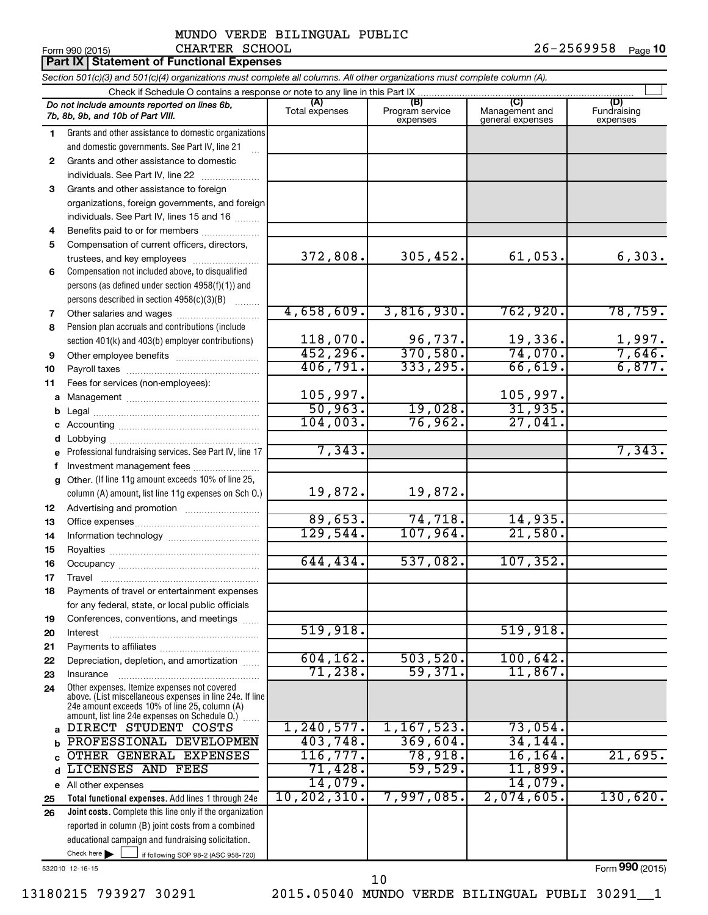|              | <b>Part IX Statement of Functional Expenses</b>                                                                                                                                                             |                       |                                    |                                           |                                |
|--------------|-------------------------------------------------------------------------------------------------------------------------------------------------------------------------------------------------------------|-----------------------|------------------------------------|-------------------------------------------|--------------------------------|
|              | Section 501(c)(3) and 501(c)(4) organizations must complete all columns. All other organizations must complete column (A).                                                                                  |                       |                                    |                                           |                                |
|              | Check if Schedule O contains a response or note to any line in this Part IX.                                                                                                                                |                       |                                    |                                           |                                |
|              | Do not include amounts reported on lines 6b,<br>7b, 8b, 9b, and 10b of Part VIII.                                                                                                                           | (A)<br>Total expenses | (B)<br>Program service<br>expenses | (C)<br>Management and<br>general expenses | (D)<br>Fundraising<br>expenses |
| 1            | Grants and other assistance to domestic organizations                                                                                                                                                       |                       |                                    |                                           |                                |
|              | and domestic governments. See Part IV, line 21                                                                                                                                                              |                       |                                    |                                           |                                |
| $\mathbf{2}$ | Grants and other assistance to domestic                                                                                                                                                                     |                       |                                    |                                           |                                |
|              | individuals. See Part IV, line 22                                                                                                                                                                           |                       |                                    |                                           |                                |
| 3            | Grants and other assistance to foreign                                                                                                                                                                      |                       |                                    |                                           |                                |
|              | organizations, foreign governments, and foreign                                                                                                                                                             |                       |                                    |                                           |                                |
|              | individuals. See Part IV, lines 15 and 16                                                                                                                                                                   |                       |                                    |                                           |                                |
| 4            | Benefits paid to or for members                                                                                                                                                                             |                       |                                    |                                           |                                |
| 5            | Compensation of current officers, directors,                                                                                                                                                                | 372,808.              | 305,452.                           | 61,053.                                   | 6,303.                         |
|              | trustees, and key employees                                                                                                                                                                                 |                       |                                    |                                           |                                |
| 6            | Compensation not included above, to disqualified<br>persons (as defined under section 4958(f)(1)) and                                                                                                       |                       |                                    |                                           |                                |
|              | persons described in section 4958(c)(3)(B)                                                                                                                                                                  |                       |                                    |                                           |                                |
| 7            | Other salaries and wages                                                                                                                                                                                    | 4,658,609.            | 3,816,930.                         | 762,920.                                  | 78, 759.                       |
| 8            | Pension plan accruals and contributions (include                                                                                                                                                            |                       |                                    |                                           |                                |
|              | section 401(k) and 403(b) employer contributions)                                                                                                                                                           | 118,070.              | 96,737.                            | 19,336.                                   |                                |
| 9            | Other employee benefits                                                                                                                                                                                     | 452, 296.             | 370,580.                           | 74,070.                                   | $\frac{1,997.}{7,646.}$        |
| 10           |                                                                                                                                                                                                             | 406,791.              | 333, 295.                          | 66,619.                                   | 6,877.                         |
| 11           | Fees for services (non-employees):                                                                                                                                                                          |                       |                                    |                                           |                                |
| a            |                                                                                                                                                                                                             | 105,997.              |                                    | 105,997.                                  |                                |
| b            |                                                                                                                                                                                                             | 50,963.               | 19,028.                            | 31,935.                                   |                                |
| c            |                                                                                                                                                                                                             | 104,003.              | 76,962.                            | 27,041                                    |                                |
| d            | Lobbying                                                                                                                                                                                                    |                       |                                    |                                           |                                |
| e            | Professional fundraising services. See Part IV, line 17                                                                                                                                                     | 7,343.                |                                    |                                           | 7,343.                         |
| f            | Investment management fees                                                                                                                                                                                  |                       |                                    |                                           |                                |
| q            | Other. (If line 11g amount exceeds 10% of line 25,                                                                                                                                                          |                       |                                    |                                           |                                |
|              | column (A) amount, list line 11g expenses on Sch O.)                                                                                                                                                        | 19,872.               | 19,872.                            |                                           |                                |
| 12           |                                                                                                                                                                                                             | 89,653.               | 74,718.                            | 14,935.                                   |                                |
| 13<br>14     |                                                                                                                                                                                                             | 129,544.              | 107,964.                           | 21,580.                                   |                                |
| 15           |                                                                                                                                                                                                             |                       |                                    |                                           |                                |
| 16           |                                                                                                                                                                                                             | 644,434.              | 537,082.                           | 107, 352.                                 |                                |
| 17           | Travel                                                                                                                                                                                                      |                       |                                    |                                           |                                |
| 18           | Payments of travel or entertainment expenses                                                                                                                                                                |                       |                                    |                                           |                                |
|              | for any federal, state, or local public officials                                                                                                                                                           |                       |                                    |                                           |                                |
| 19           | Conferences, conventions, and meetings                                                                                                                                                                      |                       |                                    |                                           |                                |
| 20           | Interest                                                                                                                                                                                                    | 519,918.              |                                    | 519,918.                                  |                                |
| 21           |                                                                                                                                                                                                             |                       |                                    |                                           |                                |
| 22           | Depreciation, depletion, and amortization                                                                                                                                                                   | 604, 162.             | 503, 520.                          | 100,642.                                  |                                |
| 23           | Insurance                                                                                                                                                                                                   | 71,238.               | 59,371.                            | 11,867.                                   |                                |
| 24           | Other expenses. Itemize expenses not covered<br>above. (List miscellaneous expenses in line 24e. If line<br>24e amount exceeds 10% of line 25, column (A)<br>amount, list line 24e expenses on Schedule O.) |                       |                                    |                                           |                                |
| a            | DIRECT STUDENT COSTS                                                                                                                                                                                        | 1, 240, 577.          | 1, 167, 523.                       | 73,054.                                   |                                |
| b            | PROFESSIONAL DEVELOPMEN                                                                                                                                                                                     | 403,748.<br>116, 777. | 369,604.                           | 34, 144.                                  |                                |
| C            | OTHER GENERAL EXPENSES                                                                                                                                                                                      |                       | 78,918.<br>59,529.                 | 16, 164.                                  | 21,695.                        |
| d            | LICENSES AND FEES                                                                                                                                                                                           | 71,428.<br>14,079.    |                                    | 11,899.<br>14,079.                        |                                |
| e            | All other expenses<br>Total functional expenses. Add lines 1 through 24e                                                                                                                                    | 10, 202, 310.         | 7,997,085.                         | 2,074,605.                                | 130,620.                       |
| 25<br>26     | Joint costs. Complete this line only if the organization                                                                                                                                                    |                       |                                    |                                           |                                |
|              | reported in column (B) joint costs from a combined                                                                                                                                                          |                       |                                    |                                           |                                |
|              | educational campaign and fundraising solicitation.                                                                                                                                                          |                       |                                    |                                           |                                |
|              | Check here $\blacktriangleright$<br>if following SOP 98-2 (ASC 958-720)                                                                                                                                     |                       |                                    |                                           |                                |

532010 12-16-15

13180215 793927 30291 2015.05040 MUNDO VERDE BILINGUAL PUBLI 30291\_\_1 10

Form (2015) **990**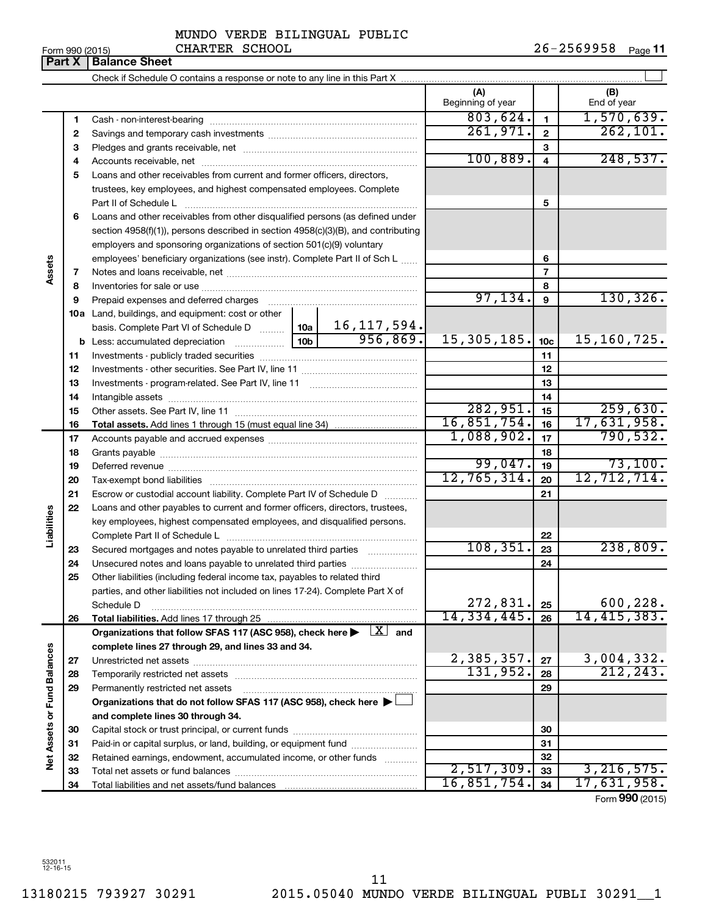532011 12-16-15

MUNDO VERDE BILINGUAL PUBLIC

Form 990 (2015) CHARTER SCHOOL 2 6-2 5 6 9 9 5 8 <sub>Page</sub> **11** 

|                      | Part X | <b>Balance Sheet</b>                                                                                                                       |               |                          |                 |                    |
|----------------------|--------|--------------------------------------------------------------------------------------------------------------------------------------------|---------------|--------------------------|-----------------|--------------------|
|                      |        |                                                                                                                                            |               |                          |                 |                    |
|                      |        |                                                                                                                                            |               | (A)<br>Beginning of year |                 | (B)<br>End of year |
|                      | 1      |                                                                                                                                            |               | 803,624.                 | $\mathbf{1}$    | 1,570,639.         |
|                      | 2      |                                                                                                                                            |               | 261,971.                 | $\overline{2}$  | 262, 101.          |
|                      | З      |                                                                                                                                            |               |                          | 3               |                    |
|                      | 4      |                                                                                                                                            |               | 100, 889.                | $\overline{4}$  | 248,537.           |
|                      | 5      | Loans and other receivables from current and former officers, directors,                                                                   |               |                          |                 |                    |
|                      |        | trustees, key employees, and highest compensated employees. Complete                                                                       |               |                          |                 |                    |
|                      |        | Part II of Schedule L                                                                                                                      |               |                          | 5               |                    |
|                      | 6      | Loans and other receivables from other disqualified persons (as defined under                                                              |               |                          |                 |                    |
|                      |        | section $4958(f)(1)$ , persons described in section $4958(c)(3)(B)$ , and contributing                                                     |               |                          |                 |                    |
|                      |        | employers and sponsoring organizations of section 501(c)(9) voluntary                                                                      |               |                          |                 |                    |
|                      |        | employees' beneficiary organizations (see instr). Complete Part II of Sch L                                                                |               |                          | 6               |                    |
| Assets               | 7      |                                                                                                                                            |               |                          | 7               |                    |
|                      | 8      |                                                                                                                                            |               |                          | 8               |                    |
|                      | 9      |                                                                                                                                            |               | 97, 134.                 | 9               | 130, 326.          |
|                      |        | 10a Land, buildings, and equipment: cost or other                                                                                          |               |                          |                 |                    |
|                      |        | basis. Complete Part VI of Schedule D    10a                                                                                               | 16, 117, 594. |                          |                 |                    |
|                      |        | <b>b</b> Less: accumulated depreciation <b></b> 10b                                                                                        | 956,869.      | 15, 305, 185.            | 10 <sub>c</sub> | 15,160,725.        |
|                      | 11     |                                                                                                                                            |               |                          | 11              |                    |
|                      | 12     |                                                                                                                                            |               |                          | 12              |                    |
|                      | 13     |                                                                                                                                            |               | 13                       |                 |                    |
|                      | 14     |                                                                                                                                            |               | 14                       |                 |                    |
|                      | 15     |                                                                                                                                            |               | 282,951.                 | 15              | 259,630.           |
|                      | 16     |                                                                                                                                            |               | 16,851,754.              | 16              | 17,631,958.        |
|                      | 17     |                                                                                                                                            | 1,088,902.    | 17                       | 790,532.        |                    |
|                      | 18     |                                                                                                                                            |               |                          | 18              |                    |
|                      | 19     |                                                                                                                                            |               | 99,047.                  | 19              | 73,100.            |
|                      | 20     |                                                                                                                                            |               | 12,765,314.              | 20              | 12,712,714.        |
|                      | 21     | Escrow or custodial account liability. Complete Part IV of Schedule D                                                                      |               |                          | 21              |                    |
| Liabilities          | 22     | Loans and other payables to current and former officers, directors, trustees,                                                              |               |                          |                 |                    |
|                      |        | key employees, highest compensated employees, and disqualified persons.                                                                    |               |                          |                 |                    |
|                      |        |                                                                                                                                            |               | 108, 351.                | 22              | 238,809.           |
|                      | 23     | Secured mortgages and notes payable to unrelated third parties                                                                             |               |                          | 23              |                    |
|                      | 24     | Unsecured notes and loans payable to unrelated third parties<br>Other liabilities (including federal income tax, payables to related third |               |                          | 24              |                    |
|                      | 25     | parties, and other liabilities not included on lines 17-24). Complete Part X of                                                            |               |                          |                 |                    |
|                      |        | Schedule D                                                                                                                                 |               | 272,831.                 | 25              | 600, 228.          |
|                      | 26     | Total liabilities. Add lines 17 through 25                                                                                                 |               | 14,334,445.              | 26              | 14,415,383.        |
|                      |        | Organizations that follow SFAS 117 (ASC 958), check here $\blacktriangleright \begin{array}{c} \boxed{X} \\ \end{array}$ and               |               |                          |                 |                    |
|                      |        | complete lines 27 through 29, and lines 33 and 34.                                                                                         |               |                          |                 |                    |
| <b>Fund Balances</b> | 27     |                                                                                                                                            |               | 2,385,357.               | 27              | 3,004,332.         |
|                      | 28     |                                                                                                                                            |               | 131,952.                 | 28              | 212, 243.          |
|                      | 29     | Permanently restricted net assets                                                                                                          |               |                          | 29              |                    |
|                      |        | Organizations that do not follow SFAS 117 (ASC 958), check here ▶                                                                          |               |                          |                 |                    |
|                      |        | and complete lines 30 through 34.                                                                                                          |               |                          |                 |                    |
| Net Assets or        | 30     |                                                                                                                                            |               |                          | 30              |                    |
|                      | 31     | Paid-in or capital surplus, or land, building, or equipment fund                                                                           |               |                          | 31              |                    |
|                      | 32     | Retained earnings, endowment, accumulated income, or other funds                                                                           |               |                          | 32              |                    |
|                      | 33     |                                                                                                                                            |               | 2,517,309.               | 33              | 3, 216, 575.       |
|                      | 34     |                                                                                                                                            |               | 16,851,754.              | 34              | 17,631,958.        |
|                      |        |                                                                                                                                            |               |                          |                 | Form 990 (2015)    |

CHARTER SCHOOL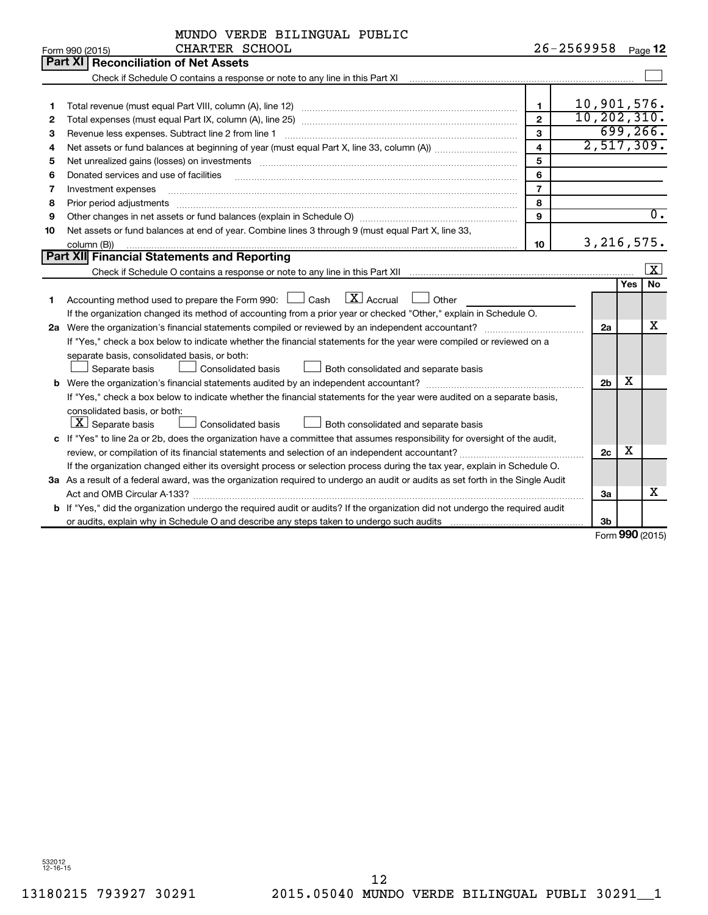|              | MUNDO VERDE BILINGUAL PUBLIC                                                                                                                                      |                         |                        |                   |                         |
|--------------|-------------------------------------------------------------------------------------------------------------------------------------------------------------------|-------------------------|------------------------|-------------------|-------------------------|
|              | CHARTER SCHOOL<br>Form 990 (2015)                                                                                                                                 |                         | $26 - 2569958$ Page 12 |                   |                         |
|              | Part XI   Reconciliation of Net Assets                                                                                                                            |                         |                        |                   |                         |
|              | Check if Schedule O contains a response or note to any line in this Part XI [11] [12] Check if Schedule O contains a response or note to any line in this Part XI |                         |                        |                   |                         |
|              |                                                                                                                                                                   |                         |                        |                   |                         |
| 1            |                                                                                                                                                                   | 1                       | 10,901,576.            |                   |                         |
| $\mathbf{2}$ |                                                                                                                                                                   | $\mathbf{2}$            | 10, 202, 310.          |                   |                         |
| З            |                                                                                                                                                                   | $\overline{3}$          |                        |                   | 699, 266.               |
| 4            |                                                                                                                                                                   | $\overline{\mathbf{4}}$ | 2,517,309.             |                   |                         |
| 5            |                                                                                                                                                                   | 5                       |                        |                   |                         |
| 6            | Donated services and use of facilities                                                                                                                            | 6                       |                        |                   |                         |
| 7            | Investment expenses                                                                                                                                               | $\overline{7}$          |                        |                   |                         |
| 8            | Prior period adjustments                                                                                                                                          | 8                       |                        |                   |                         |
| 9            | Other changes in net assets or fund balances (explain in Schedule O) manufactured controller than the controller                                                  | 9                       |                        |                   | $\overline{0}$ .        |
| 10           | Net assets or fund balances at end of year. Combine lines 3 through 9 (must equal Part X, line 33,                                                                |                         |                        |                   |                         |
|              | column (B))                                                                                                                                                       | 10                      | 3, 216, 575.           |                   |                         |
|              | Part XII Financial Statements and Reporting                                                                                                                       |                         |                        |                   |                         |
|              |                                                                                                                                                                   |                         |                        |                   | $\overline{\mathbf{x}}$ |
|              |                                                                                                                                                                   |                         |                        | <b>Yes</b>        | No                      |
| 1            | $\boxed{\text{X}}$ Accrual<br>Accounting method used to prepare the Form 990: $\Box$ Cash<br>Other                                                                |                         |                        |                   |                         |
|              | If the organization changed its method of accounting from a prior year or checked "Other," explain in Schedule O.                                                 |                         |                        |                   |                         |
|              |                                                                                                                                                                   |                         | 2a                     |                   | x                       |
|              | If "Yes," check a box below to indicate whether the financial statements for the year were compiled or reviewed on a                                              |                         |                        |                   |                         |
|              | separate basis, consolidated basis, or both:                                                                                                                      |                         |                        |                   |                         |
|              | Separate basis<br><b>Consolidated basis</b><br>Both consolidated and separate basis                                                                               |                         |                        |                   |                         |
|              |                                                                                                                                                                   |                         | 2 <sub>b</sub>         | X                 |                         |
|              | If "Yes," check a box below to indicate whether the financial statements for the year were audited on a separate basis,                                           |                         |                        |                   |                         |
|              | consolidated basis, or both:                                                                                                                                      |                         |                        |                   |                         |
|              | $ \mathbf{X} $ Separate basis<br>Consolidated basis<br>Both consolidated and separate basis                                                                       |                         |                        |                   |                         |
|              | c If "Yes" to line 2a or 2b, does the organization have a committee that assumes responsibility for oversight of the audit,                                       |                         |                        |                   |                         |
|              |                                                                                                                                                                   |                         | 2c                     | x                 |                         |
|              | If the organization changed either its oversight process or selection process during the tax year, explain in Schedule O.                                         |                         |                        |                   |                         |
|              | 3a As a result of a federal award, was the organization required to undergo an audit or audits as set forth in the Single Audit                                   |                         |                        |                   |                         |
|              |                                                                                                                                                                   |                         | За                     |                   | х                       |
|              | b If "Yes," did the organization undergo the required audit or audits? If the organization did not undergo the required audit                                     |                         |                        |                   |                         |
|              |                                                                                                                                                                   |                         | 3b                     |                   |                         |
|              |                                                                                                                                                                   |                         |                        | $000 \, \text{m}$ |                         |

Form (2015) **990**

532012 12-16-15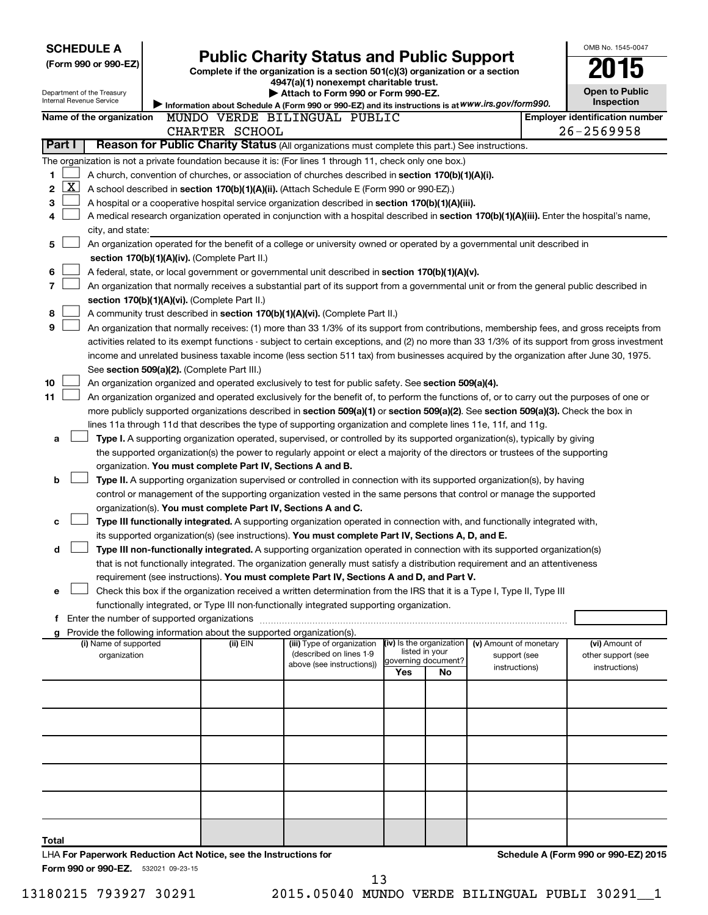|        | <b>SCHEDULE A</b>                                                |                                                                                                                                  |                                               |                                                                                                                                                                                                                                                                |     |                           |                        |  | OMB No. 1545-0047                     |
|--------|------------------------------------------------------------------|----------------------------------------------------------------------------------------------------------------------------------|-----------------------------------------------|----------------------------------------------------------------------------------------------------------------------------------------------------------------------------------------------------------------------------------------------------------------|-----|---------------------------|------------------------|--|---------------------------------------|
|        | (Form 990 or 990-EZ)                                             | <b>Public Charity Status and Public Support</b><br>Complete if the organization is a section 501(c)(3) organization or a section |                                               |                                                                                                                                                                                                                                                                |     |                           |                        |  |                                       |
|        |                                                                  |                                                                                                                                  |                                               | 4947(a)(1) nonexempt charitable trust.                                                                                                                                                                                                                         |     |                           |                        |  |                                       |
|        | Department of the Treasury                                       |                                                                                                                                  |                                               | Attach to Form 990 or Form 990-EZ.                                                                                                                                                                                                                             |     |                           |                        |  | <b>Open to Public</b>                 |
|        | Internal Revenue Service                                         |                                                                                                                                  |                                               | Information about Schedule A (Form 990 or 990-EZ) and its instructions is at WWW.irs.gov/form990.                                                                                                                                                              |     |                           |                        |  | Inspection                            |
|        | Name of the organization                                         |                                                                                                                                  |                                               | MUNDO VERDE BILINGUAL PUBLIC                                                                                                                                                                                                                                   |     |                           |                        |  | <b>Employer identification number</b> |
|        |                                                                  |                                                                                                                                  | CHARTER SCHOOL                                |                                                                                                                                                                                                                                                                |     |                           |                        |  | $26 - 2569958$                        |
| Part I |                                                                  |                                                                                                                                  |                                               | Reason for Public Charity Status (All organizations must complete this part.) See instructions.                                                                                                                                                                |     |                           |                        |  |                                       |
|        |                                                                  |                                                                                                                                  |                                               | The organization is not a private foundation because it is: (For lines 1 through 11, check only one box.)                                                                                                                                                      |     |                           |                        |  |                                       |
| 1      | <u>x</u>                                                         |                                                                                                                                  |                                               | A church, convention of churches, or association of churches described in section 170(b)(1)(A)(i).                                                                                                                                                             |     |                           |                        |  |                                       |
| 2      |                                                                  |                                                                                                                                  |                                               | A school described in section 170(b)(1)(A)(ii). (Attach Schedule E (Form 990 or 990-EZ).)                                                                                                                                                                      |     |                           |                        |  |                                       |
| 3<br>4 |                                                                  |                                                                                                                                  |                                               | A hospital or a cooperative hospital service organization described in section 170(b)(1)(A)(iii).<br>A medical research organization operated in conjunction with a hospital described in section 170(b)(1)(A)(iii). Enter the hospital's name,                |     |                           |                        |  |                                       |
|        | city, and state:                                                 |                                                                                                                                  |                                               |                                                                                                                                                                                                                                                                |     |                           |                        |  |                                       |
| 5      |                                                                  |                                                                                                                                  |                                               | An organization operated for the benefit of a college or university owned or operated by a governmental unit described in                                                                                                                                      |     |                           |                        |  |                                       |
|        |                                                                  |                                                                                                                                  | section 170(b)(1)(A)(iv). (Complete Part II.) |                                                                                                                                                                                                                                                                |     |                           |                        |  |                                       |
| 6      |                                                                  |                                                                                                                                  |                                               | A federal, state, or local government or governmental unit described in section 170(b)(1)(A)(v).                                                                                                                                                               |     |                           |                        |  |                                       |
| 7      |                                                                  |                                                                                                                                  |                                               | An organization that normally receives a substantial part of its support from a governmental unit or from the general public described in                                                                                                                      |     |                           |                        |  |                                       |
|        |                                                                  |                                                                                                                                  | section 170(b)(1)(A)(vi). (Complete Part II.) |                                                                                                                                                                                                                                                                |     |                           |                        |  |                                       |
| 8      |                                                                  |                                                                                                                                  |                                               | A community trust described in section 170(b)(1)(A)(vi). (Complete Part II.)                                                                                                                                                                                   |     |                           |                        |  |                                       |
| 9      |                                                                  |                                                                                                                                  |                                               | An organization that normally receives: (1) more than 33 1/3% of its support from contributions, membership fees, and gross receipts from                                                                                                                      |     |                           |                        |  |                                       |
|        |                                                                  |                                                                                                                                  |                                               | activities related to its exempt functions - subject to certain exceptions, and (2) no more than 33 1/3% of its support from gross investment                                                                                                                  |     |                           |                        |  |                                       |
|        |                                                                  |                                                                                                                                  |                                               | income and unrelated business taxable income (less section 511 tax) from businesses acquired by the organization after June 30, 1975.                                                                                                                          |     |                           |                        |  |                                       |
|        |                                                                  |                                                                                                                                  | See section 509(a)(2). (Complete Part III.)   |                                                                                                                                                                                                                                                                |     |                           |                        |  |                                       |
| 10     |                                                                  |                                                                                                                                  |                                               | An organization organized and operated exclusively to test for public safety. See section 509(a)(4).                                                                                                                                                           |     |                           |                        |  |                                       |
| 11     |                                                                  |                                                                                                                                  |                                               | An organization organized and operated exclusively for the benefit of, to perform the functions of, or to carry out the purposes of one or                                                                                                                     |     |                           |                        |  |                                       |
|        |                                                                  |                                                                                                                                  |                                               | more publicly supported organizations described in section 509(a)(1) or section 509(a)(2). See section 509(a)(3). Check the box in                                                                                                                             |     |                           |                        |  |                                       |
|        |                                                                  |                                                                                                                                  |                                               | lines 11a through 11d that describes the type of supporting organization and complete lines 11e, 11f, and 11g.                                                                                                                                                 |     |                           |                        |  |                                       |
| a      |                                                                  |                                                                                                                                  |                                               | Type I. A supporting organization operated, supervised, or controlled by its supported organization(s), typically by giving<br>the supported organization(s) the power to regularly appoint or elect a majority of the directors or trustees of the supporting |     |                           |                        |  |                                       |
|        |                                                                  |                                                                                                                                  |                                               | organization. You must complete Part IV, Sections A and B.                                                                                                                                                                                                     |     |                           |                        |  |                                       |
| b      |                                                                  |                                                                                                                                  |                                               | Type II. A supporting organization supervised or controlled in connection with its supported organization(s), by having                                                                                                                                        |     |                           |                        |  |                                       |
|        |                                                                  |                                                                                                                                  |                                               | control or management of the supporting organization vested in the same persons that control or manage the supported                                                                                                                                           |     |                           |                        |  |                                       |
|        |                                                                  |                                                                                                                                  |                                               | organization(s). You must complete Part IV, Sections A and C.                                                                                                                                                                                                  |     |                           |                        |  |                                       |
| c      |                                                                  |                                                                                                                                  |                                               | Type III functionally integrated. A supporting organization operated in connection with, and functionally integrated with,                                                                                                                                     |     |                           |                        |  |                                       |
|        |                                                                  |                                                                                                                                  |                                               | its supported organization(s) (see instructions). You must complete Part IV, Sections A, D, and E.                                                                                                                                                             |     |                           |                        |  |                                       |
| d      |                                                                  |                                                                                                                                  |                                               | Type III non-functionally integrated. A supporting organization operated in connection with its supported organization(s)                                                                                                                                      |     |                           |                        |  |                                       |
|        |                                                                  |                                                                                                                                  |                                               | that is not functionally integrated. The organization generally must satisfy a distribution requirement and an attentiveness                                                                                                                                   |     |                           |                        |  |                                       |
|        |                                                                  |                                                                                                                                  |                                               | requirement (see instructions). You must complete Part IV, Sections A and D, and Part V.                                                                                                                                                                       |     |                           |                        |  |                                       |
| e      |                                                                  |                                                                                                                                  |                                               | Check this box if the organization received a written determination from the IRS that it is a Type I, Type II, Type III                                                                                                                                        |     |                           |                        |  |                                       |
|        |                                                                  |                                                                                                                                  |                                               | functionally integrated, or Type III non-functionally integrated supporting organization.                                                                                                                                                                      |     |                           |                        |  |                                       |
|        |                                                                  |                                                                                                                                  |                                               |                                                                                                                                                                                                                                                                |     |                           |                        |  |                                       |
| g      | (i) Name of supported                                            |                                                                                                                                  | (ii) EIN                                      | Provide the following information about the supported organization(s).<br>(iii) Type of organization                                                                                                                                                           |     | (iv) Is the organization  | (v) Amount of monetary |  | (vi) Amount of                        |
|        | organization                                                     |                                                                                                                                  |                                               | (described on lines 1-9                                                                                                                                                                                                                                        |     | listed in your            | support (see           |  | other support (see                    |
|        |                                                                  |                                                                                                                                  |                                               | above (see instructions))                                                                                                                                                                                                                                      | Yes | governing document?<br>No | instructions)          |  | instructions)                         |
|        |                                                                  |                                                                                                                                  |                                               |                                                                                                                                                                                                                                                                |     |                           |                        |  |                                       |
|        |                                                                  |                                                                                                                                  |                                               |                                                                                                                                                                                                                                                                |     |                           |                        |  |                                       |
|        |                                                                  |                                                                                                                                  |                                               |                                                                                                                                                                                                                                                                |     |                           |                        |  |                                       |
|        |                                                                  |                                                                                                                                  |                                               |                                                                                                                                                                                                                                                                |     |                           |                        |  |                                       |
|        |                                                                  |                                                                                                                                  |                                               |                                                                                                                                                                                                                                                                |     |                           |                        |  |                                       |
|        |                                                                  |                                                                                                                                  |                                               |                                                                                                                                                                                                                                                                |     |                           |                        |  |                                       |
|        |                                                                  |                                                                                                                                  |                                               |                                                                                                                                                                                                                                                                |     |                           |                        |  |                                       |
|        |                                                                  |                                                                                                                                  |                                               |                                                                                                                                                                                                                                                                |     |                           |                        |  |                                       |
|        |                                                                  |                                                                                                                                  |                                               |                                                                                                                                                                                                                                                                |     |                           |                        |  |                                       |
|        |                                                                  |                                                                                                                                  |                                               |                                                                                                                                                                                                                                                                |     |                           |                        |  |                                       |
|        |                                                                  |                                                                                                                                  |                                               |                                                                                                                                                                                                                                                                |     |                           |                        |  |                                       |
| Total  | LHA For Paperwork Reduction Act Notice, see the Instructions for |                                                                                                                                  |                                               |                                                                                                                                                                                                                                                                |     |                           |                        |  | Schedule A (Form 990 or 990-EZ) 2015  |
|        | Form 990 or 990-EZ. 532021 09-23-15                              |                                                                                                                                  |                                               |                                                                                                                                                                                                                                                                |     |                           |                        |  |                                       |

13180215 793927 30291 2015.05040 MUNDO VERDE BILINGUAL PUBLI 30291\_\_1 13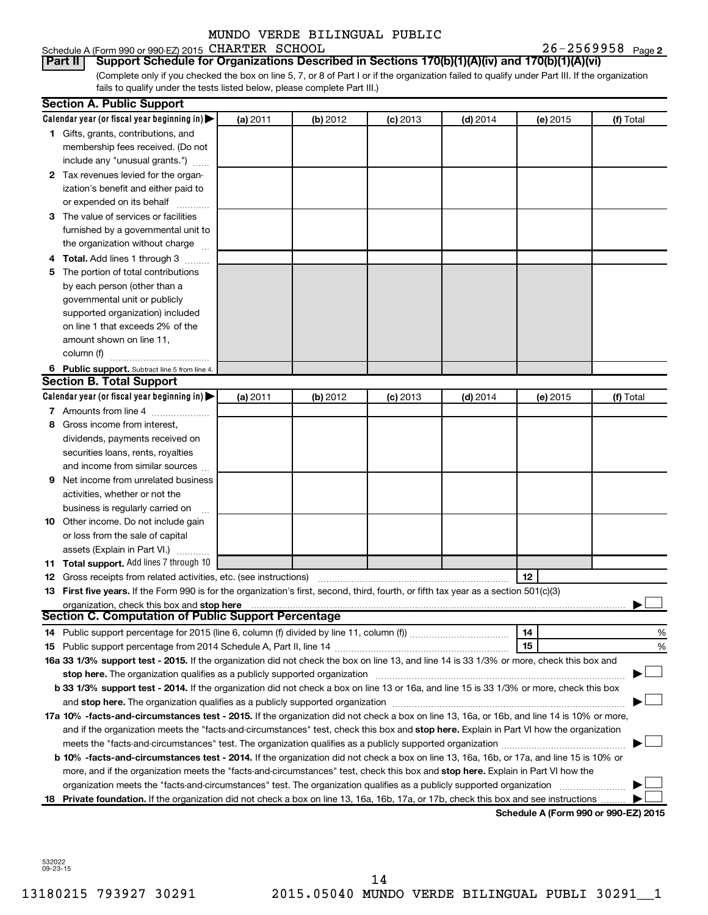Schedule A (Form 990 or 990-EZ) 2015 CHARTER SCHOOL  $26-2569958$  Page

26-2569958 Page 2

(Complete only if you checked the box on line 5, 7, or 8 of Part I or if the organization failed to qualify under Part III. If the organization fails to qualify under the tests listed below, please complete Part III.) **Part II Support Schedule for Organizations Described in Sections 170(b)(1)(A)(iv) and 170(b)(1)(A)(vi)**

| Calendar year (or fiscal year beginning in)<br>(a) 2011<br>(b) 2012<br>$(c)$ 2013<br>$(d)$ 2014<br>(e) 2015<br>(f) Total<br>1 Gifts, grants, contributions, and<br>membership fees received. (Do not<br>include any "unusual grants.")<br>2 Tax revenues levied for the organ-<br>ization's benefit and either paid to<br>or expended on its behalf<br>3 The value of services or facilities<br>furnished by a governmental unit to<br>the organization without charge<br>4 Total. Add lines 1 through 3<br>5 The portion of total contributions<br>by each person (other than a<br>governmental unit or publicly<br>supported organization) included<br>on line 1 that exceeds 2% of the<br>amount shown on line 11,<br>column (f)<br>6 Public support. Subtract line 5 from line 4.<br><b>Section B. Total Support</b><br>Calendar year (or fiscal year beginning in)<br>(a) 2011<br>(b) 2012<br>$(c)$ 2013<br>$(d)$ 2014<br>(e) 2015<br>(f) Total<br>7 Amounts from line 4<br>8 Gross income from interest,<br>dividends, payments received on<br>securities loans, rents, royalties<br>and income from similar sources<br>Net income from unrelated business<br>9<br>activities, whether or not the<br>business is regularly carried on<br>10 Other income. Do not include gain<br>or loss from the sale of capital<br>assets (Explain in Part VI.)<br>11 Total support. Add lines 7 through 10<br>12<br><b>12</b> Gross receipts from related activities, etc. (see instructions)<br>13 First five years. If the Form 990 is for the organization's first, second, third, fourth, or fifth tax year as a section 501(c)(3)<br>organization, check this box and stop here<br><b>Section C. Computation of Public Support Percentage</b><br>14<br>%<br>15<br>%<br>16a 33 1/3% support test - 2015. If the organization did not check the box on line 13, and line 14 is 33 1/3% or more, check this box and<br>stop here. The organization qualifies as a publicly supported organization<br>b 33 1/3% support test - 2014. If the organization did not check a box on line 13 or 16a, and line 15 is 33 1/3% or more, check this box<br>and stop here. The organization qualifies as a publicly supported organization [11] manuscription manuscription manuscription manuscription manuscription manuscription manuscription and an analyze of the organization manus<br>17a 10% -facts-and-circumstances test - 2015. If the organization did not check a box on line 13, 16a, or 16b, and line 14 is 10% or more,<br>and if the organization meets the "facts-and-circumstances" test, check this box and stop here. Explain in Part VI how the organization<br>b 10% -facts-and-circumstances test - 2014. If the organization did not check a box on line 13, 16a, 16b, or 17a, and line 15 is 10% or<br>more, and if the organization meets the "facts-and-circumstances" test, check this box and stop here. Explain in Part VI how the<br>organization meets the "facts-and-circumstances" test. The organization qualifies as a publicly supported organization<br>18 Private foundation. If the organization did not check a box on line 13, 16a, 16b, 17a, or 17b, check this box and see instructions | <b>Section A. Public Support</b> |  |  |  |
|-----------------------------------------------------------------------------------------------------------------------------------------------------------------------------------------------------------------------------------------------------------------------------------------------------------------------------------------------------------------------------------------------------------------------------------------------------------------------------------------------------------------------------------------------------------------------------------------------------------------------------------------------------------------------------------------------------------------------------------------------------------------------------------------------------------------------------------------------------------------------------------------------------------------------------------------------------------------------------------------------------------------------------------------------------------------------------------------------------------------------------------------------------------------------------------------------------------------------------------------------------------------------------------------------------------------------------------------------------------------------------------------------------------------------------------------------------------------------------------------------------------------------------------------------------------------------------------------------------------------------------------------------------------------------------------------------------------------------------------------------------------------------------------------------------------------------------------------------------------------------------------------------------------------------------------------------------------------------------------------------------------------------------------------------------------------------------------------------------------------------------------------------------------------------------------------------------------------------------------------------------------------------------------------------------------------------------------------------------------------------------------------------------------------------------------------------------------------------------------------------------------------------------------------------------------------------------------------------------------------------------------------------------------------------------------------------------------------------------------------------------------------------------------------------------------------------------------------------------------------------------------------------------------------------------------------------------------------------------------------------------------------------------------------------------------------------------------------------------------------------------------------------------------------------------------------------------------------------|----------------------------------|--|--|--|
|                                                                                                                                                                                                                                                                                                                                                                                                                                                                                                                                                                                                                                                                                                                                                                                                                                                                                                                                                                                                                                                                                                                                                                                                                                                                                                                                                                                                                                                                                                                                                                                                                                                                                                                                                                                                                                                                                                                                                                                                                                                                                                                                                                                                                                                                                                                                                                                                                                                                                                                                                                                                                                                                                                                                                                                                                                                                                                                                                                                                                                                                                                                                                                                                                       |                                  |  |  |  |
|                                                                                                                                                                                                                                                                                                                                                                                                                                                                                                                                                                                                                                                                                                                                                                                                                                                                                                                                                                                                                                                                                                                                                                                                                                                                                                                                                                                                                                                                                                                                                                                                                                                                                                                                                                                                                                                                                                                                                                                                                                                                                                                                                                                                                                                                                                                                                                                                                                                                                                                                                                                                                                                                                                                                                                                                                                                                                                                                                                                                                                                                                                                                                                                                                       |                                  |  |  |  |
|                                                                                                                                                                                                                                                                                                                                                                                                                                                                                                                                                                                                                                                                                                                                                                                                                                                                                                                                                                                                                                                                                                                                                                                                                                                                                                                                                                                                                                                                                                                                                                                                                                                                                                                                                                                                                                                                                                                                                                                                                                                                                                                                                                                                                                                                                                                                                                                                                                                                                                                                                                                                                                                                                                                                                                                                                                                                                                                                                                                                                                                                                                                                                                                                                       |                                  |  |  |  |
|                                                                                                                                                                                                                                                                                                                                                                                                                                                                                                                                                                                                                                                                                                                                                                                                                                                                                                                                                                                                                                                                                                                                                                                                                                                                                                                                                                                                                                                                                                                                                                                                                                                                                                                                                                                                                                                                                                                                                                                                                                                                                                                                                                                                                                                                                                                                                                                                                                                                                                                                                                                                                                                                                                                                                                                                                                                                                                                                                                                                                                                                                                                                                                                                                       |                                  |  |  |  |
|                                                                                                                                                                                                                                                                                                                                                                                                                                                                                                                                                                                                                                                                                                                                                                                                                                                                                                                                                                                                                                                                                                                                                                                                                                                                                                                                                                                                                                                                                                                                                                                                                                                                                                                                                                                                                                                                                                                                                                                                                                                                                                                                                                                                                                                                                                                                                                                                                                                                                                                                                                                                                                                                                                                                                                                                                                                                                                                                                                                                                                                                                                                                                                                                                       |                                  |  |  |  |
|                                                                                                                                                                                                                                                                                                                                                                                                                                                                                                                                                                                                                                                                                                                                                                                                                                                                                                                                                                                                                                                                                                                                                                                                                                                                                                                                                                                                                                                                                                                                                                                                                                                                                                                                                                                                                                                                                                                                                                                                                                                                                                                                                                                                                                                                                                                                                                                                                                                                                                                                                                                                                                                                                                                                                                                                                                                                                                                                                                                                                                                                                                                                                                                                                       |                                  |  |  |  |
|                                                                                                                                                                                                                                                                                                                                                                                                                                                                                                                                                                                                                                                                                                                                                                                                                                                                                                                                                                                                                                                                                                                                                                                                                                                                                                                                                                                                                                                                                                                                                                                                                                                                                                                                                                                                                                                                                                                                                                                                                                                                                                                                                                                                                                                                                                                                                                                                                                                                                                                                                                                                                                                                                                                                                                                                                                                                                                                                                                                                                                                                                                                                                                                                                       |                                  |  |  |  |
|                                                                                                                                                                                                                                                                                                                                                                                                                                                                                                                                                                                                                                                                                                                                                                                                                                                                                                                                                                                                                                                                                                                                                                                                                                                                                                                                                                                                                                                                                                                                                                                                                                                                                                                                                                                                                                                                                                                                                                                                                                                                                                                                                                                                                                                                                                                                                                                                                                                                                                                                                                                                                                                                                                                                                                                                                                                                                                                                                                                                                                                                                                                                                                                                                       |                                  |  |  |  |
|                                                                                                                                                                                                                                                                                                                                                                                                                                                                                                                                                                                                                                                                                                                                                                                                                                                                                                                                                                                                                                                                                                                                                                                                                                                                                                                                                                                                                                                                                                                                                                                                                                                                                                                                                                                                                                                                                                                                                                                                                                                                                                                                                                                                                                                                                                                                                                                                                                                                                                                                                                                                                                                                                                                                                                                                                                                                                                                                                                                                                                                                                                                                                                                                                       |                                  |  |  |  |
|                                                                                                                                                                                                                                                                                                                                                                                                                                                                                                                                                                                                                                                                                                                                                                                                                                                                                                                                                                                                                                                                                                                                                                                                                                                                                                                                                                                                                                                                                                                                                                                                                                                                                                                                                                                                                                                                                                                                                                                                                                                                                                                                                                                                                                                                                                                                                                                                                                                                                                                                                                                                                                                                                                                                                                                                                                                                                                                                                                                                                                                                                                                                                                                                                       |                                  |  |  |  |
|                                                                                                                                                                                                                                                                                                                                                                                                                                                                                                                                                                                                                                                                                                                                                                                                                                                                                                                                                                                                                                                                                                                                                                                                                                                                                                                                                                                                                                                                                                                                                                                                                                                                                                                                                                                                                                                                                                                                                                                                                                                                                                                                                                                                                                                                                                                                                                                                                                                                                                                                                                                                                                                                                                                                                                                                                                                                                                                                                                                                                                                                                                                                                                                                                       |                                  |  |  |  |
|                                                                                                                                                                                                                                                                                                                                                                                                                                                                                                                                                                                                                                                                                                                                                                                                                                                                                                                                                                                                                                                                                                                                                                                                                                                                                                                                                                                                                                                                                                                                                                                                                                                                                                                                                                                                                                                                                                                                                                                                                                                                                                                                                                                                                                                                                                                                                                                                                                                                                                                                                                                                                                                                                                                                                                                                                                                                                                                                                                                                                                                                                                                                                                                                                       |                                  |  |  |  |
|                                                                                                                                                                                                                                                                                                                                                                                                                                                                                                                                                                                                                                                                                                                                                                                                                                                                                                                                                                                                                                                                                                                                                                                                                                                                                                                                                                                                                                                                                                                                                                                                                                                                                                                                                                                                                                                                                                                                                                                                                                                                                                                                                                                                                                                                                                                                                                                                                                                                                                                                                                                                                                                                                                                                                                                                                                                                                                                                                                                                                                                                                                                                                                                                                       |                                  |  |  |  |
|                                                                                                                                                                                                                                                                                                                                                                                                                                                                                                                                                                                                                                                                                                                                                                                                                                                                                                                                                                                                                                                                                                                                                                                                                                                                                                                                                                                                                                                                                                                                                                                                                                                                                                                                                                                                                                                                                                                                                                                                                                                                                                                                                                                                                                                                                                                                                                                                                                                                                                                                                                                                                                                                                                                                                                                                                                                                                                                                                                                                                                                                                                                                                                                                                       |                                  |  |  |  |
|                                                                                                                                                                                                                                                                                                                                                                                                                                                                                                                                                                                                                                                                                                                                                                                                                                                                                                                                                                                                                                                                                                                                                                                                                                                                                                                                                                                                                                                                                                                                                                                                                                                                                                                                                                                                                                                                                                                                                                                                                                                                                                                                                                                                                                                                                                                                                                                                                                                                                                                                                                                                                                                                                                                                                                                                                                                                                                                                                                                                                                                                                                                                                                                                                       |                                  |  |  |  |
|                                                                                                                                                                                                                                                                                                                                                                                                                                                                                                                                                                                                                                                                                                                                                                                                                                                                                                                                                                                                                                                                                                                                                                                                                                                                                                                                                                                                                                                                                                                                                                                                                                                                                                                                                                                                                                                                                                                                                                                                                                                                                                                                                                                                                                                                                                                                                                                                                                                                                                                                                                                                                                                                                                                                                                                                                                                                                                                                                                                                                                                                                                                                                                                                                       |                                  |  |  |  |
|                                                                                                                                                                                                                                                                                                                                                                                                                                                                                                                                                                                                                                                                                                                                                                                                                                                                                                                                                                                                                                                                                                                                                                                                                                                                                                                                                                                                                                                                                                                                                                                                                                                                                                                                                                                                                                                                                                                                                                                                                                                                                                                                                                                                                                                                                                                                                                                                                                                                                                                                                                                                                                                                                                                                                                                                                                                                                                                                                                                                                                                                                                                                                                                                                       |                                  |  |  |  |
|                                                                                                                                                                                                                                                                                                                                                                                                                                                                                                                                                                                                                                                                                                                                                                                                                                                                                                                                                                                                                                                                                                                                                                                                                                                                                                                                                                                                                                                                                                                                                                                                                                                                                                                                                                                                                                                                                                                                                                                                                                                                                                                                                                                                                                                                                                                                                                                                                                                                                                                                                                                                                                                                                                                                                                                                                                                                                                                                                                                                                                                                                                                                                                                                                       |                                  |  |  |  |
|                                                                                                                                                                                                                                                                                                                                                                                                                                                                                                                                                                                                                                                                                                                                                                                                                                                                                                                                                                                                                                                                                                                                                                                                                                                                                                                                                                                                                                                                                                                                                                                                                                                                                                                                                                                                                                                                                                                                                                                                                                                                                                                                                                                                                                                                                                                                                                                                                                                                                                                                                                                                                                                                                                                                                                                                                                                                                                                                                                                                                                                                                                                                                                                                                       |                                  |  |  |  |
|                                                                                                                                                                                                                                                                                                                                                                                                                                                                                                                                                                                                                                                                                                                                                                                                                                                                                                                                                                                                                                                                                                                                                                                                                                                                                                                                                                                                                                                                                                                                                                                                                                                                                                                                                                                                                                                                                                                                                                                                                                                                                                                                                                                                                                                                                                                                                                                                                                                                                                                                                                                                                                                                                                                                                                                                                                                                                                                                                                                                                                                                                                                                                                                                                       |                                  |  |  |  |
|                                                                                                                                                                                                                                                                                                                                                                                                                                                                                                                                                                                                                                                                                                                                                                                                                                                                                                                                                                                                                                                                                                                                                                                                                                                                                                                                                                                                                                                                                                                                                                                                                                                                                                                                                                                                                                                                                                                                                                                                                                                                                                                                                                                                                                                                                                                                                                                                                                                                                                                                                                                                                                                                                                                                                                                                                                                                                                                                                                                                                                                                                                                                                                                                                       |                                  |  |  |  |
|                                                                                                                                                                                                                                                                                                                                                                                                                                                                                                                                                                                                                                                                                                                                                                                                                                                                                                                                                                                                                                                                                                                                                                                                                                                                                                                                                                                                                                                                                                                                                                                                                                                                                                                                                                                                                                                                                                                                                                                                                                                                                                                                                                                                                                                                                                                                                                                                                                                                                                                                                                                                                                                                                                                                                                                                                                                                                                                                                                                                                                                                                                                                                                                                                       |                                  |  |  |  |
|                                                                                                                                                                                                                                                                                                                                                                                                                                                                                                                                                                                                                                                                                                                                                                                                                                                                                                                                                                                                                                                                                                                                                                                                                                                                                                                                                                                                                                                                                                                                                                                                                                                                                                                                                                                                                                                                                                                                                                                                                                                                                                                                                                                                                                                                                                                                                                                                                                                                                                                                                                                                                                                                                                                                                                                                                                                                                                                                                                                                                                                                                                                                                                                                                       |                                  |  |  |  |
|                                                                                                                                                                                                                                                                                                                                                                                                                                                                                                                                                                                                                                                                                                                                                                                                                                                                                                                                                                                                                                                                                                                                                                                                                                                                                                                                                                                                                                                                                                                                                                                                                                                                                                                                                                                                                                                                                                                                                                                                                                                                                                                                                                                                                                                                                                                                                                                                                                                                                                                                                                                                                                                                                                                                                                                                                                                                                                                                                                                                                                                                                                                                                                                                                       |                                  |  |  |  |
|                                                                                                                                                                                                                                                                                                                                                                                                                                                                                                                                                                                                                                                                                                                                                                                                                                                                                                                                                                                                                                                                                                                                                                                                                                                                                                                                                                                                                                                                                                                                                                                                                                                                                                                                                                                                                                                                                                                                                                                                                                                                                                                                                                                                                                                                                                                                                                                                                                                                                                                                                                                                                                                                                                                                                                                                                                                                                                                                                                                                                                                                                                                                                                                                                       |                                  |  |  |  |
|                                                                                                                                                                                                                                                                                                                                                                                                                                                                                                                                                                                                                                                                                                                                                                                                                                                                                                                                                                                                                                                                                                                                                                                                                                                                                                                                                                                                                                                                                                                                                                                                                                                                                                                                                                                                                                                                                                                                                                                                                                                                                                                                                                                                                                                                                                                                                                                                                                                                                                                                                                                                                                                                                                                                                                                                                                                                                                                                                                                                                                                                                                                                                                                                                       |                                  |  |  |  |
|                                                                                                                                                                                                                                                                                                                                                                                                                                                                                                                                                                                                                                                                                                                                                                                                                                                                                                                                                                                                                                                                                                                                                                                                                                                                                                                                                                                                                                                                                                                                                                                                                                                                                                                                                                                                                                                                                                                                                                                                                                                                                                                                                                                                                                                                                                                                                                                                                                                                                                                                                                                                                                                                                                                                                                                                                                                                                                                                                                                                                                                                                                                                                                                                                       |                                  |  |  |  |
|                                                                                                                                                                                                                                                                                                                                                                                                                                                                                                                                                                                                                                                                                                                                                                                                                                                                                                                                                                                                                                                                                                                                                                                                                                                                                                                                                                                                                                                                                                                                                                                                                                                                                                                                                                                                                                                                                                                                                                                                                                                                                                                                                                                                                                                                                                                                                                                                                                                                                                                                                                                                                                                                                                                                                                                                                                                                                                                                                                                                                                                                                                                                                                                                                       |                                  |  |  |  |
|                                                                                                                                                                                                                                                                                                                                                                                                                                                                                                                                                                                                                                                                                                                                                                                                                                                                                                                                                                                                                                                                                                                                                                                                                                                                                                                                                                                                                                                                                                                                                                                                                                                                                                                                                                                                                                                                                                                                                                                                                                                                                                                                                                                                                                                                                                                                                                                                                                                                                                                                                                                                                                                                                                                                                                                                                                                                                                                                                                                                                                                                                                                                                                                                                       |                                  |  |  |  |
|                                                                                                                                                                                                                                                                                                                                                                                                                                                                                                                                                                                                                                                                                                                                                                                                                                                                                                                                                                                                                                                                                                                                                                                                                                                                                                                                                                                                                                                                                                                                                                                                                                                                                                                                                                                                                                                                                                                                                                                                                                                                                                                                                                                                                                                                                                                                                                                                                                                                                                                                                                                                                                                                                                                                                                                                                                                                                                                                                                                                                                                                                                                                                                                                                       |                                  |  |  |  |
|                                                                                                                                                                                                                                                                                                                                                                                                                                                                                                                                                                                                                                                                                                                                                                                                                                                                                                                                                                                                                                                                                                                                                                                                                                                                                                                                                                                                                                                                                                                                                                                                                                                                                                                                                                                                                                                                                                                                                                                                                                                                                                                                                                                                                                                                                                                                                                                                                                                                                                                                                                                                                                                                                                                                                                                                                                                                                                                                                                                                                                                                                                                                                                                                                       |                                  |  |  |  |
|                                                                                                                                                                                                                                                                                                                                                                                                                                                                                                                                                                                                                                                                                                                                                                                                                                                                                                                                                                                                                                                                                                                                                                                                                                                                                                                                                                                                                                                                                                                                                                                                                                                                                                                                                                                                                                                                                                                                                                                                                                                                                                                                                                                                                                                                                                                                                                                                                                                                                                                                                                                                                                                                                                                                                                                                                                                                                                                                                                                                                                                                                                                                                                                                                       |                                  |  |  |  |
|                                                                                                                                                                                                                                                                                                                                                                                                                                                                                                                                                                                                                                                                                                                                                                                                                                                                                                                                                                                                                                                                                                                                                                                                                                                                                                                                                                                                                                                                                                                                                                                                                                                                                                                                                                                                                                                                                                                                                                                                                                                                                                                                                                                                                                                                                                                                                                                                                                                                                                                                                                                                                                                                                                                                                                                                                                                                                                                                                                                                                                                                                                                                                                                                                       |                                  |  |  |  |
|                                                                                                                                                                                                                                                                                                                                                                                                                                                                                                                                                                                                                                                                                                                                                                                                                                                                                                                                                                                                                                                                                                                                                                                                                                                                                                                                                                                                                                                                                                                                                                                                                                                                                                                                                                                                                                                                                                                                                                                                                                                                                                                                                                                                                                                                                                                                                                                                                                                                                                                                                                                                                                                                                                                                                                                                                                                                                                                                                                                                                                                                                                                                                                                                                       |                                  |  |  |  |
|                                                                                                                                                                                                                                                                                                                                                                                                                                                                                                                                                                                                                                                                                                                                                                                                                                                                                                                                                                                                                                                                                                                                                                                                                                                                                                                                                                                                                                                                                                                                                                                                                                                                                                                                                                                                                                                                                                                                                                                                                                                                                                                                                                                                                                                                                                                                                                                                                                                                                                                                                                                                                                                                                                                                                                                                                                                                                                                                                                                                                                                                                                                                                                                                                       |                                  |  |  |  |
|                                                                                                                                                                                                                                                                                                                                                                                                                                                                                                                                                                                                                                                                                                                                                                                                                                                                                                                                                                                                                                                                                                                                                                                                                                                                                                                                                                                                                                                                                                                                                                                                                                                                                                                                                                                                                                                                                                                                                                                                                                                                                                                                                                                                                                                                                                                                                                                                                                                                                                                                                                                                                                                                                                                                                                                                                                                                                                                                                                                                                                                                                                                                                                                                                       |                                  |  |  |  |
|                                                                                                                                                                                                                                                                                                                                                                                                                                                                                                                                                                                                                                                                                                                                                                                                                                                                                                                                                                                                                                                                                                                                                                                                                                                                                                                                                                                                                                                                                                                                                                                                                                                                                                                                                                                                                                                                                                                                                                                                                                                                                                                                                                                                                                                                                                                                                                                                                                                                                                                                                                                                                                                                                                                                                                                                                                                                                                                                                                                                                                                                                                                                                                                                                       |                                  |  |  |  |
|                                                                                                                                                                                                                                                                                                                                                                                                                                                                                                                                                                                                                                                                                                                                                                                                                                                                                                                                                                                                                                                                                                                                                                                                                                                                                                                                                                                                                                                                                                                                                                                                                                                                                                                                                                                                                                                                                                                                                                                                                                                                                                                                                                                                                                                                                                                                                                                                                                                                                                                                                                                                                                                                                                                                                                                                                                                                                                                                                                                                                                                                                                                                                                                                                       |                                  |  |  |  |
|                                                                                                                                                                                                                                                                                                                                                                                                                                                                                                                                                                                                                                                                                                                                                                                                                                                                                                                                                                                                                                                                                                                                                                                                                                                                                                                                                                                                                                                                                                                                                                                                                                                                                                                                                                                                                                                                                                                                                                                                                                                                                                                                                                                                                                                                                                                                                                                                                                                                                                                                                                                                                                                                                                                                                                                                                                                                                                                                                                                                                                                                                                                                                                                                                       |                                  |  |  |  |
|                                                                                                                                                                                                                                                                                                                                                                                                                                                                                                                                                                                                                                                                                                                                                                                                                                                                                                                                                                                                                                                                                                                                                                                                                                                                                                                                                                                                                                                                                                                                                                                                                                                                                                                                                                                                                                                                                                                                                                                                                                                                                                                                                                                                                                                                                                                                                                                                                                                                                                                                                                                                                                                                                                                                                                                                                                                                                                                                                                                                                                                                                                                                                                                                                       |                                  |  |  |  |
|                                                                                                                                                                                                                                                                                                                                                                                                                                                                                                                                                                                                                                                                                                                                                                                                                                                                                                                                                                                                                                                                                                                                                                                                                                                                                                                                                                                                                                                                                                                                                                                                                                                                                                                                                                                                                                                                                                                                                                                                                                                                                                                                                                                                                                                                                                                                                                                                                                                                                                                                                                                                                                                                                                                                                                                                                                                                                                                                                                                                                                                                                                                                                                                                                       |                                  |  |  |  |
|                                                                                                                                                                                                                                                                                                                                                                                                                                                                                                                                                                                                                                                                                                                                                                                                                                                                                                                                                                                                                                                                                                                                                                                                                                                                                                                                                                                                                                                                                                                                                                                                                                                                                                                                                                                                                                                                                                                                                                                                                                                                                                                                                                                                                                                                                                                                                                                                                                                                                                                                                                                                                                                                                                                                                                                                                                                                                                                                                                                                                                                                                                                                                                                                                       |                                  |  |  |  |
|                                                                                                                                                                                                                                                                                                                                                                                                                                                                                                                                                                                                                                                                                                                                                                                                                                                                                                                                                                                                                                                                                                                                                                                                                                                                                                                                                                                                                                                                                                                                                                                                                                                                                                                                                                                                                                                                                                                                                                                                                                                                                                                                                                                                                                                                                                                                                                                                                                                                                                                                                                                                                                                                                                                                                                                                                                                                                                                                                                                                                                                                                                                                                                                                                       |                                  |  |  |  |
|                                                                                                                                                                                                                                                                                                                                                                                                                                                                                                                                                                                                                                                                                                                                                                                                                                                                                                                                                                                                                                                                                                                                                                                                                                                                                                                                                                                                                                                                                                                                                                                                                                                                                                                                                                                                                                                                                                                                                                                                                                                                                                                                                                                                                                                                                                                                                                                                                                                                                                                                                                                                                                                                                                                                                                                                                                                                                                                                                                                                                                                                                                                                                                                                                       |                                  |  |  |  |
|                                                                                                                                                                                                                                                                                                                                                                                                                                                                                                                                                                                                                                                                                                                                                                                                                                                                                                                                                                                                                                                                                                                                                                                                                                                                                                                                                                                                                                                                                                                                                                                                                                                                                                                                                                                                                                                                                                                                                                                                                                                                                                                                                                                                                                                                                                                                                                                                                                                                                                                                                                                                                                                                                                                                                                                                                                                                                                                                                                                                                                                                                                                                                                                                                       |                                  |  |  |  |
|                                                                                                                                                                                                                                                                                                                                                                                                                                                                                                                                                                                                                                                                                                                                                                                                                                                                                                                                                                                                                                                                                                                                                                                                                                                                                                                                                                                                                                                                                                                                                                                                                                                                                                                                                                                                                                                                                                                                                                                                                                                                                                                                                                                                                                                                                                                                                                                                                                                                                                                                                                                                                                                                                                                                                                                                                                                                                                                                                                                                                                                                                                                                                                                                                       |                                  |  |  |  |
|                                                                                                                                                                                                                                                                                                                                                                                                                                                                                                                                                                                                                                                                                                                                                                                                                                                                                                                                                                                                                                                                                                                                                                                                                                                                                                                                                                                                                                                                                                                                                                                                                                                                                                                                                                                                                                                                                                                                                                                                                                                                                                                                                                                                                                                                                                                                                                                                                                                                                                                                                                                                                                                                                                                                                                                                                                                                                                                                                                                                                                                                                                                                                                                                                       |                                  |  |  |  |
|                                                                                                                                                                                                                                                                                                                                                                                                                                                                                                                                                                                                                                                                                                                                                                                                                                                                                                                                                                                                                                                                                                                                                                                                                                                                                                                                                                                                                                                                                                                                                                                                                                                                                                                                                                                                                                                                                                                                                                                                                                                                                                                                                                                                                                                                                                                                                                                                                                                                                                                                                                                                                                                                                                                                                                                                                                                                                                                                                                                                                                                                                                                                                                                                                       |                                  |  |  |  |
|                                                                                                                                                                                                                                                                                                                                                                                                                                                                                                                                                                                                                                                                                                                                                                                                                                                                                                                                                                                                                                                                                                                                                                                                                                                                                                                                                                                                                                                                                                                                                                                                                                                                                                                                                                                                                                                                                                                                                                                                                                                                                                                                                                                                                                                                                                                                                                                                                                                                                                                                                                                                                                                                                                                                                                                                                                                                                                                                                                                                                                                                                                                                                                                                                       |                                  |  |  |  |
|                                                                                                                                                                                                                                                                                                                                                                                                                                                                                                                                                                                                                                                                                                                                                                                                                                                                                                                                                                                                                                                                                                                                                                                                                                                                                                                                                                                                                                                                                                                                                                                                                                                                                                                                                                                                                                                                                                                                                                                                                                                                                                                                                                                                                                                                                                                                                                                                                                                                                                                                                                                                                                                                                                                                                                                                                                                                                                                                                                                                                                                                                                                                                                                                                       |                                  |  |  |  |

**Schedule A (Form 990 or 990-EZ) 2015**

532022 09-23-15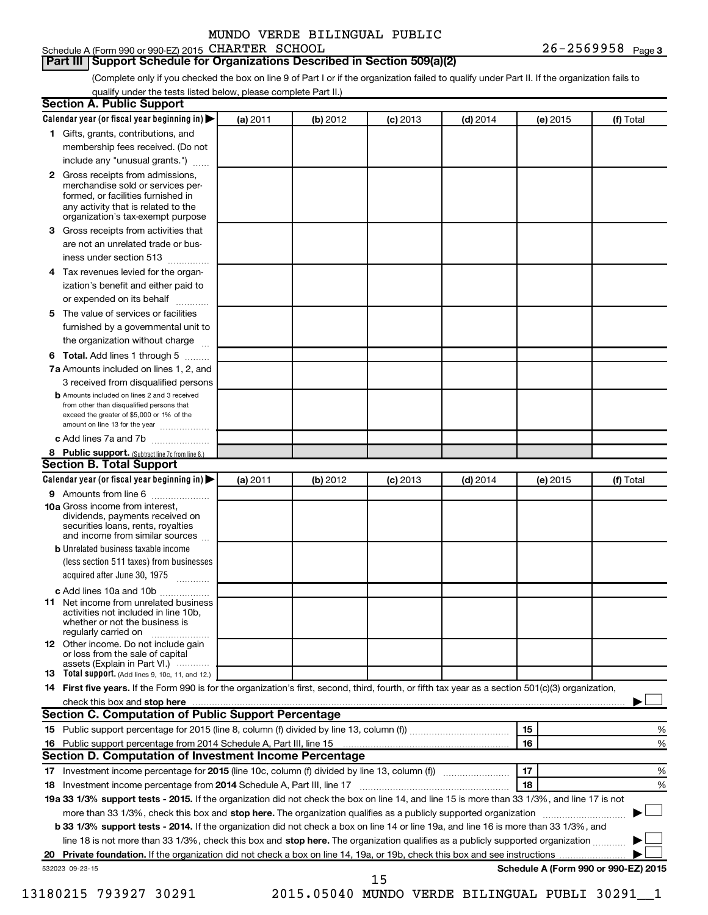#### Schedule A (Form 990 or 990-EZ) 2015 CHARTER SCHOOL  $26-2569958$  Page

**Part III Support Schedule for Organizations Described in Section 509(a)(2)** 

(Complete only if you checked the box on line 9 of Part I or if the organization failed to qualify under Part II. If the organization fails to qualify under the tests listed below, please complete Part II.)

|    | Calendar year (or fiscal year beginning in)                                                                                                                                                                                                                              | (a) 2011 | (b) 2012 | $(c)$ 2013                                   | $(d)$ 2014 |    | (e) 2015 | (f) Total                            |
|----|--------------------------------------------------------------------------------------------------------------------------------------------------------------------------------------------------------------------------------------------------------------------------|----------|----------|----------------------------------------------|------------|----|----------|--------------------------------------|
|    | 1 Gifts, grants, contributions, and                                                                                                                                                                                                                                      |          |          |                                              |            |    |          |                                      |
|    | membership fees received. (Do not                                                                                                                                                                                                                                        |          |          |                                              |            |    |          |                                      |
|    | include any "unusual grants.")                                                                                                                                                                                                                                           |          |          |                                              |            |    |          |                                      |
|    | 2 Gross receipts from admissions,<br>merchandise sold or services per-<br>formed, or facilities furnished in<br>any activity that is related to the<br>organization's tax-exempt purpose                                                                                 |          |          |                                              |            |    |          |                                      |
| 3. | Gross receipts from activities that                                                                                                                                                                                                                                      |          |          |                                              |            |    |          |                                      |
|    | are not an unrelated trade or bus-                                                                                                                                                                                                                                       |          |          |                                              |            |    |          |                                      |
|    | iness under section 513                                                                                                                                                                                                                                                  |          |          |                                              |            |    |          |                                      |
| 4  | Tax revenues levied for the organ-                                                                                                                                                                                                                                       |          |          |                                              |            |    |          |                                      |
|    | ization's benefit and either paid to<br>or expended on its behalf<br>.                                                                                                                                                                                                   |          |          |                                              |            |    |          |                                      |
| 5. | The value of services or facilities                                                                                                                                                                                                                                      |          |          |                                              |            |    |          |                                      |
|    | furnished by a governmental unit to<br>the organization without charge                                                                                                                                                                                                   |          |          |                                              |            |    |          |                                      |
|    | Total. Add lines 1 through 5                                                                                                                                                                                                                                             |          |          |                                              |            |    |          |                                      |
| 6  |                                                                                                                                                                                                                                                                          |          |          |                                              |            |    |          |                                      |
|    | 7a Amounts included on lines 1, 2, and                                                                                                                                                                                                                                   |          |          |                                              |            |    |          |                                      |
|    | 3 received from disqualified persons<br><b>b</b> Amounts included on lines 2 and 3 received                                                                                                                                                                              |          |          |                                              |            |    |          |                                      |
|    | from other than disqualified persons that<br>exceed the greater of \$5,000 or 1% of the<br>amount on line 13 for the year                                                                                                                                                |          |          |                                              |            |    |          |                                      |
|    | c Add lines 7a and 7b                                                                                                                                                                                                                                                    |          |          |                                              |            |    |          |                                      |
|    | 8 Public support. (Subtract line 7c from line 6.)                                                                                                                                                                                                                        |          |          |                                              |            |    |          |                                      |
|    | <b>Section B. Total Support</b>                                                                                                                                                                                                                                          |          |          |                                              |            |    |          |                                      |
|    | Calendar year (or fiscal year beginning in)                                                                                                                                                                                                                              | (a) 2011 | (b) 2012 | $(c)$ 2013                                   | $(d)$ 2014 |    | (e) 2015 | (f) Total                            |
|    | 9 Amounts from line 6                                                                                                                                                                                                                                                    |          |          |                                              |            |    |          |                                      |
|    | <b>10a</b> Gross income from interest,<br>dividends, payments received on<br>securities loans, rents, royalties<br>and income from similar sources                                                                                                                       |          |          |                                              |            |    |          |                                      |
|    | <b>b</b> Unrelated business taxable income                                                                                                                                                                                                                               |          |          |                                              |            |    |          |                                      |
|    | (less section 511 taxes) from businesses<br>acquired after June 30, 1975                                                                                                                                                                                                 |          |          |                                              |            |    |          |                                      |
|    | c Add lines 10a and 10b                                                                                                                                                                                                                                                  |          |          |                                              |            |    |          |                                      |
| 11 | Net income from unrelated business<br>activities not included in line 10b.<br>whether or not the business is<br>regularly carried on                                                                                                                                     |          |          |                                              |            |    |          |                                      |
|    | <b>12</b> Other income. Do not include gain<br>or loss from the sale of capital<br>assets (Explain in Part VI.)                                                                                                                                                          |          |          |                                              |            |    |          |                                      |
|    | <b>13</b> Total support. (Add lines 9, 10c, 11, and 12.)                                                                                                                                                                                                                 |          |          |                                              |            |    |          |                                      |
|    | 14 First five years. If the Form 990 is for the organization's first, second, third, fourth, or fifth tax year as a section 501(c)(3) organization,                                                                                                                      |          |          |                                              |            |    |          |                                      |
|    |                                                                                                                                                                                                                                                                          |          |          |                                              |            |    |          |                                      |
|    | Section C. Computation of Public Support Percentage                                                                                                                                                                                                                      |          |          |                                              |            |    |          |                                      |
|    |                                                                                                                                                                                                                                                                          |          |          |                                              |            | 15 |          | %                                    |
|    |                                                                                                                                                                                                                                                                          |          |          |                                              |            | 16 |          | %                                    |
|    | Section D. Computation of Investment Income Percentage                                                                                                                                                                                                                   |          |          |                                              |            |    |          |                                      |
|    |                                                                                                                                                                                                                                                                          |          |          |                                              |            | 17 |          | %                                    |
|    |                                                                                                                                                                                                                                                                          |          |          |                                              |            | 18 |          | %                                    |
|    | 19a 33 1/3% support tests - 2015. If the organization did not check the box on line 14, and line 15 is more than 33 1/3%, and line 17 is not                                                                                                                             |          |          |                                              |            |    |          |                                      |
|    | more than 33 1/3%, check this box and stop here. The organization qualifies as a publicly supported organization <i>marroummanness</i>                                                                                                                                   |          |          |                                              |            |    |          |                                      |
|    | b 33 1/3% support tests - 2014. If the organization did not check a box on line 14 or line 19a, and line 16 is more than 33 1/3%, and<br>line 18 is not more than 33 1/3%, check this box and stop here. The organization qualifies as a publicly supported organization |          |          |                                              |            |    |          |                                      |
|    |                                                                                                                                                                                                                                                                          |          |          |                                              |            |    |          |                                      |
|    |                                                                                                                                                                                                                                                                          |          |          |                                              |            |    |          | Schedule A (Form 990 or 990-EZ) 2015 |
|    | 532023 09-23-15                                                                                                                                                                                                                                                          |          |          | 15                                           |            |    |          |                                      |
|    | 13180215 793927 30291                                                                                                                                                                                                                                                    |          |          | 2015.05040 MUNDO VERDE BILINGUAL PUBLI 30291 |            |    |          |                                      |
|    |                                                                                                                                                                                                                                                                          |          |          |                                              |            |    |          |                                      |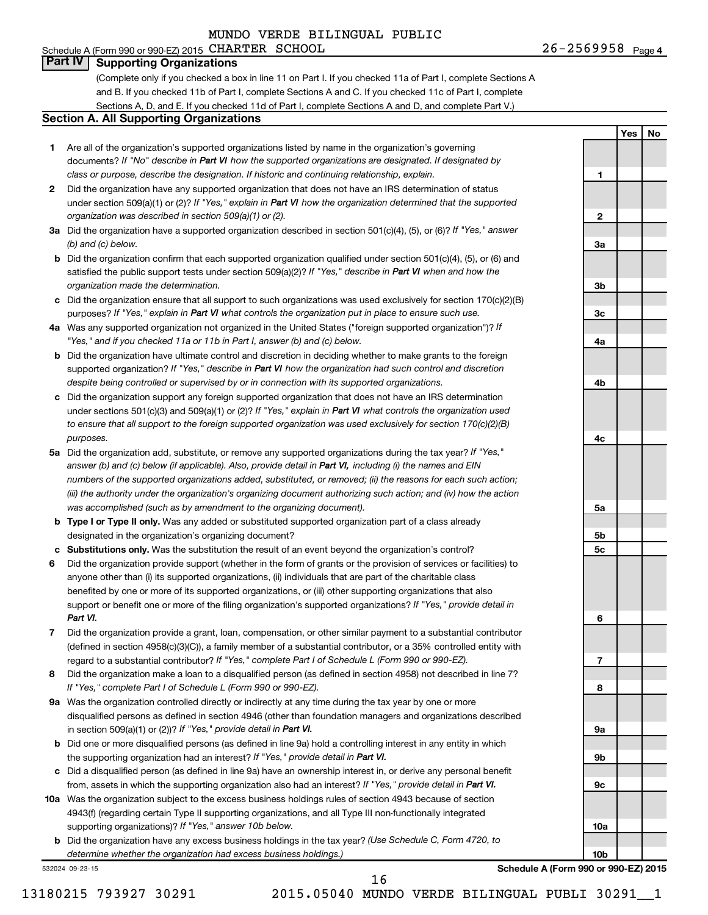**1**

**2**

**3a**

**3b**

**3c**

**4a**

**4b**

**4c**

**5a**

**5b 5c**

**6**

**7**

**8**

**9a**

**9b**

**9c**

**10a**

**10b**

**Yes No**

#### **Part IV Supporting Organizations**

(Complete only if you checked a box in line 11 on Part I. If you checked 11a of Part I, complete Sections A and B. If you checked 11b of Part I, complete Sections A and C. If you checked 11c of Part I, complete Sections A, D, and E. If you checked 11d of Part I, complete Sections A and D, and complete Part V.)

#### **Section A. All Supporting Organizations**

- **1** Are all of the organization's supported organizations listed by name in the organization's governing documents? If "No" describe in Part VI how the supported organizations are designated. If designated by *class or purpose, describe the designation. If historic and continuing relationship, explain.*
- **2** Did the organization have any supported organization that does not have an IRS determination of status under section 509(a)(1) or (2)? If "Yes," explain in Part VI how the organization determined that the supported *organization was described in section 509(a)(1) or (2).*
- **3a** Did the organization have a supported organization described in section 501(c)(4), (5), or (6)? If "Yes," answer *(b) and (c) below.*
- **b** Did the organization confirm that each supported organization qualified under section 501(c)(4), (5), or (6) and satisfied the public support tests under section 509(a)(2)? If "Yes," describe in Part VI when and how the *organization made the determination.*
- **c** Did the organization ensure that all support to such organizations was used exclusively for section 170(c)(2)(B) purposes? If "Yes," explain in Part VI what controls the organization put in place to ensure such use.
- **4 a** *If* Was any supported organization not organized in the United States ("foreign supported organization")? *"Yes," and if you checked 11a or 11b in Part I, answer (b) and (c) below.*
- **b** Did the organization have ultimate control and discretion in deciding whether to make grants to the foreign supported organization? If "Yes," describe in Part VI how the organization had such control and discretion *despite being controlled or supervised by or in connection with its supported organizations.*
- **c** Did the organization support any foreign supported organization that does not have an IRS determination under sections 501(c)(3) and 509(a)(1) or (2)? If "Yes," explain in Part VI what controls the organization used *to ensure that all support to the foreign supported organization was used exclusively for section 170(c)(2)(B) purposes.*
- **5a** Did the organization add, substitute, or remove any supported organizations during the tax year? If "Yes," answer (b) and (c) below (if applicable). Also, provide detail in Part VI, including (i) the names and EIN *numbers of the supported organizations added, substituted, or removed; (ii) the reasons for each such action; (iii) the authority under the organization's organizing document authorizing such action; and (iv) how the action was accomplished (such as by amendment to the organizing document).*
- **b Type I or Type II only.** Was any added or substituted supported organization part of a class already designated in the organization's organizing document?
- **c Substitutions only.**  Was the substitution the result of an event beyond the organization's control?
- **6** Did the organization provide support (whether in the form of grants or the provision of services or facilities) to support or benefit one or more of the filing organization's supported organizations? If "Yes," provide detail in anyone other than (i) its supported organizations, (ii) individuals that are part of the charitable class benefited by one or more of its supported organizations, or (iii) other supporting organizations that also *Part VI.*
- **7** Did the organization provide a grant, loan, compensation, or other similar payment to a substantial contributor regard to a substantial contributor? If "Yes," complete Part I of Schedule L (Form 990 or 990-EZ). (defined in section 4958(c)(3)(C)), a family member of a substantial contributor, or a 35% controlled entity with
- **8** Did the organization make a loan to a disqualified person (as defined in section 4958) not described in line 7? *If "Yes," complete Part I of Schedule L (Form 990 or 990-EZ).*
- **9 a** Was the organization controlled directly or indirectly at any time during the tax year by one or more in section 509(a)(1) or (2))? If "Yes," provide detail in Part VI. disqualified persons as defined in section 4946 (other than foundation managers and organizations described
- **b** Did one or more disqualified persons (as defined in line 9a) hold a controlling interest in any entity in which the supporting organization had an interest? If "Yes," provide detail in Part VI.
- **c** Did a disqualified person (as defined in line 9a) have an ownership interest in, or derive any personal benefit from, assets in which the supporting organization also had an interest? If "Yes," provide detail in Part VI.
- **10 a** Was the organization subject to the excess business holdings rules of section 4943 because of section supporting organizations)? If "Yes," answer 10b below. 4943(f) (regarding certain Type II supporting organizations, and all Type III non-functionally integrated
	- **b** Did the organization have any excess business holdings in the tax year? (Use Schedule C, Form 4720, to *determine whether the organization had excess business holdings.)*

532024 09-23-15

**Schedule A (Form 990 or 990-EZ) 2015**

13180215 793927 30291 2015.05040 MUNDO VERDE BILINGUAL PUBLI 30291\_\_1

16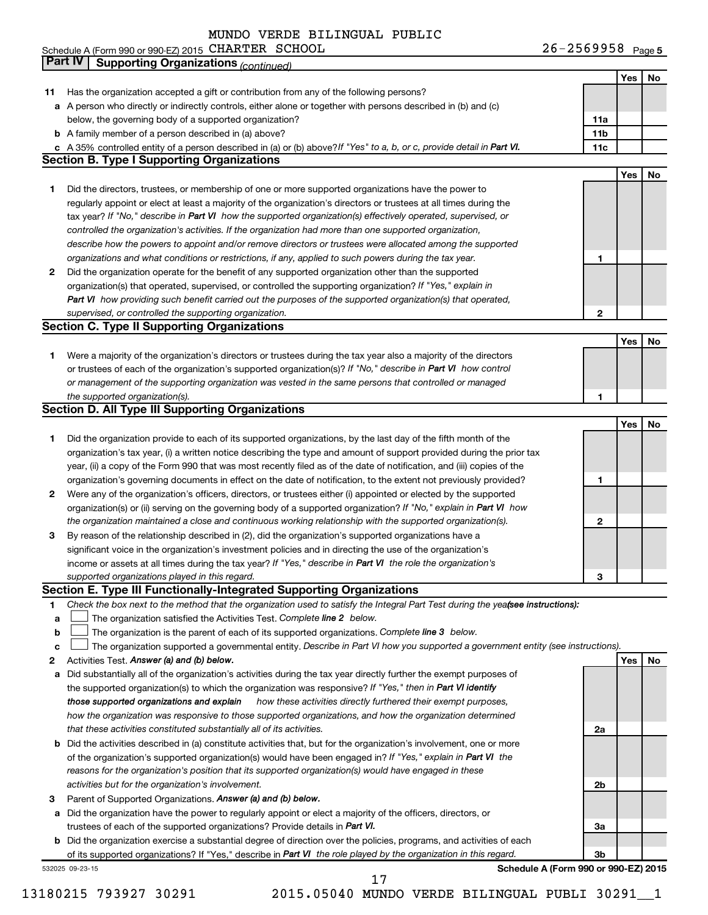| Schedule A (Form 990 or 990-EZ) 2015 CHARTER SCHOOL | $26 - 2569958$ Page 5 |
|-----------------------------------------------------|-----------------------|
|-----------------------------------------------------|-----------------------|

|    | Part IV<br><b>Supporting Organizations (continued)</b>                                                                          |                 |     |    |
|----|---------------------------------------------------------------------------------------------------------------------------------|-----------------|-----|----|
|    |                                                                                                                                 |                 | Yes | No |
| 11 | Has the organization accepted a gift or contribution from any of the following persons?                                         |                 |     |    |
|    | a A person who directly or indirectly controls, either alone or together with persons described in (b) and (c)                  |                 |     |    |
|    | below, the governing body of a supported organization?                                                                          | 11a             |     |    |
|    | <b>b</b> A family member of a person described in (a) above?                                                                    | 11 <sub>b</sub> |     |    |
|    | c A 35% controlled entity of a person described in (a) or (b) above? If "Yes" to a, b, or c, provide detail in Part VI.         | 11c             |     |    |
|    | <b>Section B. Type I Supporting Organizations</b>                                                                               |                 |     |    |
|    |                                                                                                                                 |                 | Yes | No |
|    |                                                                                                                                 |                 |     |    |
| 1  | Did the directors, trustees, or membership of one or more supported organizations have the power to                             |                 |     |    |
|    | regularly appoint or elect at least a majority of the organization's directors or trustees at all times during the              |                 |     |    |
|    | tax year? If "No," describe in Part VI how the supported organization(s) effectively operated, supervised, or                   |                 |     |    |
|    | controlled the organization's activities. If the organization had more than one supported organization,                         |                 |     |    |
|    | describe how the powers to appoint and/or remove directors or trustees were allocated among the supported                       |                 |     |    |
|    | organizations and what conditions or restrictions, if any, applied to such powers during the tax year.                          | 1               |     |    |
| 2  | Did the organization operate for the benefit of any supported organization other than the supported                             |                 |     |    |
|    | organization(s) that operated, supervised, or controlled the supporting organization? If "Yes," explain in                      |                 |     |    |
|    | Part VI how providing such benefit carried out the purposes of the supported organization(s) that operated,                     |                 |     |    |
|    | supervised, or controlled the supporting organization.                                                                          | 2               |     |    |
|    | <b>Section C. Type II Supporting Organizations</b>                                                                              |                 |     |    |
|    |                                                                                                                                 |                 | Yes | No |
| 1. | Were a majority of the organization's directors or trustees during the tax year also a majority of the directors                |                 |     |    |
|    | or trustees of each of the organization's supported organization(s)? If "No," describe in Part VI how control                   |                 |     |    |
|    | or management of the supporting organization was vested in the same persons that controlled or managed                          |                 |     |    |
|    | the supported organization(s).                                                                                                  | 1               |     |    |
|    | <b>Section D. All Type III Supporting Organizations</b>                                                                         |                 |     |    |
|    |                                                                                                                                 |                 | Yes | No |
| 1  | Did the organization provide to each of its supported organizations, by the last day of the fifth month of the                  |                 |     |    |
|    | organization's tax year, (i) a written notice describing the type and amount of support provided during the prior tax           |                 |     |    |
|    |                                                                                                                                 |                 |     |    |
|    | year, (ii) a copy of the Form 990 that was most recently filed as of the date of notification, and (iii) copies of the          |                 |     |    |
|    | organization's governing documents in effect on the date of notification, to the extent not previously provided?                | 1               |     |    |
| 2  | Were any of the organization's officers, directors, or trustees either (i) appointed or elected by the supported                |                 |     |    |
|    | organization(s) or (ii) serving on the governing body of a supported organization? If "No," explain in Part VI how              |                 |     |    |
|    | the organization maintained a close and continuous working relationship with the supported organization(s).                     | 2               |     |    |
| 3  | By reason of the relationship described in (2), did the organization's supported organizations have a                           |                 |     |    |
|    | significant voice in the organization's investment policies and in directing the use of the organization's                      |                 |     |    |
|    | income or assets at all times during the tax year? If "Yes," describe in Part VI the role the organization's                    |                 |     |    |
|    | supported organizations played in this regard.                                                                                  | з               |     |    |
|    | Section E. Type III Functionally-Integrated Supporting Organizations                                                            |                 |     |    |
| 1  | Check the box next to the method that the organization used to satisfy the Integral Part Test during the yealsee instructions): |                 |     |    |
| a  | The organization satisfied the Activities Test. Complete line 2 below.                                                          |                 |     |    |
| b  | The organization is the parent of each of its supported organizations. Complete line 3 below.                                   |                 |     |    |
| с  | The organization supported a governmental entity. Describe in Part VI how you supported a government entity (see instructions). |                 |     |    |
| 2  | Activities Test. Answer (a) and (b) below.                                                                                      |                 | Yes | No |
| а  | Did substantially all of the organization's activities during the tax year directly further the exempt purposes of              |                 |     |    |
|    | the supported organization(s) to which the organization was responsive? If "Yes," then in Part VI identify                      |                 |     |    |
|    | those supported organizations and explain<br>how these activities directly furthered their exempt purposes,                     |                 |     |    |
|    | how the organization was responsive to those supported organizations, and how the organization determined                       |                 |     |    |
|    | that these activities constituted substantially all of its activities.                                                          | 2a              |     |    |
|    | b Did the activities described in (a) constitute activities that, but for the organization's involvement, one or more           |                 |     |    |
|    | of the organization's supported organization(s) would have been engaged in? If "Yes," explain in Part VI the                    |                 |     |    |
|    |                                                                                                                                 |                 |     |    |
|    | reasons for the organization's position that its supported organization(s) would have engaged in these                          |                 |     |    |
|    | activities but for the organization's involvement.                                                                              | 2b              |     |    |
| з  | Parent of Supported Organizations. Answer (a) and (b) below.                                                                    |                 |     |    |
| а  | Did the organization have the power to regularly appoint or elect a majority of the officers, directors, or                     |                 |     |    |
|    | trustees of each of the supported organizations? Provide details in Part VI.                                                    | За              |     |    |
|    | <b>b</b> Did the organization exercise a substantial degree of direction over the policies, programs, and activities of each    |                 |     |    |
|    | of its supported organizations? If "Yes," describe in Part VI the role played by the organization in this regard.               | 3b              |     |    |
|    | Schedule A (Form 990 or 990-EZ) 2015<br>532025 09-23-15                                                                         |                 |     |    |

17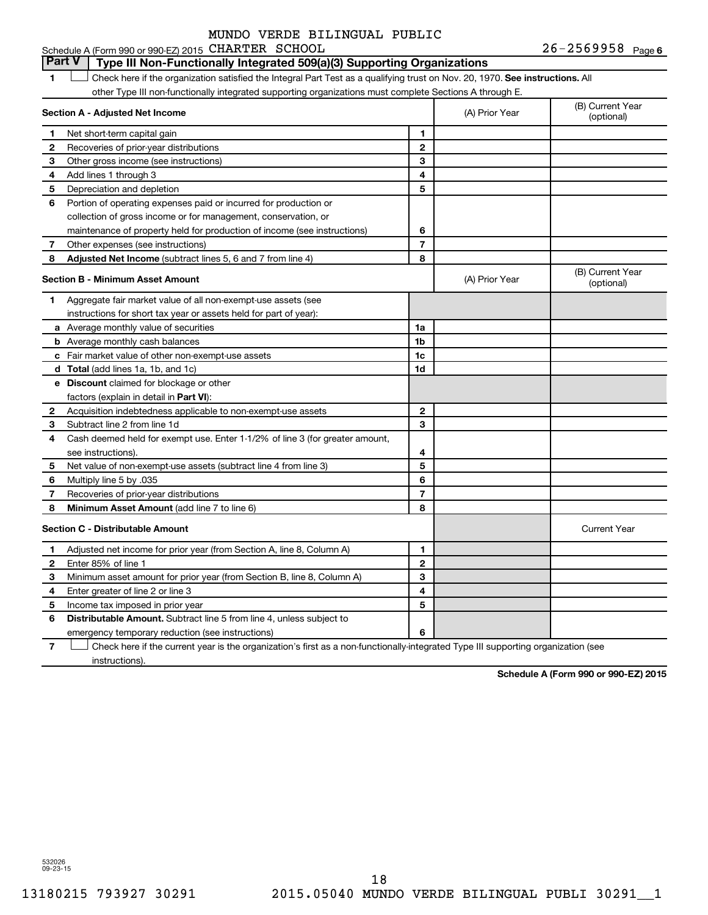#### **Part V Type III Non-Functionally Integrated 509(a)(3) Supporting Organizations**

1 **Letter on Reck here if the organization satisfied the Integral Part Test as a qualifying trust on Nov. 20, 1970. See instructions. All** other Type III non-functionally integrated supporting organizations must complete Sections A through E.

|              | Section A - Adjusted Net Income                                              |                | (A) Prior Year | (B) Current Year<br>(optional) |
|--------------|------------------------------------------------------------------------------|----------------|----------------|--------------------------------|
| 1            | Net short-term capital gain                                                  | 1              |                |                                |
| $\mathbf{2}$ | Recoveries of prior-year distributions                                       | $\mathbf{2}$   |                |                                |
| 3            | Other gross income (see instructions)                                        | 3              |                |                                |
| 4            | Add lines 1 through 3                                                        | 4              |                |                                |
| 5            | Depreciation and depletion                                                   | 5              |                |                                |
| 6            | Portion of operating expenses paid or incurred for production or             |                |                |                                |
|              | collection of gross income or for management, conservation, or               |                |                |                                |
|              | maintenance of property held for production of income (see instructions)     | 6              |                |                                |
| 7            | Other expenses (see instructions)                                            | $\overline{7}$ |                |                                |
| 8            | Adjusted Net Income (subtract lines 5, 6 and 7 from line 4)                  | 8              |                |                                |
|              | <b>Section B - Minimum Asset Amount</b>                                      |                | (A) Prior Year | (B) Current Year<br>(optional) |
| 1.           | Aggregate fair market value of all non-exempt-use assets (see                |                |                |                                |
|              | instructions for short tax year or assets held for part of year):            |                |                |                                |
|              | <b>a</b> Average monthly value of securities                                 | 1a             |                |                                |
|              | <b>b</b> Average monthly cash balances                                       | 1 <sub>b</sub> |                |                                |
|              | <b>c</b> Fair market value of other non-exempt-use assets                    | 1c             |                |                                |
|              | d Total (add lines 1a, 1b, and 1c)                                           | 1d             |                |                                |
|              | e Discount claimed for blockage or other                                     |                |                |                                |
|              | factors (explain in detail in Part VI):                                      |                |                |                                |
| 2            | Acquisition indebtedness applicable to non-exempt-use assets                 | $\mathbf{2}$   |                |                                |
| 3            | Subtract line 2 from line 1d                                                 | 3              |                |                                |
| 4            | Cash deemed held for exempt use. Enter 1-1/2% of line 3 (for greater amount, |                |                |                                |
|              | see instructions).                                                           | 4              |                |                                |
| 5            | Net value of non-exempt-use assets (subtract line 4 from line 3)             | 5              |                |                                |
| 6            | Multiply line 5 by .035                                                      | 6              |                |                                |
| 7            | Recoveries of prior-year distributions                                       | $\overline{7}$ |                |                                |
| 8            | <b>Minimum Asset Amount</b> (add line 7 to line 6)                           | 8              |                |                                |
|              | <b>Section C - Distributable Amount</b>                                      |                |                | <b>Current Year</b>            |
| 1            | Adjusted net income for prior year (from Section A, line 8, Column A)        | 1              |                |                                |
| 2            | Enter 85% of line 1                                                          | $\mathbf{2}$   |                |                                |
| 3            | Minimum asset amount for prior year (from Section B, line 8, Column A)       | 3              |                |                                |
| 4            | Enter greater of line 2 or line 3                                            | 4              |                |                                |
| 5            | Income tax imposed in prior year                                             | 5              |                |                                |
| 6            | <b>Distributable Amount.</b> Subtract line 5 from line 4, unless subject to  |                |                |                                |
|              | emergency temporary reduction (see instructions)                             | 6              |                |                                |
|              |                                                                              |                |                |                                |

**7** Check here if the current year is the organization's first as a non-functionally-integrated Type III supporting organization (see † instructions).

**Schedule A (Form 990 or 990-EZ) 2015**

532026 09-23-15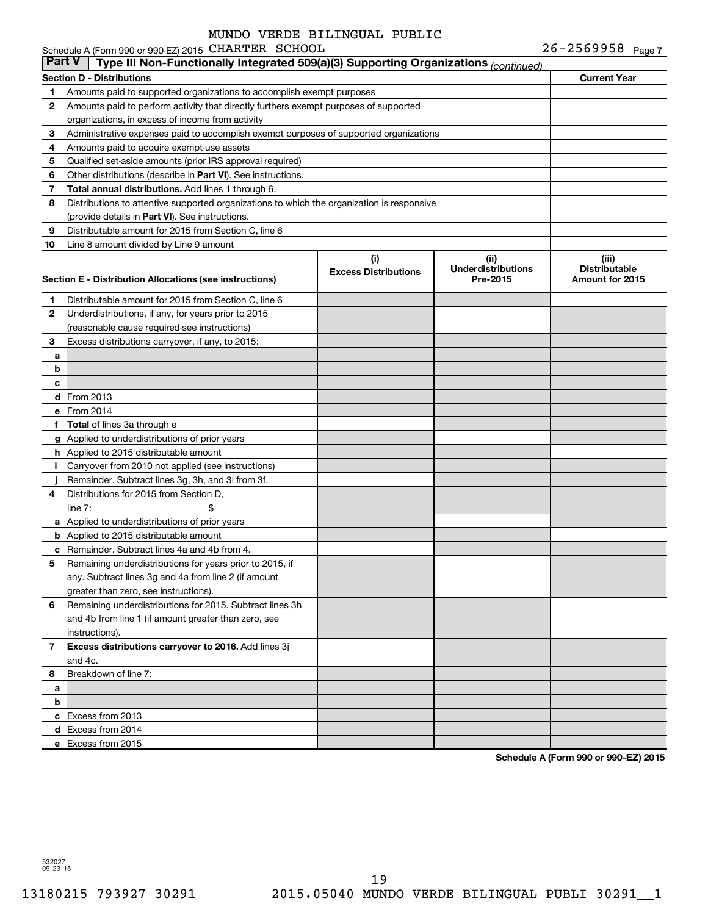|               | Schedule A (Form 990 or 990-EZ) 2015 CHARTER SCHOOL                                        |                             |                           | $26 - 2569958$ Page 7 |
|---------------|--------------------------------------------------------------------------------------------|-----------------------------|---------------------------|-----------------------|
| <b>Part V</b> | Type III Non-Functionally Integrated 509(a)(3) Supporting Organizations (continued)        |                             |                           |                       |
|               | <b>Section D - Distributions</b>                                                           |                             |                           | <b>Current Year</b>   |
| 1             | Amounts paid to supported organizations to accomplish exempt purposes                      |                             |                           |                       |
| 2             | Amounts paid to perform activity that directly furthers exempt purposes of supported       |                             |                           |                       |
|               | organizations, in excess of income from activity                                           |                             |                           |                       |
| 3             | Administrative expenses paid to accomplish exempt purposes of supported organizations      |                             |                           |                       |
| 4             | Amounts paid to acquire exempt-use assets                                                  |                             |                           |                       |
| 5             | Qualified set-aside amounts (prior IRS approval required)                                  |                             |                           |                       |
| 6             | Other distributions (describe in Part VI). See instructions.                               |                             |                           |                       |
| 7             | Total annual distributions. Add lines 1 through 6.                                         |                             |                           |                       |
| 8             | Distributions to attentive supported organizations to which the organization is responsive |                             |                           |                       |
|               | (provide details in Part VI). See instructions.                                            |                             |                           |                       |
| 9             | Distributable amount for 2015 from Section C, line 6                                       |                             |                           |                       |
| 10            | Line 8 amount divided by Line 9 amount                                                     |                             |                           |                       |
|               |                                                                                            | (i)                         | (ii)                      | (iii)                 |
|               |                                                                                            | <b>Excess Distributions</b> | <b>Underdistributions</b> | <b>Distributable</b>  |
|               | Section E - Distribution Allocations (see instructions)                                    |                             | Pre-2015                  | Amount for 2015       |
| 1             | Distributable amount for 2015 from Section C, line 6                                       |                             |                           |                       |
| 2             | Underdistributions, if any, for years prior to 2015                                        |                             |                           |                       |
|               | (reasonable cause required-see instructions)                                               |                             |                           |                       |
| 3             | Excess distributions carryover, if any, to 2015:                                           |                             |                           |                       |
| a             |                                                                                            |                             |                           |                       |
| b             |                                                                                            |                             |                           |                       |
| c             |                                                                                            |                             |                           |                       |
|               | d From 2013                                                                                |                             |                           |                       |
|               | e From 2014                                                                                |                             |                           |                       |
|               | f Total of lines 3a through e                                                              |                             |                           |                       |
|               | g Applied to underdistributions of prior years                                             |                             |                           |                       |
|               | h Applied to 2015 distributable amount                                                     |                             |                           |                       |
| Ť.            | Carryover from 2010 not applied (see instructions)                                         |                             |                           |                       |
|               | Remainder. Subtract lines 3g, 3h, and 3i from 3f.                                          |                             |                           |                       |
| 4             | Distributions for 2015 from Section D,                                                     |                             |                           |                       |
|               | line $7:$                                                                                  |                             |                           |                       |
|               | a Applied to underdistributions of prior years                                             |                             |                           |                       |
|               | <b>b</b> Applied to 2015 distributable amount                                              |                             |                           |                       |
|               | c Remainder. Subtract lines 4a and 4b from 4.                                              |                             |                           |                       |
|               | 5 Remaining underdistributions for years prior to 2015, if                                 |                             |                           |                       |
|               | any. Subtract lines 3g and 4a from line 2 (if amount                                       |                             |                           |                       |
|               | greater than zero, see instructions).                                                      |                             |                           |                       |
| 6             | Remaining underdistributions for 2015. Subtract lines 3h                                   |                             |                           |                       |
|               | and 4b from line 1 (if amount greater than zero, see                                       |                             |                           |                       |
|               | instructions).                                                                             |                             |                           |                       |
| 7             | Excess distributions carryover to 2016. Add lines 3j                                       |                             |                           |                       |
|               | and 4c.                                                                                    |                             |                           |                       |
| 8             | Breakdown of line 7:                                                                       |                             |                           |                       |
| а             |                                                                                            |                             |                           |                       |
| b             |                                                                                            |                             |                           |                       |
|               | c Excess from 2013                                                                         |                             |                           |                       |
|               | d Excess from 2014                                                                         |                             |                           |                       |
|               | e Excess from 2015                                                                         |                             |                           |                       |

**Schedule A (Form 990 or 990-EZ) 2015**

532027 09-23-15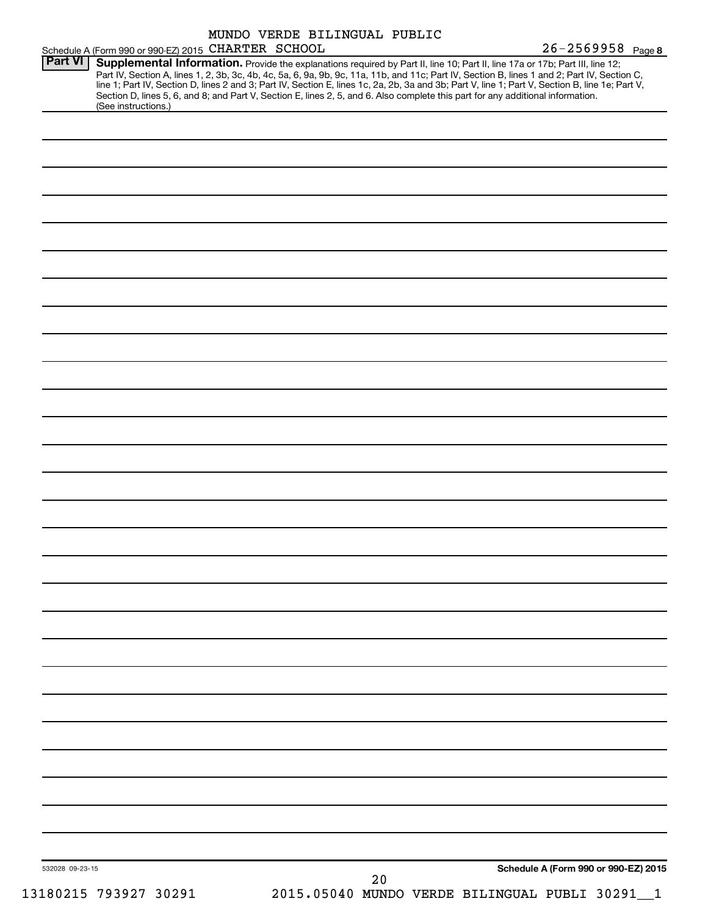| Schedule A (Form 990 or 990-EZ) 2015 CHARTER SCHOOL |  | $26 - 2569958$ Page 8                                                                                                                                                                                                                                                                                                                                                                                                                                                                                                                                               |
|-----------------------------------------------------|--|---------------------------------------------------------------------------------------------------------------------------------------------------------------------------------------------------------------------------------------------------------------------------------------------------------------------------------------------------------------------------------------------------------------------------------------------------------------------------------------------------------------------------------------------------------------------|
| <b>Part VI</b><br>(See instructions.)               |  | Supplemental Information. Provide the explanations required by Part II, line 10; Part II, line 17a or 17b; Part III, line 12;<br>Part IV, Section A, lines 1, 2, 3b, 3c, 4b, 4c, 5a, 6, 9a, 9b, 9c, 11a, 11b, and 11c; Part IV, Section B, lines 1 and 2; Part IV, Section C,<br>line 1; Part IV, Section D, lines 2 and 3; Part IV, Section E, lines 1c, 2a, 2b, 3a and 3b; Part V, line 1; Part V, Section B, line 1e; Part V,<br>Section D, lines 5, 6, and 8; and Part V, Section E, lines 2, 5, and 6. Also complete this part for any additional information. |
|                                                     |  |                                                                                                                                                                                                                                                                                                                                                                                                                                                                                                                                                                     |
|                                                     |  |                                                                                                                                                                                                                                                                                                                                                                                                                                                                                                                                                                     |
|                                                     |  |                                                                                                                                                                                                                                                                                                                                                                                                                                                                                                                                                                     |
|                                                     |  |                                                                                                                                                                                                                                                                                                                                                                                                                                                                                                                                                                     |
|                                                     |  |                                                                                                                                                                                                                                                                                                                                                                                                                                                                                                                                                                     |
|                                                     |  |                                                                                                                                                                                                                                                                                                                                                                                                                                                                                                                                                                     |
|                                                     |  |                                                                                                                                                                                                                                                                                                                                                                                                                                                                                                                                                                     |
|                                                     |  |                                                                                                                                                                                                                                                                                                                                                                                                                                                                                                                                                                     |
|                                                     |  |                                                                                                                                                                                                                                                                                                                                                                                                                                                                                                                                                                     |
|                                                     |  |                                                                                                                                                                                                                                                                                                                                                                                                                                                                                                                                                                     |
|                                                     |  |                                                                                                                                                                                                                                                                                                                                                                                                                                                                                                                                                                     |
|                                                     |  |                                                                                                                                                                                                                                                                                                                                                                                                                                                                                                                                                                     |
|                                                     |  |                                                                                                                                                                                                                                                                                                                                                                                                                                                                                                                                                                     |
|                                                     |  |                                                                                                                                                                                                                                                                                                                                                                                                                                                                                                                                                                     |
|                                                     |  |                                                                                                                                                                                                                                                                                                                                                                                                                                                                                                                                                                     |
|                                                     |  |                                                                                                                                                                                                                                                                                                                                                                                                                                                                                                                                                                     |
|                                                     |  |                                                                                                                                                                                                                                                                                                                                                                                                                                                                                                                                                                     |
|                                                     |  |                                                                                                                                                                                                                                                                                                                                                                                                                                                                                                                                                                     |
|                                                     |  |                                                                                                                                                                                                                                                                                                                                                                                                                                                                                                                                                                     |
|                                                     |  |                                                                                                                                                                                                                                                                                                                                                                                                                                                                                                                                                                     |
|                                                     |  |                                                                                                                                                                                                                                                                                                                                                                                                                                                                                                                                                                     |
|                                                     |  |                                                                                                                                                                                                                                                                                                                                                                                                                                                                                                                                                                     |
|                                                     |  |                                                                                                                                                                                                                                                                                                                                                                                                                                                                                                                                                                     |
|                                                     |  |                                                                                                                                                                                                                                                                                                                                                                                                                                                                                                                                                                     |
|                                                     |  |                                                                                                                                                                                                                                                                                                                                                                                                                                                                                                                                                                     |
|                                                     |  |                                                                                                                                                                                                                                                                                                                                                                                                                                                                                                                                                                     |
| 532028 09-23-15                                     |  | Schedule A (Form 990 or 990-EZ) 2015                                                                                                                                                                                                                                                                                                                                                                                                                                                                                                                                |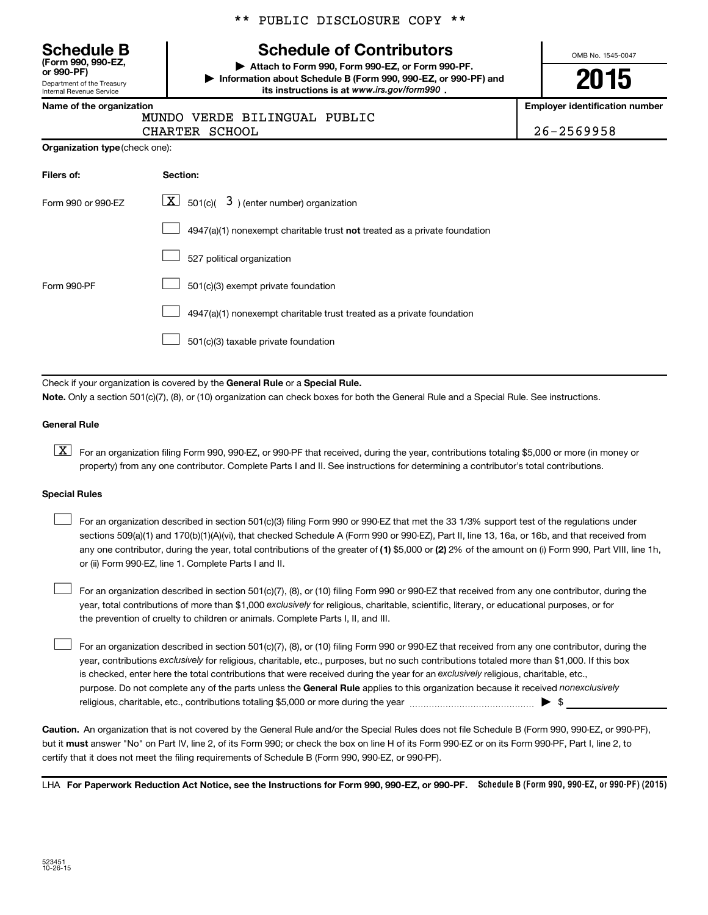**(Form 990, 990-EZ,**

Department of the Treasury Internal Revenue Service

#### \*\* PUBLIC DISCLOSURE COPY \*\*

# **Schedule B Schedule of Contributors**

**or 990-PF) | Attach to Form 990, Form 990-EZ, or Form 990-PF. | Information about Schedule B (Form 990, 990-EZ, or 990-PF) and** its instructions is at www.irs.gov/form990.

OMB No. 1545-0047

# **2015**

**Name of the organization Employer identification number**

|  | MUNDO VERDE BILINGUAL PUBLIC |  |
|--|------------------------------|--|
|  |                              |  |

CHARTER SCHOOL 26-2569958

| Filers of:         | Section:                                                                  |
|--------------------|---------------------------------------------------------------------------|
| Form 990 or 990-EZ | $\lfloor \mathbf{X} \rfloor$ 501(c)( 3) (enter number) organization       |
|                    | 4947(a)(1) nonexempt charitable trust not treated as a private foundation |
|                    | 527 political organization                                                |
| Form 990-PF        | 501(c)(3) exempt private foundation                                       |
|                    | 4947(a)(1) nonexempt charitable trust treated as a private foundation     |
|                    | 501(c)(3) taxable private foundation                                      |

Check if your organization is covered by the General Rule or a Special Rule.

**Note.**  Only a section 501(c)(7), (8), or (10) organization can check boxes for both the General Rule and a Special Rule. See instructions.

#### **General Rule**

**K** For an organization filing Form 990, 990-EZ, or 990-PF that received, during the year, contributions totaling \$5,000 or more (in money or property) from any one contributor. Complete Parts I and II. See instructions for determining a contributor's total contributions.

#### **Special Rules**

 $\Box$ 

any one contributor, during the year, total contributions of the greater of **(1)** \$5,000 or **(2)** 2% of the amount on (i) Form 990, Part VIII, line 1h, For an organization described in section 501(c)(3) filing Form 990 or 990-EZ that met the 33 1/3% support test of the regulations under sections 509(a)(1) and 170(b)(1)(A)(vi), that checked Schedule A (Form 990 or 990-EZ), Part II, line 13, 16a, or 16b, and that received from or (ii) Form 990-EZ, line 1. Complete Parts I and II.  $\Box$ 

year, total contributions of more than \$1,000 *exclusively* for religious, charitable, scientific, literary, or educational purposes, or for For an organization described in section 501(c)(7), (8), or (10) filing Form 990 or 990-EZ that received from any one contributor, during the the prevention of cruelty to children or animals. Complete Parts I, II, and III.  $\Box$ 

purpose. Do not complete any of the parts unless the General Rule applies to this organization because it received nonexclusively year, contributions exclusively for religious, charitable, etc., purposes, but no such contributions totaled more than \$1,000. If this box is checked, enter here the total contributions that were received during the year for an exclusively religious, charitable, etc., For an organization described in section 501(c)(7), (8), or (10) filing Form 990 or 990-EZ that received from any one contributor, during the religious, charitable, etc., contributions totaling \$5,000 or more during the year  $\ldots$  $\ldots$  $\ldots$  $\ldots$  $\ldots$  $\ldots$ 

**Caution.** An organization that is not covered by the General Rule and/or the Special Rules does not file Schedule B (Form 990, 990-EZ, or 990-PF),  **must** but it answer "No" on Part IV, line 2, of its Form 990; or check the box on line H of its Form 990-EZ or on its Form 990-PF, Part I, line 2, to certify that it does not meet the filing requirements of Schedule B (Form 990, 990-EZ, or 990-PF).

LHA For Paperwork Reduction Act Notice, see the Instructions for Form 990, 990-EZ, or 990-PF. Schedule B (Form 990, 990-EZ, or 990-PF) (2015)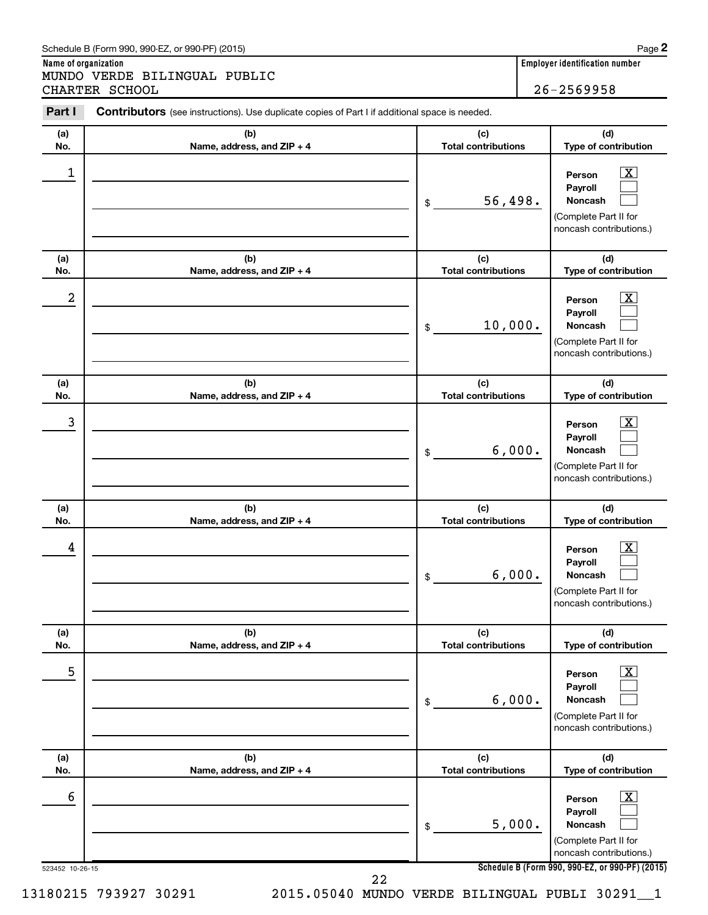#### Schedule B (Form 990, 990-EZ, or 990-PF) (2015)

**Name of organization Employer identification number** MUNDO VERDE BILINGUAL PUBLIC CHARTER SCHOOL 26-2569958

| Part I               | <b>Contributors</b> (see instructions). Use duplicate copies of Part I if additional space is needed. |                                   |                                                                                                                                                              |
|----------------------|-------------------------------------------------------------------------------------------------------|-----------------------------------|--------------------------------------------------------------------------------------------------------------------------------------------------------------|
| (a)<br>No.           | (b)<br>Name, address, and ZIP + 4                                                                     | (c)<br><b>Total contributions</b> | (d)<br>Type of contribution                                                                                                                                  |
| 1                    |                                                                                                       | 56,498.<br>\$                     | $\overline{\mathbf{X}}$<br>Person<br>Payroll<br>Noncash<br>(Complete Part II for<br>noncash contributions.)                                                  |
| (a)<br>No.           | (b)<br>Name, address, and ZIP + 4                                                                     | (c)<br><b>Total contributions</b> | (d)<br>Type of contribution                                                                                                                                  |
| 2                    |                                                                                                       | 10,000.<br>\$                     | $\overline{\mathbf{X}}$<br>Person<br>Payroll<br>Noncash<br>(Complete Part II for<br>noncash contributions.)                                                  |
| (a)<br>No.           | (b)<br>Name, address, and ZIP + 4                                                                     | (c)<br><b>Total contributions</b> | (d)<br>Type of contribution                                                                                                                                  |
| 3                    |                                                                                                       | 6,000.<br>\$                      | $\overline{\mathbf{X}}$<br>Person<br>Payroll<br>Noncash<br>(Complete Part II for<br>noncash contributions.)                                                  |
| (a)                  | (b)                                                                                                   |                                   |                                                                                                                                                              |
| No.                  | Name, address, and ZIP + 4                                                                            | (c)<br><b>Total contributions</b> | (d)<br>Type of contribution                                                                                                                                  |
| 4                    |                                                                                                       | 6,000.<br>\$                      | $\mathbf{X}$<br>Person<br>Payroll<br>Noncash<br>(Complete Part II for<br>noncash contributions.)                                                             |
| (a)<br>No.           | (b)<br>Name, address, and ZIP + 4                                                                     | (c)<br><b>Total contributions</b> | (d)<br>Type of contribution                                                                                                                                  |
| 5                    |                                                                                                       | 6,000.<br>\$                      | $\overline{\mathbf{X}}$<br>Person<br>Payroll<br><b>Noncash</b><br>(Complete Part II for<br>noncash contributions.)                                           |
| (a)<br>No.           | (b)<br>Name, address, and ZIP + 4                                                                     | (c)<br><b>Total contributions</b> | (d)<br>Type of contribution                                                                                                                                  |
| 6<br>523452 10-26-15 |                                                                                                       | 5,000.<br>\$                      | $\overline{\text{X}}$<br>Person<br>Payroll<br>Noncash<br>(Complete Part II for<br>noncash contributions.)<br>Schedule B (Form 990, 990-EZ, or 990-PF) (2015) |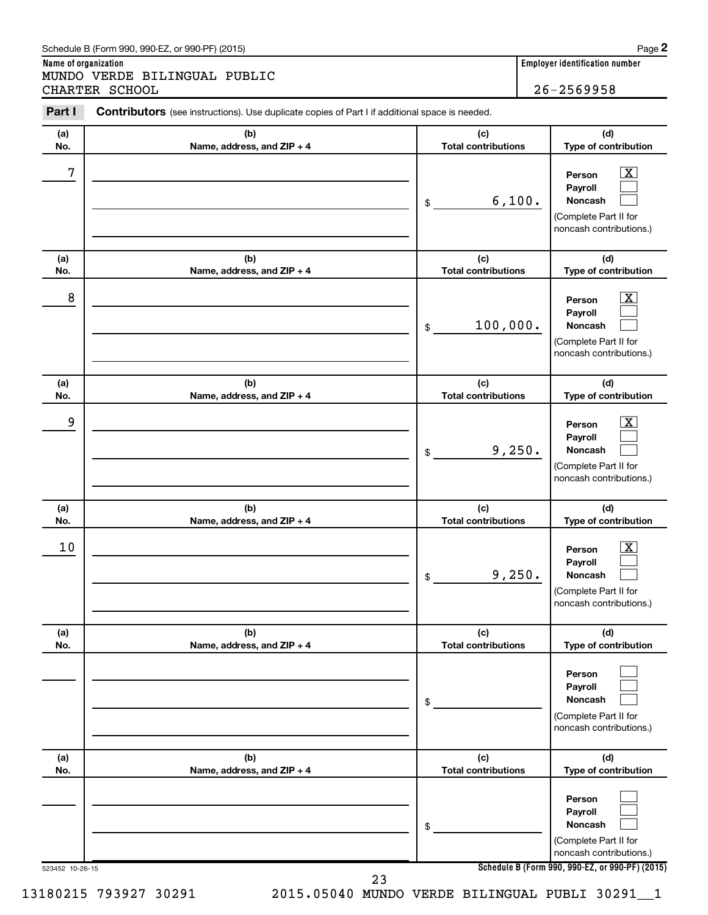#### Schedule B (Form 990, 990-EZ, or 990-PF) (2015)

**Name of organization Employer identification number** MUNDO VERDE BILINGUAL PUBLIC CHARTER SCHOOL 26-2569958

| (a)        | (b)                               | (c)                               | (d)                                                                                                       |
|------------|-----------------------------------|-----------------------------------|-----------------------------------------------------------------------------------------------------------|
| No.        | Name, address, and ZIP + 4        | <b>Total contributions</b>        | Type of contribution                                                                                      |
| 7          |                                   | 6,100.<br>\$                      | $\mathbf{X}$<br>Person<br>Payroll<br>Noncash<br>(Complete Part II for<br>noncash contributions.)          |
| (a)<br>No. | (b)<br>Name, address, and ZIP + 4 | (c)<br><b>Total contributions</b> | (d)<br>Type of contribution                                                                               |
| 8          |                                   | 100,000.<br>\$                    | $\overline{\text{X}}$<br>Person<br>Payroll<br>Noncash<br>(Complete Part II for<br>noncash contributions.) |
| (a)<br>No. | (b)<br>Name, address, and ZIP + 4 | (c)<br><b>Total contributions</b> | (d)<br>Type of contribution                                                                               |
| 9          |                                   | 9,250.<br>\$                      | $\mathbf{X}$<br>Person<br>Payroll<br>Noncash<br>(Complete Part II for<br>noncash contributions.)          |
| (a)<br>No. | (b)<br>Name, address, and ZIP + 4 | (c)<br><b>Total contributions</b> | (d)<br>Type of contribution                                                                               |
| 10         |                                   | 9,250.<br>\$                      | <u>x</u><br>Person<br>Payroll<br>Noncash<br>(Complete Part II for<br>noncash contributions.)              |
| (a)<br>No. | (b)<br>Name, address, and ZIP + 4 | (c)<br><b>Total contributions</b> | (d)<br>Type of contribution                                                                               |
|            |                                   | \$                                | Person<br>Payroll<br>Noncash<br>(Complete Part II for<br>noncash contributions.)                          |
| (a)<br>No. | (b)<br>Name, address, and ZIP + 4 | (c)<br><b>Total contributions</b> | (d)<br>Type of contribution                                                                               |
|            |                                   | \$                                | Person<br>Payroll<br>Noncash<br>(Complete Part II for<br>noncash contributions.)                          |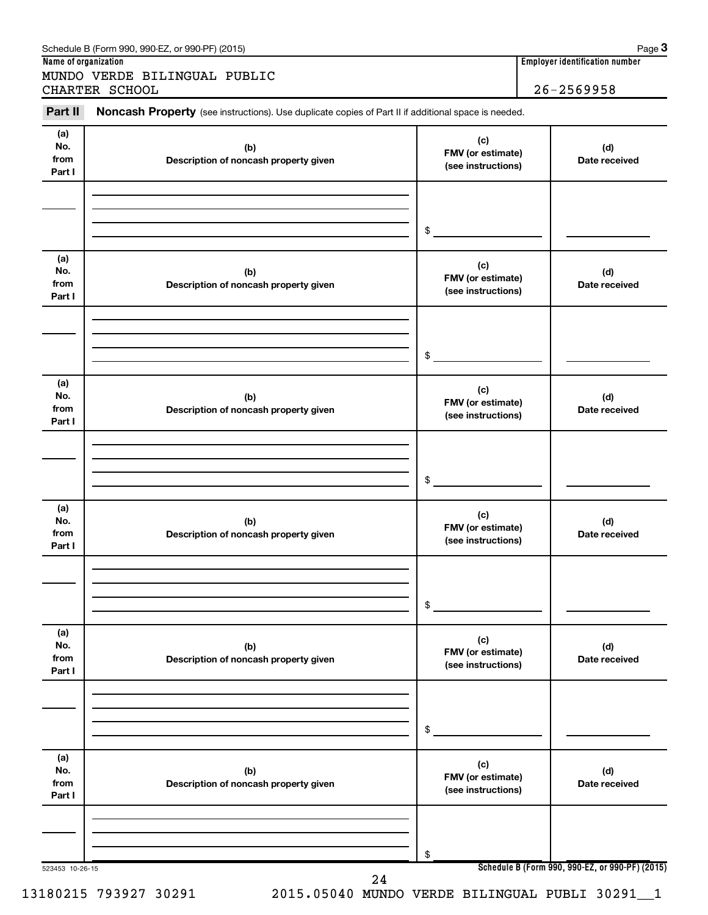|                              | MUNDO VERDE BILINGUAL PUBLIC<br>CHARTER SCHOOL                                                      |                                                | $26 - 2569958$       |
|------------------------------|-----------------------------------------------------------------------------------------------------|------------------------------------------------|----------------------|
| Part II                      | Noncash Property (see instructions). Use duplicate copies of Part II if additional space is needed. |                                                |                      |
| (a)<br>No.<br>from<br>Part I | (b)<br>Description of noncash property given                                                        | (c)<br>FMV (or estimate)<br>(see instructions) | (d)<br>Date received |
|                              |                                                                                                     | \$                                             |                      |
| (a)<br>No.<br>from<br>Part I | (b)<br>Description of noncash property given                                                        | (c)<br>FMV (or estimate)<br>(see instructions) | (d)<br>Date received |
|                              |                                                                                                     | \$                                             |                      |
| (a)<br>No.<br>from<br>Part I | (b)<br>Description of noncash property given                                                        | (c)<br>FMV (or estimate)<br>(see instructions) | (d)<br>Date received |
|                              |                                                                                                     | \$                                             |                      |
| (a)<br>No.<br>from<br>Part I | (b)<br>Description of noncash property given                                                        | (c)<br>FMV (or estimate)<br>(see instructions) | (d)<br>Date received |
|                              |                                                                                                     | \$                                             |                      |
| (a)<br>No.<br>from<br>Part I | (b)<br>Description of noncash property given                                                        | (c)<br>FMV (or estimate)<br>(see instructions) | (d)<br>Date received |
|                              |                                                                                                     | \$                                             |                      |
| (a)<br>No.<br>from<br>Part I | (b)<br>Description of noncash property given                                                        | (c)<br>FMV (or estimate)<br>(see instructions) | (d)<br>Date received |
|                              |                                                                                                     | \$                                             |                      |

**<sup>3</sup>**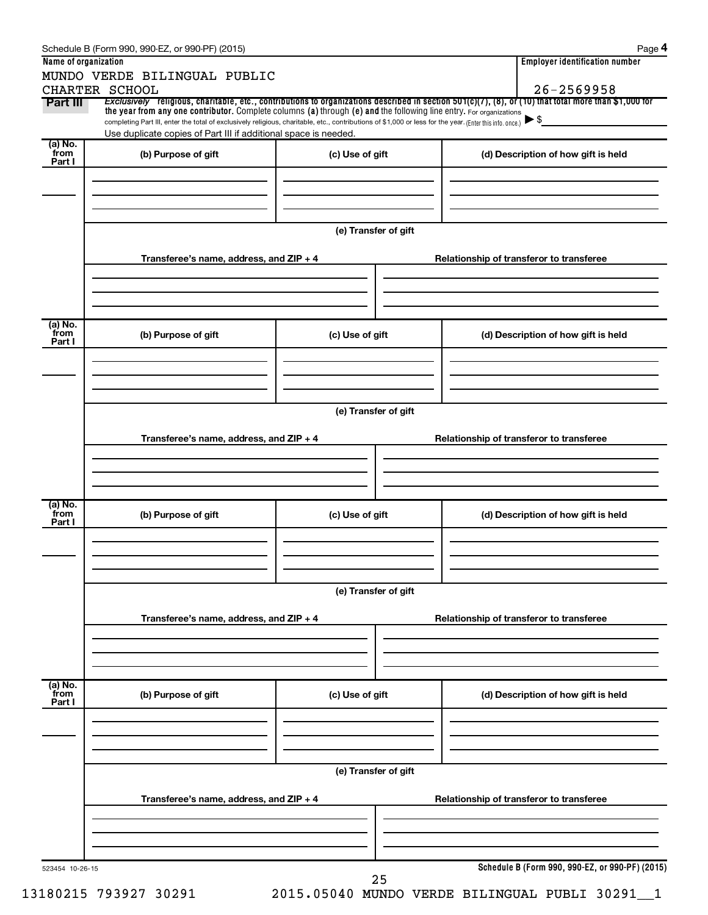|                           | Schedule B (Form 990, 990-EZ, or 990-PF) (2015)                                                                                                                                                                             |                      | Page 4                                                                                                                                                                  |
|---------------------------|-----------------------------------------------------------------------------------------------------------------------------------------------------------------------------------------------------------------------------|----------------------|-------------------------------------------------------------------------------------------------------------------------------------------------------------------------|
| Name of organization      |                                                                                                                                                                                                                             |                      | <b>Employer identification number</b>                                                                                                                                   |
|                           | MUNDO VERDE BILINGUAL PUBLIC                                                                                                                                                                                                |                      |                                                                                                                                                                         |
| Part III                  | CHARTER SCHOOL                                                                                                                                                                                                              |                      | $26 - 2569958$<br>Exclusively religious, charitable, etc., contributions to organizations described in section 501(c)(7), (8), or (10) that total more than \$1,000 for |
|                           | the year from any one contributor. Complete columns (a) through (e) and the following line entry. For organizations                                                                                                         |                      |                                                                                                                                                                         |
|                           | completing Part III, enter the total of exclusively religious, charitable, etc., contributions of \$1,000 or less for the year. (Enter this info. once.)<br>Use duplicate copies of Part III if additional space is needed. |                      | $\blacktriangleright$ \$                                                                                                                                                |
| (a) No.                   |                                                                                                                                                                                                                             |                      |                                                                                                                                                                         |
| from<br>Part I            | (b) Purpose of gift                                                                                                                                                                                                         | (c) Use of gift      | (d) Description of how gift is held                                                                                                                                     |
|                           |                                                                                                                                                                                                                             |                      |                                                                                                                                                                         |
|                           |                                                                                                                                                                                                                             |                      |                                                                                                                                                                         |
|                           |                                                                                                                                                                                                                             |                      |                                                                                                                                                                         |
|                           |                                                                                                                                                                                                                             |                      |                                                                                                                                                                         |
|                           |                                                                                                                                                                                                                             | (e) Transfer of gift |                                                                                                                                                                         |
|                           | Transferee's name, address, and ZIP + 4                                                                                                                                                                                     |                      | Relationship of transferor to transferee                                                                                                                                |
|                           |                                                                                                                                                                                                                             |                      |                                                                                                                                                                         |
|                           |                                                                                                                                                                                                                             |                      |                                                                                                                                                                         |
|                           |                                                                                                                                                                                                                             |                      |                                                                                                                                                                         |
|                           |                                                                                                                                                                                                                             |                      |                                                                                                                                                                         |
| (a) No.<br>from           | (b) Purpose of gift                                                                                                                                                                                                         | (c) Use of gift      | (d) Description of how gift is held                                                                                                                                     |
| Part I                    |                                                                                                                                                                                                                             |                      |                                                                                                                                                                         |
|                           |                                                                                                                                                                                                                             |                      |                                                                                                                                                                         |
|                           |                                                                                                                                                                                                                             |                      |                                                                                                                                                                         |
|                           |                                                                                                                                                                                                                             |                      |                                                                                                                                                                         |
|                           |                                                                                                                                                                                                                             | (e) Transfer of gift |                                                                                                                                                                         |
|                           |                                                                                                                                                                                                                             |                      |                                                                                                                                                                         |
|                           | Transferee's name, address, and ZIP + 4                                                                                                                                                                                     |                      | Relationship of transferor to transferee                                                                                                                                |
|                           |                                                                                                                                                                                                                             |                      |                                                                                                                                                                         |
|                           |                                                                                                                                                                                                                             |                      |                                                                                                                                                                         |
|                           |                                                                                                                                                                                                                             |                      |                                                                                                                                                                         |
| (a) No.                   |                                                                                                                                                                                                                             |                      |                                                                                                                                                                         |
| from<br>Part I            | (b) Purpose of gift                                                                                                                                                                                                         | (c) Use of gift      | (d) Description of how gift is held                                                                                                                                     |
|                           |                                                                                                                                                                                                                             |                      |                                                                                                                                                                         |
|                           |                                                                                                                                                                                                                             |                      |                                                                                                                                                                         |
|                           |                                                                                                                                                                                                                             |                      |                                                                                                                                                                         |
|                           |                                                                                                                                                                                                                             | (e) Transfer of gift |                                                                                                                                                                         |
|                           |                                                                                                                                                                                                                             |                      |                                                                                                                                                                         |
|                           | Transferee's name, address, and ZIP + 4                                                                                                                                                                                     |                      | Relationship of transferor to transferee                                                                                                                                |
|                           |                                                                                                                                                                                                                             |                      |                                                                                                                                                                         |
|                           |                                                                                                                                                                                                                             |                      |                                                                                                                                                                         |
|                           |                                                                                                                                                                                                                             |                      |                                                                                                                                                                         |
|                           |                                                                                                                                                                                                                             |                      |                                                                                                                                                                         |
| (a) No.<br>from<br>Part I | (b) Purpose of gift                                                                                                                                                                                                         | (c) Use of gift      | (d) Description of how gift is held                                                                                                                                     |
|                           |                                                                                                                                                                                                                             |                      |                                                                                                                                                                         |
|                           |                                                                                                                                                                                                                             |                      |                                                                                                                                                                         |
|                           |                                                                                                                                                                                                                             |                      |                                                                                                                                                                         |
|                           |                                                                                                                                                                                                                             |                      |                                                                                                                                                                         |
|                           |                                                                                                                                                                                                                             | (e) Transfer of gift |                                                                                                                                                                         |
|                           |                                                                                                                                                                                                                             |                      |                                                                                                                                                                         |
|                           | Transferee's name, address, and ZIP + 4                                                                                                                                                                                     |                      | Relationship of transferor to transferee                                                                                                                                |
|                           |                                                                                                                                                                                                                             |                      |                                                                                                                                                                         |
|                           |                                                                                                                                                                                                                             |                      |                                                                                                                                                                         |
|                           |                                                                                                                                                                                                                             |                      |                                                                                                                                                                         |
| 523454 10-26-15           |                                                                                                                                                                                                                             |                      | Schedule B (Form 990, 990-EZ, or 990-PF) (2015)                                                                                                                         |
|                           |                                                                                                                                                                                                                             | 25                   |                                                                                                                                                                         |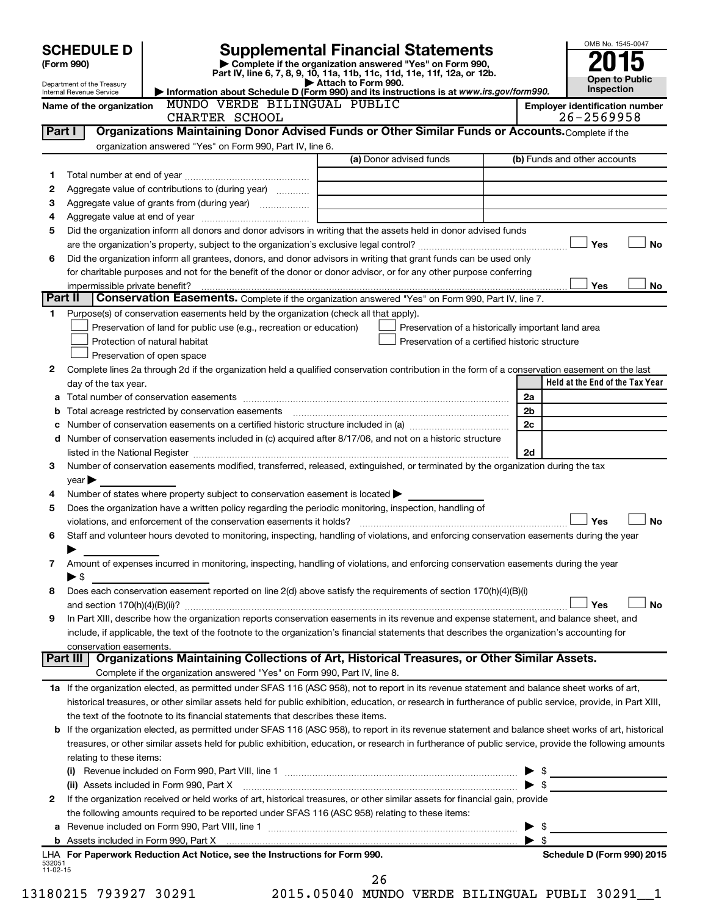|          | <b>SCHEDULE D</b><br>(Form 990)                        |                                                                                                        | <b>Supplemental Financial Statements</b><br>Complete if the organization answered "Yes" on Form 990,                                                                                                                                    |                          | OMB No. 1545-0047                     |
|----------|--------------------------------------------------------|--------------------------------------------------------------------------------------------------------|-----------------------------------------------------------------------------------------------------------------------------------------------------------------------------------------------------------------------------------------|--------------------------|---------------------------------------|
|          |                                                        |                                                                                                        | Part IV, line 6, 7, 8, 9, 10, 11a, 11b, 11c, 11d, 11e, 11f, 12a, or 12b.                                                                                                                                                                |                          | <b>Open to Public</b>                 |
|          | Department of the Treasury<br>Internal Revenue Service |                                                                                                        | Attach to Form 990.<br>Information about Schedule D (Form 990) and its instructions is at www.irs.gov/form990.                                                                                                                          |                          | <b>Inspection</b>                     |
|          | Name of the organization                               | MUNDO VERDE BILINGUAL PUBLIC                                                                           |                                                                                                                                                                                                                                         |                          | <b>Employer identification number</b> |
|          |                                                        | CHARTER SCHOOL                                                                                         |                                                                                                                                                                                                                                         |                          | 26-2569958                            |
| Part I   |                                                        |                                                                                                        | Organizations Maintaining Donor Advised Funds or Other Similar Funds or Accounts. Complete if the                                                                                                                                       |                          |                                       |
|          |                                                        | organization answered "Yes" on Form 990, Part IV, line 6.                                              |                                                                                                                                                                                                                                         |                          |                                       |
|          |                                                        |                                                                                                        | (a) Donor advised funds                                                                                                                                                                                                                 |                          | (b) Funds and other accounts          |
| 1        |                                                        |                                                                                                        |                                                                                                                                                                                                                                         |                          |                                       |
| 2        |                                                        | Aggregate value of contributions to (during year)                                                      |                                                                                                                                                                                                                                         |                          |                                       |
| з        |                                                        | Aggregate value of grants from (during year)                                                           |                                                                                                                                                                                                                                         |                          |                                       |
| 4        |                                                        |                                                                                                        |                                                                                                                                                                                                                                         |                          |                                       |
| 5        |                                                        |                                                                                                        | Did the organization inform all donors and donor advisors in writing that the assets held in donor advised funds                                                                                                                        |                          |                                       |
|          |                                                        |                                                                                                        |                                                                                                                                                                                                                                         |                          | Yes<br><b>No</b>                      |
| 6        |                                                        |                                                                                                        | Did the organization inform all grantees, donors, and donor advisors in writing that grant funds can be used only<br>for charitable purposes and not for the benefit of the donor or donor advisor, or for any other purpose conferring |                          |                                       |
|          | impermissible private benefit?                         |                                                                                                        |                                                                                                                                                                                                                                         |                          | Yes<br>No                             |
| Part II  |                                                        |                                                                                                        | Conservation Easements. Complete if the organization answered "Yes" on Form 990, Part IV, line 7.                                                                                                                                       |                          |                                       |
| 1        |                                                        | Purpose(s) of conservation easements held by the organization (check all that apply).                  |                                                                                                                                                                                                                                         |                          |                                       |
|          |                                                        | Preservation of land for public use (e.g., recreation or education)                                    | Preservation of a historically important land area                                                                                                                                                                                      |                          |                                       |
|          |                                                        | Protection of natural habitat                                                                          | Preservation of a certified historic structure                                                                                                                                                                                          |                          |                                       |
|          |                                                        | Preservation of open space                                                                             |                                                                                                                                                                                                                                         |                          |                                       |
| 2        |                                                        |                                                                                                        | Complete lines 2a through 2d if the organization held a qualified conservation contribution in the form of a conservation easement on the last                                                                                          |                          |                                       |
|          | day of the tax year.                                   |                                                                                                        |                                                                                                                                                                                                                                         |                          | Held at the End of the Tax Year       |
|          |                                                        |                                                                                                        |                                                                                                                                                                                                                                         | 2a                       |                                       |
| b        |                                                        |                                                                                                        |                                                                                                                                                                                                                                         | 2b                       |                                       |
| с        |                                                        |                                                                                                        |                                                                                                                                                                                                                                         | 2c                       |                                       |
| d        |                                                        |                                                                                                        | Number of conservation easements included in (c) acquired after 8/17/06, and not on a historic structure                                                                                                                                |                          |                                       |
|          |                                                        |                                                                                                        |                                                                                                                                                                                                                                         | 2d                       |                                       |
| 3        |                                                        |                                                                                                        | Number of conservation easements modified, transferred, released, extinguished, or terminated by the organization during the tax                                                                                                        |                          |                                       |
|          | year                                                   |                                                                                                        |                                                                                                                                                                                                                                         |                          |                                       |
| 4        |                                                        | Number of states where property subject to conservation easement is located $\blacktriangleright$      |                                                                                                                                                                                                                                         |                          |                                       |
| 5        |                                                        | Does the organization have a written policy regarding the periodic monitoring, inspection, handling of |                                                                                                                                                                                                                                         |                          |                                       |
|          |                                                        |                                                                                                        |                                                                                                                                                                                                                                         |                          | Yes<br><b>No</b>                      |
| 6        |                                                        |                                                                                                        | Staff and volunteer hours devoted to monitoring, inspecting, handling of violations, and enforcing conservation easements during the year                                                                                               |                          |                                       |
|          |                                                        |                                                                                                        |                                                                                                                                                                                                                                         |                          |                                       |
| 7        |                                                        |                                                                                                        | Amount of expenses incurred in monitoring, inspecting, handling of violations, and enforcing conservation easements during the year                                                                                                     |                          |                                       |
|          | $\blacktriangleright$ \$                               |                                                                                                        |                                                                                                                                                                                                                                         |                          |                                       |
| 8        |                                                        |                                                                                                        | Does each conservation easement reported on line 2(d) above satisfy the requirements of section 170(h)(4)(B)(i)                                                                                                                         |                          | Yes<br>No                             |
| 9        |                                                        |                                                                                                        | In Part XIII, describe how the organization reports conservation easements in its revenue and expense statement, and balance sheet, and                                                                                                 |                          |                                       |
|          |                                                        |                                                                                                        | include, if applicable, the text of the footnote to the organization's financial statements that describes the organization's accounting for                                                                                            |                          |                                       |
|          | conservation easements.                                |                                                                                                        |                                                                                                                                                                                                                                         |                          |                                       |
|          |                                                        |                                                                                                        | Part III   Organizations Maintaining Collections of Art, Historical Treasures, or Other Similar Assets.                                                                                                                                 |                          |                                       |
|          |                                                        | Complete if the organization answered "Yes" on Form 990, Part IV, line 8.                              |                                                                                                                                                                                                                                         |                          |                                       |
|          |                                                        |                                                                                                        | 1a If the organization elected, as permitted under SFAS 116 (ASC 958), not to report in its revenue statement and balance sheet works of art,                                                                                           |                          |                                       |
|          |                                                        |                                                                                                        | historical treasures, or other similar assets held for public exhibition, education, or research in furtherance of public service, provide, in Part XIII,                                                                               |                          |                                       |
|          |                                                        | the text of the footnote to its financial statements that describes these items.                       |                                                                                                                                                                                                                                         |                          |                                       |
| b        |                                                        |                                                                                                        | If the organization elected, as permitted under SFAS 116 (ASC 958), to report in its revenue statement and balance sheet works of art, historical                                                                                       |                          |                                       |
|          |                                                        |                                                                                                        | treasures, or other similar assets held for public exhibition, education, or research in furtherance of public service, provide the following amounts                                                                                   |                          |                                       |
|          | relating to these items:                               |                                                                                                        |                                                                                                                                                                                                                                         |                          |                                       |
|          |                                                        |                                                                                                        |                                                                                                                                                                                                                                         |                          | $\frac{1}{2}$                         |
|          |                                                        | (ii) Assets included in Form 990, Part X                                                               |                                                                                                                                                                                                                                         | $\blacktriangleright$ \$ |                                       |
| 2        |                                                        |                                                                                                        | If the organization received or held works of art, historical treasures, or other similar assets for financial gain, provide                                                                                                            |                          |                                       |
|          |                                                        | the following amounts required to be reported under SFAS 116 (ASC 958) relating to these items:        |                                                                                                                                                                                                                                         |                          |                                       |
| a        |                                                        |                                                                                                        |                                                                                                                                                                                                                                         | \$                       |                                       |
|          |                                                        |                                                                                                        |                                                                                                                                                                                                                                         | -\$                      |                                       |
| 532051   |                                                        | LHA For Paperwork Reduction Act Notice, see the Instructions for Form 990.                             |                                                                                                                                                                                                                                         |                          | Schedule D (Form 990) 2015            |
| 11-02-15 |                                                        |                                                                                                        |                                                                                                                                                                                                                                         |                          |                                       |
|          |                                                        |                                                                                                        | 26                                                                                                                                                                                                                                      |                          |                                       |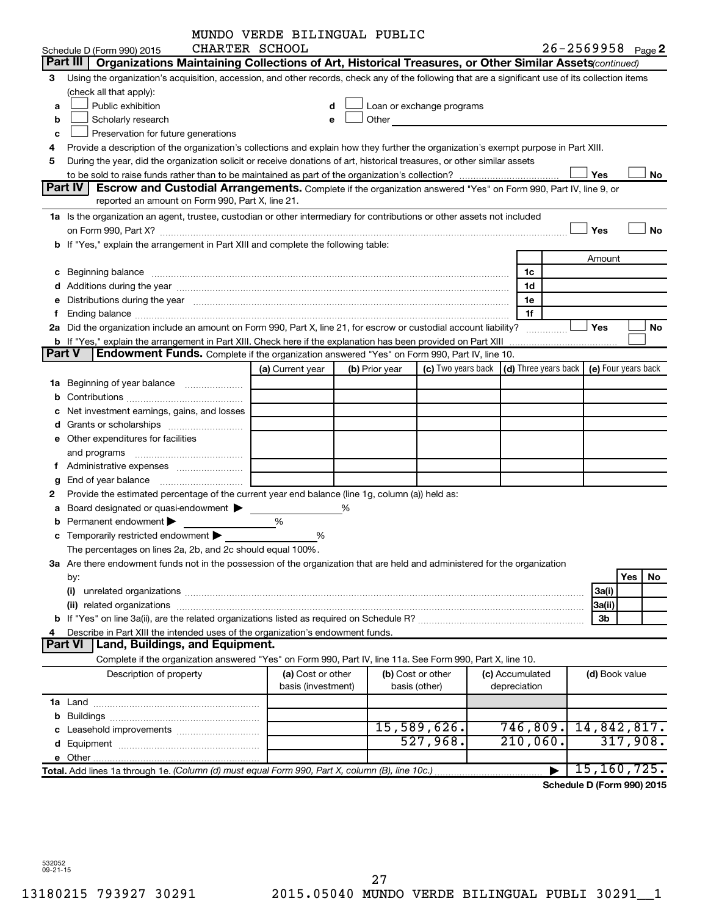|    |                                                                                                                                                                                                                                | MUNDO VERDE BILINGUAL PUBLIC |   |                |                                                                                                                                                                                                                                |                                                                             |                   |           |
|----|--------------------------------------------------------------------------------------------------------------------------------------------------------------------------------------------------------------------------------|------------------------------|---|----------------|--------------------------------------------------------------------------------------------------------------------------------------------------------------------------------------------------------------------------------|-----------------------------------------------------------------------------|-------------------|-----------|
|    | CHARTER SCHOOL<br>Schedule D (Form 990) 2015                                                                                                                                                                                   |                              |   |                |                                                                                                                                                                                                                                |                                                                             | 26-2569958 Page 2 |           |
|    | Part III<br>Organizations Maintaining Collections of Art, Historical Treasures, or Other Similar Assets (continued)                                                                                                            |                              |   |                |                                                                                                                                                                                                                                |                                                                             |                   |           |
| З  | Using the organization's acquisition, accession, and other records, check any of the following that are a significant use of its collection items                                                                              |                              |   |                |                                                                                                                                                                                                                                |                                                                             |                   |           |
|    | (check all that apply):                                                                                                                                                                                                        |                              |   |                |                                                                                                                                                                                                                                |                                                                             |                   |           |
| a  | Public exhibition                                                                                                                                                                                                              | d                            |   |                | Loan or exchange programs                                                                                                                                                                                                      |                                                                             |                   |           |
| b  | Scholarly research                                                                                                                                                                                                             | е                            |   |                | Other and the control of the control of the control of the control of the control of the control of the control of the control of the control of the control of the control of the control of the control of the control of th |                                                                             |                   |           |
| C  | Preservation for future generations                                                                                                                                                                                            |                              |   |                |                                                                                                                                                                                                                                |                                                                             |                   |           |
| 4  | Provide a description of the organization's collections and explain how they further the organization's exempt purpose in Part XIII.                                                                                           |                              |   |                |                                                                                                                                                                                                                                |                                                                             |                   |           |
| 5  | During the year, did the organization solicit or receive donations of art, historical treasures, or other similar assets                                                                                                       |                              |   |                |                                                                                                                                                                                                                                |                                                                             |                   |           |
|    |                                                                                                                                                                                                                                |                              |   |                |                                                                                                                                                                                                                                |                                                                             | Yes               | No        |
|    | <b>Part IV</b><br><b>Escrow and Custodial Arrangements.</b> Complete if the organization answered "Yes" on Form 990, Part IV, line 9, or                                                                                       |                              |   |                |                                                                                                                                                                                                                                |                                                                             |                   |           |
|    | reported an amount on Form 990, Part X, line 21.                                                                                                                                                                               |                              |   |                |                                                                                                                                                                                                                                |                                                                             |                   |           |
|    | 1a Is the organization an agent, trustee, custodian or other intermediary for contributions or other assets not included                                                                                                       |                              |   |                |                                                                                                                                                                                                                                |                                                                             |                   |           |
|    |                                                                                                                                                                                                                                |                              |   |                |                                                                                                                                                                                                                                |                                                                             | Yes               | <b>No</b> |
|    | b If "Yes," explain the arrangement in Part XIII and complete the following table:                                                                                                                                             |                              |   |                |                                                                                                                                                                                                                                |                                                                             |                   |           |
|    |                                                                                                                                                                                                                                |                              |   |                |                                                                                                                                                                                                                                |                                                                             | Amount            |           |
|    | c Beginning balance measurements and the contract of the contract of the contract of the contract of the contract of the contract of the contract of the contract of the contract of the contract of the contract of the contr |                              |   |                |                                                                                                                                                                                                                                | 1c                                                                          |                   |           |
|    |                                                                                                                                                                                                                                |                              |   |                |                                                                                                                                                                                                                                | 1d                                                                          |                   |           |
|    | e Distributions during the year manufactured and continuum and the year manufactured and the year manufactured and the year manufactured and the year manufactured and the year manufactured and the year manufactured and the |                              |   |                |                                                                                                                                                                                                                                | 1e                                                                          |                   |           |
| f  |                                                                                                                                                                                                                                |                              |   |                |                                                                                                                                                                                                                                | 1f                                                                          |                   |           |
|    | 2a Did the organization include an amount on Form 990, Part X, line 21, for escrow or custodial account liability?                                                                                                             |                              |   |                |                                                                                                                                                                                                                                |                                                                             | Yes               | No        |
|    | b If "Yes," explain the arrangement in Part XIII. Check here if the explanation has been provided on Part XIII                                                                                                                 |                              |   |                |                                                                                                                                                                                                                                |                                                                             |                   |           |
|    | Part V<br><b>Endowment Funds.</b> Complete if the organization answered "Yes" on Form 990, Part IV, line 10.                                                                                                                   |                              |   |                |                                                                                                                                                                                                                                |                                                                             |                   |           |
|    |                                                                                                                                                                                                                                | (a) Current year             |   | (b) Prior year |                                                                                                                                                                                                                                | (c) Two years back $\vert$ (d) Three years back $\vert$ (e) Four years back |                   |           |
|    |                                                                                                                                                                                                                                |                              |   |                |                                                                                                                                                                                                                                |                                                                             |                   |           |
| b  |                                                                                                                                                                                                                                |                              |   |                |                                                                                                                                                                                                                                |                                                                             |                   |           |
|    | Net investment earnings, gains, and losses                                                                                                                                                                                     |                              |   |                |                                                                                                                                                                                                                                |                                                                             |                   |           |
|    |                                                                                                                                                                                                                                |                              |   |                |                                                                                                                                                                                                                                |                                                                             |                   |           |
|    | e Other expenditures for facilities                                                                                                                                                                                            |                              |   |                |                                                                                                                                                                                                                                |                                                                             |                   |           |
|    | and programs                                                                                                                                                                                                                   |                              |   |                |                                                                                                                                                                                                                                |                                                                             |                   |           |
| Ť. |                                                                                                                                                                                                                                |                              |   |                |                                                                                                                                                                                                                                |                                                                             |                   |           |
| g  | End of year balance                                                                                                                                                                                                            |                              |   |                |                                                                                                                                                                                                                                |                                                                             |                   |           |
| 2  | Provide the estimated percentage of the current year end balance (line 1g, column (a)) held as:                                                                                                                                |                              |   |                |                                                                                                                                                                                                                                |                                                                             |                   |           |
| а  | Board designated or quasi-endowment                                                                                                                                                                                            |                              | ℅ |                |                                                                                                                                                                                                                                |                                                                             |                   |           |
| b  | Permanent endowment                                                                                                                                                                                                            | %                            |   |                |                                                                                                                                                                                                                                |                                                                             |                   |           |
|    | <b>c</b> Temporarily restricted endowment $\blacktriangleright$                                                                                                                                                                | %                            |   |                |                                                                                                                                                                                                                                |                                                                             |                   |           |
|    | The percentages on lines 2a, 2b, and 2c should equal 100%.                                                                                                                                                                     |                              |   |                |                                                                                                                                                                                                                                |                                                                             |                   |           |
|    | 3a Are there endowment funds not in the possession of the organization that are held and administered for the organization                                                                                                     |                              |   |                |                                                                                                                                                                                                                                |                                                                             |                   |           |
|    | by:                                                                                                                                                                                                                            |                              |   |                |                                                                                                                                                                                                                                |                                                                             |                   | Yes<br>No |
|    | (i)                                                                                                                                                                                                                            |                              |   |                |                                                                                                                                                                                                                                |                                                                             | 3a(i)             |           |
|    |                                                                                                                                                                                                                                |                              |   |                |                                                                                                                                                                                                                                |                                                                             | 3a(ii)            |           |
|    |                                                                                                                                                                                                                                |                              |   |                |                                                                                                                                                                                                                                |                                                                             | 3 <sub>b</sub>    |           |
|    | Describe in Part XIII the intended uses of the organization's endowment funds.                                                                                                                                                 |                              |   |                |                                                                                                                                                                                                                                |                                                                             |                   |           |
|    | <b>Part VI</b><br>Land, Buildings, and Equipment.                                                                                                                                                                              |                              |   |                |                                                                                                                                                                                                                                |                                                                             |                   |           |
|    | Complete if the organization answered "Yes" on Form 990, Part IV, line 11a. See Form 990, Part X, line 10.                                                                                                                     |                              |   |                |                                                                                                                                                                                                                                |                                                                             |                   |           |
|    | Description of property                                                                                                                                                                                                        | (a) Cost or other            |   |                | (b) Cost or other                                                                                                                                                                                                              | (c) Accumulated                                                             | (d) Book value    |           |
|    |                                                                                                                                                                                                                                | basis (investment)           |   |                | basis (other)                                                                                                                                                                                                                  | depreciation                                                                |                   |           |
|    |                                                                                                                                                                                                                                |                              |   |                |                                                                                                                                                                                                                                |                                                                             |                   |           |
|    |                                                                                                                                                                                                                                |                              |   |                |                                                                                                                                                                                                                                |                                                                             |                   |           |
|    |                                                                                                                                                                                                                                |                              |   |                | 15,589,626.                                                                                                                                                                                                                    | 746,809.                                                                    | 14,842,817.       |           |
|    |                                                                                                                                                                                                                                |                              |   |                | 527,968.                                                                                                                                                                                                                       | 210,060.                                                                    |                   | 317,908.  |
|    |                                                                                                                                                                                                                                |                              |   |                |                                                                                                                                                                                                                                |                                                                             |                   |           |
|    | Total. Add lines 1a through 1e. (Column (d) must equal Form 990, Part X, column (B), line 10c.).                                                                                                                               |                              |   |                |                                                                                                                                                                                                                                |                                                                             | 15, 160, 725.     |           |
|    |                                                                                                                                                                                                                                |                              |   |                |                                                                                                                                                                                                                                |                                                                             |                   |           |

**Schedule D (Form 990) 2015**

532052 09-21-15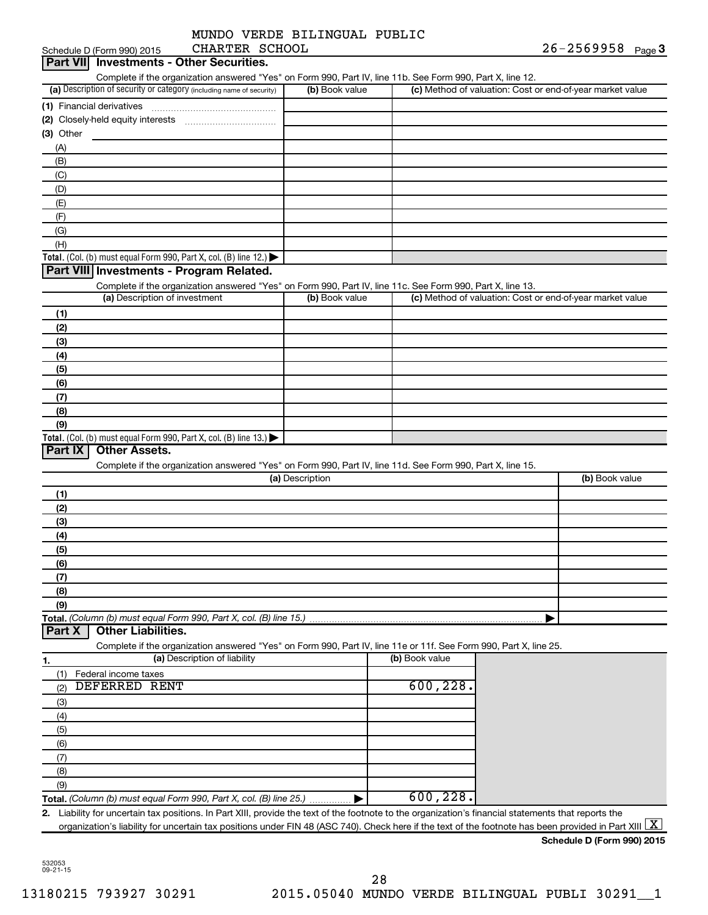|                | MUNDO VERDE BILINGUAL PUBLIC |  |
|----------------|------------------------------|--|
| CHARTER SCHOOL |                              |  |

| Part VII Investments - Other Securities.                                                                                                                 |                 |                                                           | 20-2569958<br>Page 3 |
|----------------------------------------------------------------------------------------------------------------------------------------------------------|-----------------|-----------------------------------------------------------|----------------------|
| Complete if the organization answered "Yes" on Form 990, Part IV, line 11b. See Form 990, Part X, line 12.                                               |                 |                                                           |                      |
| (a) Description of security or category (including name of security)                                                                                     | (b) Book value  | (c) Method of valuation: Cost or end-of-year market value |                      |
| (1) Financial derivatives                                                                                                                                |                 |                                                           |                      |
|                                                                                                                                                          |                 |                                                           |                      |
| (3) Other                                                                                                                                                |                 |                                                           |                      |
| (A)                                                                                                                                                      |                 |                                                           |                      |
| (B)                                                                                                                                                      |                 |                                                           |                      |
| (C)                                                                                                                                                      |                 |                                                           |                      |
| (D)                                                                                                                                                      |                 |                                                           |                      |
| (E)                                                                                                                                                      |                 |                                                           |                      |
| (F)                                                                                                                                                      |                 |                                                           |                      |
| (G)                                                                                                                                                      |                 |                                                           |                      |
| (H)                                                                                                                                                      |                 |                                                           |                      |
| Total. (Col. (b) must equal Form 990, Part X, col. (B) line 12.) $\blacktriangleright$                                                                   |                 |                                                           |                      |
| Part VIII Investments - Program Related.                                                                                                                 |                 |                                                           |                      |
| Complete if the organization answered "Yes" on Form 990, Part IV, line 11c. See Form 990, Part X, line 13.                                               |                 |                                                           |                      |
| (a) Description of investment                                                                                                                            | (b) Book value  | (c) Method of valuation: Cost or end-of-year market value |                      |
| (1)                                                                                                                                                      |                 |                                                           |                      |
| (2)                                                                                                                                                      |                 |                                                           |                      |
| (3)                                                                                                                                                      |                 |                                                           |                      |
| (4)                                                                                                                                                      |                 |                                                           |                      |
| (5)                                                                                                                                                      |                 |                                                           |                      |
| (6)                                                                                                                                                      |                 |                                                           |                      |
| (7)                                                                                                                                                      |                 |                                                           |                      |
| (8)                                                                                                                                                      |                 |                                                           |                      |
| (9)<br>Total. (Col. (b) must equal Form 990, Part X, col. (B) line 13.)                                                                                  |                 |                                                           |                      |
| Complete if the organization answered "Yes" on Form 990, Part IV, line 11d. See Form 990, Part X, line 15.                                               | (a) Description |                                                           | (b) Book value       |
| (1)                                                                                                                                                      |                 |                                                           |                      |
| (2)                                                                                                                                                      |                 |                                                           |                      |
| (3)                                                                                                                                                      |                 |                                                           |                      |
| (4)                                                                                                                                                      |                 |                                                           |                      |
| (5)<br>(6)                                                                                                                                               |                 |                                                           |                      |
| (7)                                                                                                                                                      |                 |                                                           |                      |
|                                                                                                                                                          |                 |                                                           |                      |
|                                                                                                                                                          |                 |                                                           |                      |
| (8)                                                                                                                                                      |                 |                                                           |                      |
|                                                                                                                                                          |                 |                                                           |                      |
| <b>Other Liabilities.</b>                                                                                                                                |                 |                                                           |                      |
|                                                                                                                                                          |                 |                                                           |                      |
| (9)<br>Complete if the organization answered "Yes" on Form 990, Part IV, line 11e or 11f. See Form 990, Part X, line 25.<br>(a) Description of liability |                 | (b) Book value                                            |                      |
|                                                                                                                                                          |                 |                                                           |                      |
| Federal income taxes<br>(1)<br>DEFERRED RENT                                                                                                             |                 | 600, 228.                                                 |                      |
| (2)                                                                                                                                                      |                 |                                                           |                      |
| (3)                                                                                                                                                      |                 |                                                           |                      |
| (4)<br>(5)                                                                                                                                               |                 |                                                           |                      |
| (6)                                                                                                                                                      |                 |                                                           |                      |
| (7)                                                                                                                                                      |                 |                                                           |                      |
| (8)                                                                                                                                                      |                 |                                                           |                      |
| (9)                                                                                                                                                      |                 |                                                           |                      |
| Part X<br>Total. (Column (b) must equal Form 990, Part X, col. (B) line 25.)                                                                             |                 | 600, 228.                                                 |                      |
| Liability for uncertain tax positions. In Part XIII, provide the text of the footnote to the organization's financial statements that reports the<br>2.  |                 |                                                           |                      |

532053 09-21-15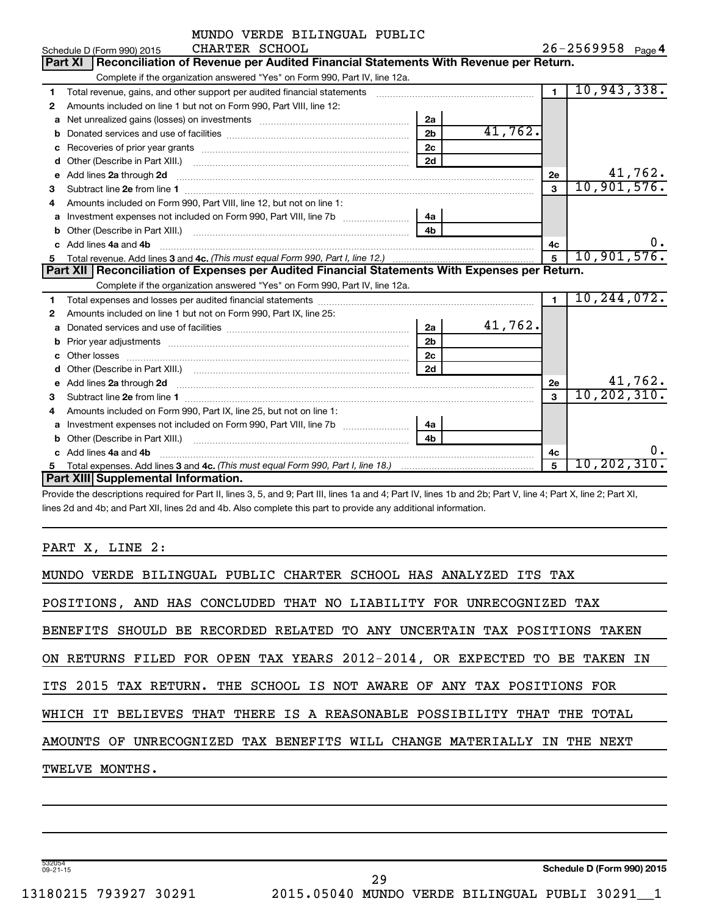|   | MUNDO VERDE BILINGUAL PUBLIC                                                                                                                                                                                                       |                |                   |                |               |  |  |  |  |
|---|------------------------------------------------------------------------------------------------------------------------------------------------------------------------------------------------------------------------------------|----------------|-------------------|----------------|---------------|--|--|--|--|
|   | CHARTER SCHOOL<br>Schedule D (Form 990) 2015                                                                                                                                                                                       |                | 26-2569958 Page 4 |                |               |  |  |  |  |
|   | Reconciliation of Revenue per Audited Financial Statements With Revenue per Return.<br><b>Part XI</b>                                                                                                                              |                |                   |                |               |  |  |  |  |
|   | Complete if the organization answered "Yes" on Form 990, Part IV, line 12a.                                                                                                                                                        |                |                   |                |               |  |  |  |  |
| 1 | Total revenue, gains, and other support per audited financial statements                                                                                                                                                           |                |                   | $\blacksquare$ | 10,943,338.   |  |  |  |  |
| 2 | Amounts included on line 1 but not on Form 990, Part VIII, line 12:                                                                                                                                                                |                |                   |                |               |  |  |  |  |
| a | Net unrealized gains (losses) on investments [111] Net unrealized mains (losses) on investments [11] Metamanian                                                                                                                    | 2a             |                   |                |               |  |  |  |  |
| b |                                                                                                                                                                                                                                    | 2 <sub>b</sub> | 41,762.           |                |               |  |  |  |  |
|   |                                                                                                                                                                                                                                    | 2c             |                   |                |               |  |  |  |  |
| d |                                                                                                                                                                                                                                    | 2d             |                   |                |               |  |  |  |  |
| е | Add lines 2a through 2d                                                                                                                                                                                                            |                |                   | 2e             | 41,762.       |  |  |  |  |
| 3 |                                                                                                                                                                                                                                    |                |                   | $\mathbf{3}$   | 10,901,576.   |  |  |  |  |
| 4 | Amounts included on Form 990, Part VIII, line 12, but not on line 1:                                                                                                                                                               |                |                   |                |               |  |  |  |  |
| a |                                                                                                                                                                                                                                    | 4a             |                   |                |               |  |  |  |  |
| b |                                                                                                                                                                                                                                    | 4b.            |                   |                |               |  |  |  |  |
|   | Add lines 4a and 4b                                                                                                                                                                                                                |                |                   | 4c             | $0 \cdot$     |  |  |  |  |
| 5 |                                                                                                                                                                                                                                    | 5              | 10,901,576.       |                |               |  |  |  |  |
|   | Part XII   Reconciliation of Expenses per Audited Financial Statements With Expenses per Return.                                                                                                                                   |                |                   |                |               |  |  |  |  |
|   | Complete if the organization answered "Yes" on Form 990, Part IV, line 12a.                                                                                                                                                        |                |                   |                |               |  |  |  |  |
| 1 |                                                                                                                                                                                                                                    |                |                   | $\blacksquare$ | 10, 244, 072. |  |  |  |  |
| 2 | Amounts included on line 1 but not on Form 990, Part IX, line 25:                                                                                                                                                                  |                |                   |                |               |  |  |  |  |
| a |                                                                                                                                                                                                                                    | 2a             | 41,762.           |                |               |  |  |  |  |
| b |                                                                                                                                                                                                                                    | 2 <sub>b</sub> |                   |                |               |  |  |  |  |
|   |                                                                                                                                                                                                                                    | 2c             |                   |                |               |  |  |  |  |
| d |                                                                                                                                                                                                                                    | 2d             |                   |                |               |  |  |  |  |
| е | Add lines 2a through 2d <b>contained a contained a contained a contained a</b> contained a contained a contained a contained a contact a contact a contact a contact a contact a contact a contact a contact a contact a contact a |                |                   | 2e             | 41,762.       |  |  |  |  |
| 3 |                                                                                                                                                                                                                                    |                |                   | $\mathbf{a}$   | 10, 202, 310. |  |  |  |  |
| 4 | Amounts included on Form 990, Part IX, line 25, but not on line 1:                                                                                                                                                                 |                |                   |                |               |  |  |  |  |
| a |                                                                                                                                                                                                                                    | 4a             |                   |                |               |  |  |  |  |
| b |                                                                                                                                                                                                                                    | 4 <sub>b</sub> |                   |                |               |  |  |  |  |
|   | Add lines 4a and 4b                                                                                                                                                                                                                |                |                   | 4c             | о.            |  |  |  |  |
| 5 |                                                                                                                                                                                                                                    |                |                   | 5              | 10, 202, 310. |  |  |  |  |
|   | Part XIII Supplemental Information.                                                                                                                                                                                                |                |                   |                |               |  |  |  |  |

Provide the descriptions required for Part II, lines 3, 5, and 9; Part III, lines 1a and 4; Part IV, lines 1b and 2b; Part V, line 4; Part X, line 2; Part XI, lines 2d and 4b; and Part XII, lines 2d and 4b. Also complete this part to provide any additional information.

PART X, LINE 2:

| MUNDO VERDE BILINGUAL PUBLIC CHARTER SCHOOL HAS ANALYZED ITS TAX          |
|---------------------------------------------------------------------------|
| POSITIONS, AND HAS CONCLUDED THAT NO LIABILITY FOR UNRECOGNIZED TAX       |
| BENEFITS SHOULD BE RECORDED RELATED TO ANY UNCERTAIN TAX POSITIONS TAKEN  |
| ON RETURNS FILED FOR OPEN TAX YEARS 2012-2014, OR EXPECTED TO BE TAKEN IN |
| ITS 2015 TAX RETURN. THE SCHOOL IS NOT AWARE OF ANY TAX POSITIONS FOR     |
| WHICH IT BELIEVES THAT THERE IS A REASONABLE POSSIBILITY THAT THE TOTAL   |
| AMOUNTS OF UNRECOGNIZED TAX BENEFITS WILL CHANGE MATERIALLY IN THE NEXT   |
| TWELVE MONTHS.                                                            |
|                                                                           |

29

532054 09-21-15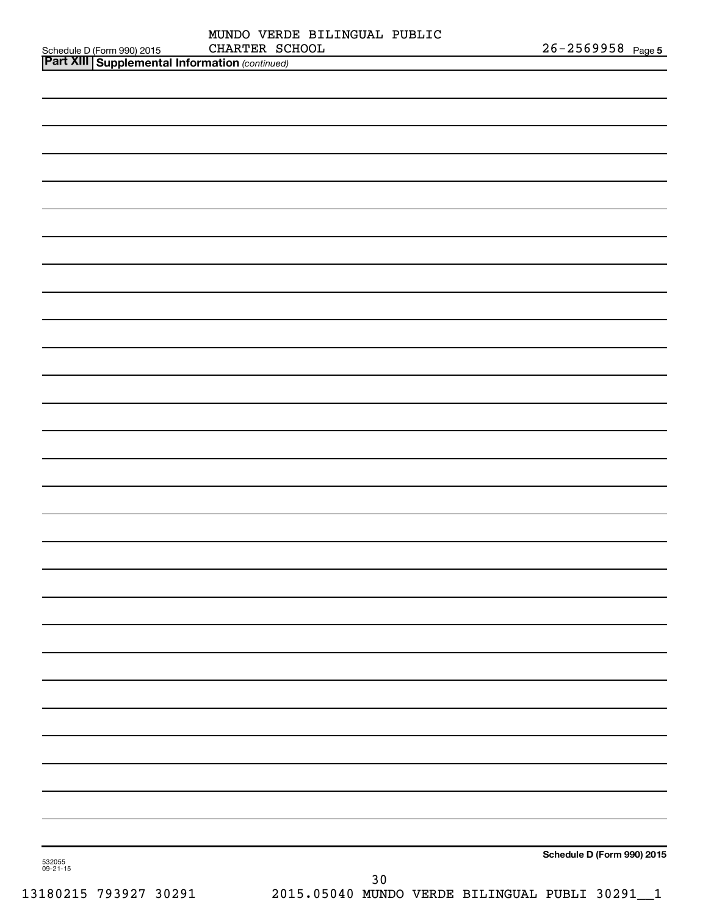| $\overline{$ Part XIII $\overline{)}$ Cumplemental Information $\overline{)}$ |                              |                       |  |
|-------------------------------------------------------------------------------|------------------------------|-----------------------|--|
| Schedule D (Form 990) 2015                                                    | CHARTER SCHOOL               | $26 - 2569958$ Page 5 |  |
|                                                                               | MUNDO VERDE BILINGUAL PUBLIC |                       |  |

| <b>Part XIII Supplemental Information (continued)</b> |                            |
|-------------------------------------------------------|----------------------------|
|                                                       |                            |
|                                                       |                            |
|                                                       |                            |
|                                                       |                            |
|                                                       |                            |
|                                                       |                            |
|                                                       |                            |
|                                                       |                            |
|                                                       |                            |
|                                                       |                            |
|                                                       |                            |
|                                                       |                            |
|                                                       |                            |
|                                                       |                            |
|                                                       |                            |
|                                                       |                            |
|                                                       |                            |
|                                                       |                            |
|                                                       |                            |
|                                                       |                            |
|                                                       |                            |
|                                                       |                            |
|                                                       |                            |
|                                                       |                            |
|                                                       |                            |
|                                                       |                            |
|                                                       |                            |
|                                                       |                            |
|                                                       |                            |
|                                                       |                            |
| 532055<br>09-21-15                                    | Schedule D (Form 990) 2015 |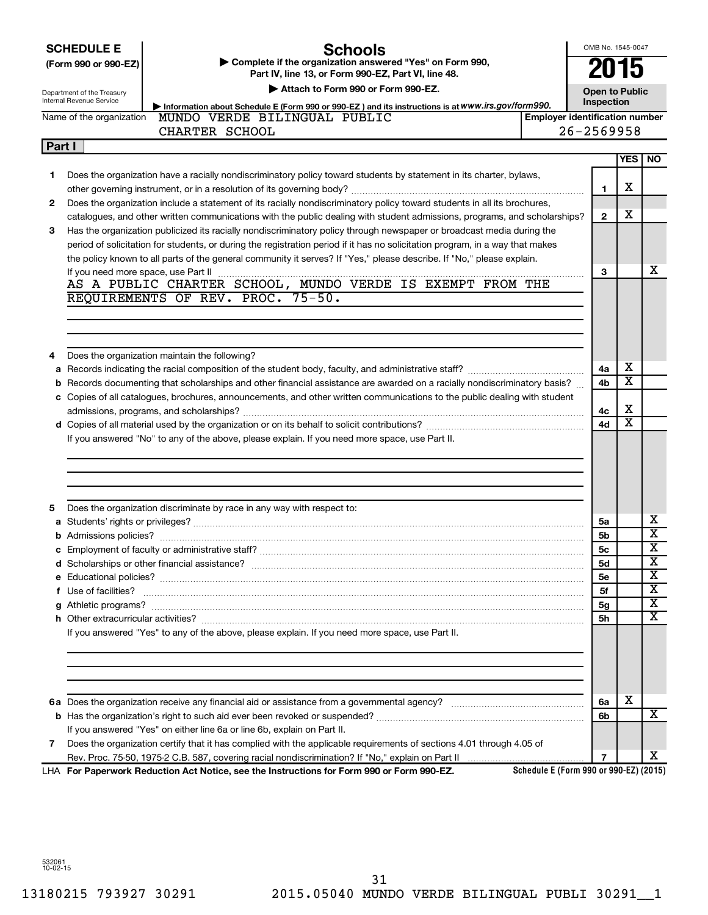|  | <b>SCHEDULE E</b> |  |
|--|-------------------|--|
|  |                   |  |

#### **Schools**

**(Form 990 or 990-EZ) | Complete if the organization answered "Yes" on Form 990, Part IV, line 13, or Form 990-EZ, Part VI, line 48.**

**Open to Public**

OMB No. 1545-0047

**2015**

Department of the Treasury Internal Revenue Service

**Part I**

|                                                                                                   | Attach to Form 990 or Form 990-EZ. |  |
|---------------------------------------------------------------------------------------------------|------------------------------------|--|
| Information about Schedule E (Form 990 or 990-EZ) and its instructions is at WWW.irs.gov/form990. |                                    |  |

**Inspection Employer identification numb** 

| Name of the organization | PUBLIC<br>MUNDO VERDE BILINGUAL | l Emplover identification numbe |
|--------------------------|---------------------------------|---------------------------------|
|                          | CHARTER SCHOOL                  | $26 - 2569958$                  |
| <b>Part I</b>            |                                 |                                 |

|    |                                                                                                                                                                                                                                    |              | <b>YES   NO</b>         |                         |
|----|------------------------------------------------------------------------------------------------------------------------------------------------------------------------------------------------------------------------------------|--------------|-------------------------|-------------------------|
| 1. | Does the organization have a racially nondiscriminatory policy toward students by statement in its charter, bylaws,                                                                                                                |              |                         |                         |
|    |                                                                                                                                                                                                                                    | 1            | х                       |                         |
| 2  | Does the organization include a statement of its racially nondiscriminatory policy toward students in all its brochures,                                                                                                           |              |                         |                         |
|    | catalogues, and other written communications with the public dealing with student admissions, programs, and scholarships?                                                                                                          | $\mathbf{2}$ | x                       |                         |
| 3  | Has the organization publicized its racially nondiscriminatory policy through newspaper or broadcast media during the                                                                                                              |              |                         |                         |
|    | period of solicitation for students, or during the registration period if it has no solicitation program, in a way that makes                                                                                                      |              |                         |                         |
|    | the policy known to all parts of the general community it serves? If "Yes," please describe. If "No," please explain.                                                                                                              |              |                         |                         |
|    | If you need more space, use Part II                                                                                                                                                                                                | 3            |                         | x                       |
|    | AS A PUBLIC CHARTER SCHOOL, MUNDO VERDE IS EXEMPT FROM THE                                                                                                                                                                         |              |                         |                         |
|    | REQUIREMENTS OF REV. PROC. 75-50.                                                                                                                                                                                                  |              |                         |                         |
|    |                                                                                                                                                                                                                                    |              |                         |                         |
|    |                                                                                                                                                                                                                                    |              |                         |                         |
|    |                                                                                                                                                                                                                                    |              |                         |                         |
| 4  | Does the organization maintain the following?                                                                                                                                                                                      |              |                         |                         |
| a  |                                                                                                                                                                                                                                    | 4a           | х                       |                         |
|    | <b>b</b> Records documenting that scholarships and other financial assistance are awarded on a racially nondiscriminatory basis?                                                                                                   | 4b           | $\overline{\textbf{x}}$ |                         |
|    | c Copies of all catalogues, brochures, announcements, and other written communications to the public dealing with student                                                                                                          |              |                         |                         |
|    |                                                                                                                                                                                                                                    | 4с           | х                       |                         |
|    |                                                                                                                                                                                                                                    | 4d           | $\overline{\textbf{x}}$ |                         |
|    | If you answered "No" to any of the above, please explain. If you need more space, use Part II.                                                                                                                                     |              |                         |                         |
|    |                                                                                                                                                                                                                                    |              |                         |                         |
|    |                                                                                                                                                                                                                                    |              |                         |                         |
|    |                                                                                                                                                                                                                                    |              |                         |                         |
|    |                                                                                                                                                                                                                                    |              |                         |                         |
| 5  | Does the organization discriminate by race in any way with respect to:                                                                                                                                                             |              |                         |                         |
|    |                                                                                                                                                                                                                                    | 5a           |                         | х                       |
|    |                                                                                                                                                                                                                                    | 5b           |                         | $\overline{\textbf{x}}$ |
|    |                                                                                                                                                                                                                                    | <b>5c</b>    |                         | $\overline{\textbf{x}}$ |
|    |                                                                                                                                                                                                                                    | <b>5d</b>    |                         | $\overline{\mathbf{x}}$ |
|    |                                                                                                                                                                                                                                    | 5е           |                         | $\overline{\textbf{x}}$ |
|    | f Use of facilities? <b>www.communities.</b> We can be a series of the contract of the contract of the contract of the contract of the contract of the contract of the contract of the contract of the contract of the contract of | 5f           |                         | $\overline{\textbf{x}}$ |
|    |                                                                                                                                                                                                                                    | 5g           |                         | $\overline{\textbf{x}}$ |
|    |                                                                                                                                                                                                                                    | 5h           |                         | $\overline{\mathbf{X}}$ |
|    | If you answered "Yes" to any of the above, please explain. If you need more space, use Part II.                                                                                                                                    |              |                         |                         |
|    |                                                                                                                                                                                                                                    |              |                         |                         |
|    |                                                                                                                                                                                                                                    |              |                         |                         |
|    |                                                                                                                                                                                                                                    |              |                         |                         |
|    |                                                                                                                                                                                                                                    |              |                         |                         |
|    |                                                                                                                                                                                                                                    | 6a           | х                       |                         |
|    |                                                                                                                                                                                                                                    | 6b           |                         | $\overline{\mathbf{X}}$ |
|    | If you answered "Yes" on either line 6a or line 6b, explain on Part II.                                                                                                                                                            |              |                         |                         |
| 7  | Does the organization certify that it has complied with the applicable requirements of sections 4.01 through 4.05 of                                                                                                               |              |                         |                         |
|    |                                                                                                                                                                                                                                    | 7            |                         | x                       |
|    | Schedule E (Form 990 or 990-EZ) (2015)<br>LHA For Paperwork Reduction Act Notice, see the Instructions for Form 990 or Form 990-EZ.                                                                                                |              |                         |                         |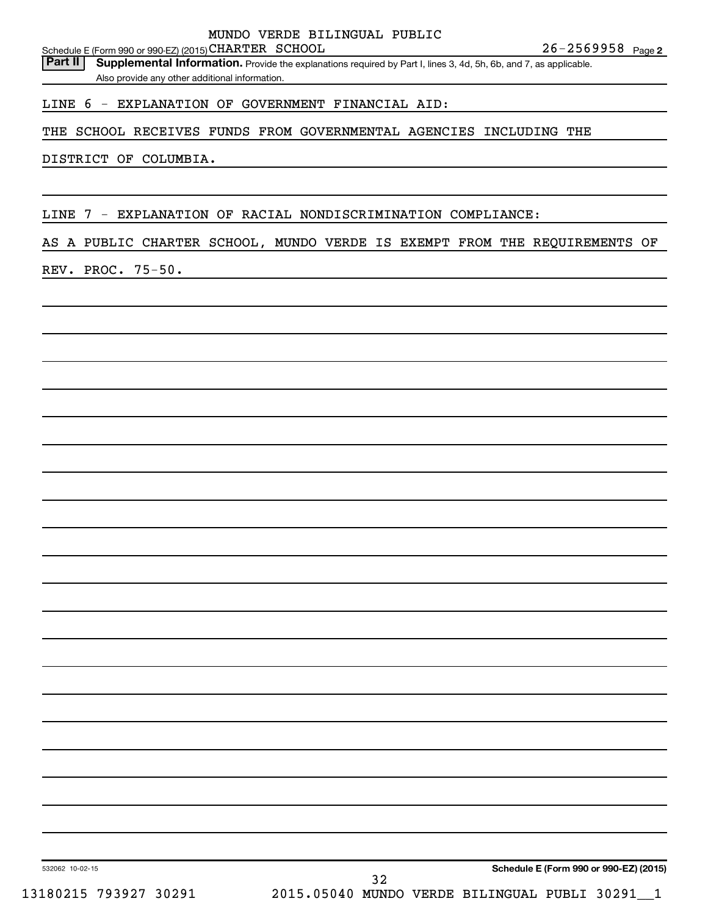26-2569958 Page 2 Schedule E (Form 990 or 990-EZ) (2015) CHARTER SCHOOL  $26-2569958$  Page

Part II | Supplemental Information. Provide the explanations required by Part I, lines 3, 4d, 5h, 6b, and 7, as applicable.

Also provide any other additional information.

#### LINE 6 - EXPLANATION OF GOVERNMENT FINANCIAL AID:

#### THE SCHOOL RECEIVES FUNDS FROM GOVERNMENTAL AGENCIES INCLUDING THE

#### DISTRICT OF COLUMBIA.

LINE 7 - EXPLANATION OF RACIAL NONDISCRIMINATION COMPLIANCE:

#### AS A PUBLIC CHARTER SCHOOL, MUNDO VERDE IS EXEMPT FROM THE REQUIREMENTS OF

#### REV. PROC. 75-50.

**Schedule E (Form 990 or 990-EZ) (2015)**

532062 10-02-15

32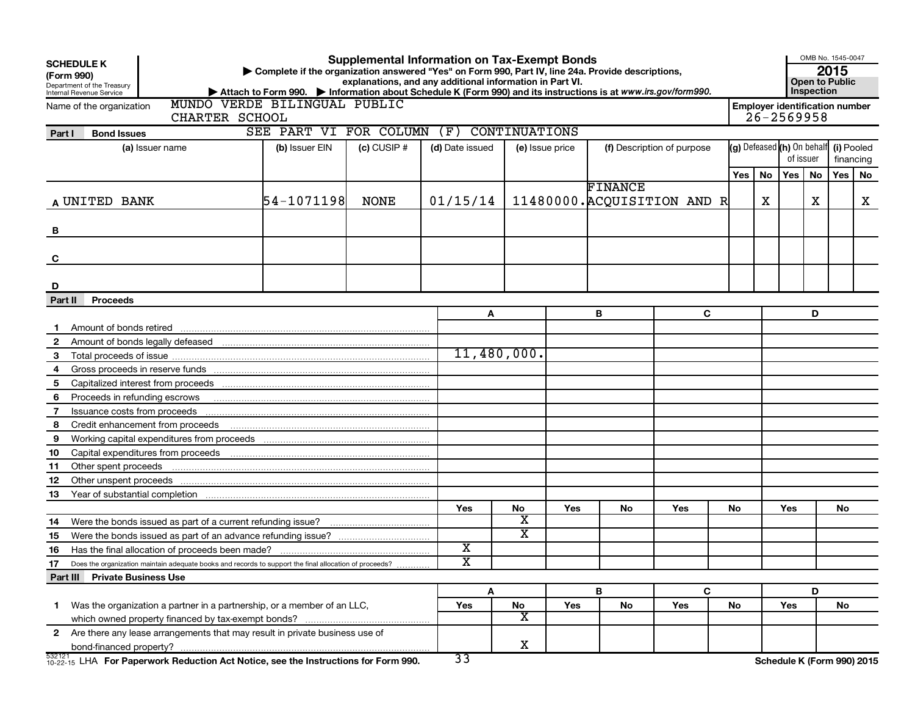| <b>Supplemental Information on Tax-Exempt Bonds</b><br><b>SCHEDULE K</b><br>Complete if the organization answered "Yes" on Form 990, Part IV, line 24a. Provide descriptions,<br>(Form 990)<br>explanations, and any additional information in Part VI.<br>Department of the Treasury<br>Attach to Form 990. Information about Schedule K (Form 990) and its instructions is at www.irs.gov/form990.<br>Internal Revenue Service |                                                                                                        |                        |                 |                         |                         |     |                            | OMB No. 1545-0047<br>2015<br><b>Open to Public</b><br>Inspection |                                                         |    |                                                    |    |           |    |
|----------------------------------------------------------------------------------------------------------------------------------------------------------------------------------------------------------------------------------------------------------------------------------------------------------------------------------------------------------------------------------------------------------------------------------|--------------------------------------------------------------------------------------------------------|------------------------|-----------------|-------------------------|-------------------------|-----|----------------------------|------------------------------------------------------------------|---------------------------------------------------------|----|----------------------------------------------------|----|-----------|----|
|                                                                                                                                                                                                                                                                                                                                                                                                                                  | MUNDO VERDE BILINGUAL PUBLIC<br>Name of the organization<br>CHARTER SCHOOL                             |                        |                 |                         |                         |     |                            |                                                                  | <b>Employer identification number</b><br>$26 - 2569958$ |    |                                                    |    |           |    |
| Part I                                                                                                                                                                                                                                                                                                                                                                                                                           | <b>Bond Issues</b>                                                                                     | SEE PART VI FOR COLUMN |                 | (F)                     | <b>CONTINUATIONS</b>    |     |                            |                                                                  |                                                         |    |                                                    |    |           |    |
|                                                                                                                                                                                                                                                                                                                                                                                                                                  | (a) Issuer name                                                                                        | (b) Issuer EIN         | $(c)$ CUSIP $#$ | (d) Date issued         | (e) Issue price         |     | (f) Description of purpose |                                                                  |                                                         |    | (g) Defeased (h) On behalf (i) Pooled<br>of issuer |    | financing |    |
|                                                                                                                                                                                                                                                                                                                                                                                                                                  |                                                                                                        |                        |                 |                         |                         |     |                            |                                                                  | Yes l                                                   | No | Yes                                                | No | Yes       | No |
|                                                                                                                                                                                                                                                                                                                                                                                                                                  | A UNITED BANK                                                                                          | 54-1071198             | <b>NONE</b>     | 01/15/14                |                         |     | FINANCE                    | 11480000. ACQUISITION AND R                                      |                                                         | х  |                                                    | x  |           | X  |
| В                                                                                                                                                                                                                                                                                                                                                                                                                                |                                                                                                        |                        |                 |                         |                         |     |                            |                                                                  |                                                         |    |                                                    |    |           |    |
| C                                                                                                                                                                                                                                                                                                                                                                                                                                |                                                                                                        |                        |                 |                         |                         |     |                            |                                                                  |                                                         |    |                                                    |    |           |    |
|                                                                                                                                                                                                                                                                                                                                                                                                                                  |                                                                                                        |                        |                 |                         |                         |     |                            |                                                                  |                                                         |    |                                                    |    |           |    |
| D                                                                                                                                                                                                                                                                                                                                                                                                                                |                                                                                                        |                        |                 |                         |                         |     |                            |                                                                  |                                                         |    |                                                    |    |           |    |
| Part II                                                                                                                                                                                                                                                                                                                                                                                                                          | <b>Proceeds</b>                                                                                        |                        |                 |                         |                         |     |                            |                                                                  |                                                         |    |                                                    |    |           |    |
| -1                                                                                                                                                                                                                                                                                                                                                                                                                               |                                                                                                        |                        |                 | A                       |                         |     | B                          | C                                                                |                                                         |    |                                                    | D  |           |    |
| $\overline{2}$                                                                                                                                                                                                                                                                                                                                                                                                                   |                                                                                                        |                        |                 |                         |                         |     |                            |                                                                  |                                                         |    |                                                    |    |           |    |
| 3                                                                                                                                                                                                                                                                                                                                                                                                                                |                                                                                                        |                        |                 |                         | 11,480,000.             |     |                            |                                                                  |                                                         |    |                                                    |    |           |    |
| 4                                                                                                                                                                                                                                                                                                                                                                                                                                |                                                                                                        |                        |                 |                         |                         |     |                            |                                                                  |                                                         |    |                                                    |    |           |    |
| 5                                                                                                                                                                                                                                                                                                                                                                                                                                |                                                                                                        |                        |                 |                         |                         |     |                            |                                                                  |                                                         |    |                                                    |    |           |    |
| 6                                                                                                                                                                                                                                                                                                                                                                                                                                | Proceeds in refunding escrows                                                                          |                        |                 |                         |                         |     |                            |                                                                  |                                                         |    |                                                    |    |           |    |
| 7                                                                                                                                                                                                                                                                                                                                                                                                                                | Issuance costs from proceeds                                                                           |                        |                 |                         |                         |     |                            |                                                                  |                                                         |    |                                                    |    |           |    |
| 8                                                                                                                                                                                                                                                                                                                                                                                                                                | Credit enhancement from proceeds                                                                       |                        |                 |                         |                         |     |                            |                                                                  |                                                         |    |                                                    |    |           |    |
| 9                                                                                                                                                                                                                                                                                                                                                                                                                                |                                                                                                        |                        |                 |                         |                         |     |                            |                                                                  |                                                         |    |                                                    |    |           |    |
| 10                                                                                                                                                                                                                                                                                                                                                                                                                               |                                                                                                        |                        |                 |                         |                         |     |                            |                                                                  |                                                         |    |                                                    |    |           |    |
| 11                                                                                                                                                                                                                                                                                                                                                                                                                               | Other spent proceeds                                                                                   |                        |                 |                         |                         |     |                            |                                                                  |                                                         |    |                                                    |    |           |    |
| 12                                                                                                                                                                                                                                                                                                                                                                                                                               | Other unspent proceeds                                                                                 |                        |                 |                         |                         |     |                            |                                                                  |                                                         |    |                                                    |    |           |    |
| 13                                                                                                                                                                                                                                                                                                                                                                                                                               |                                                                                                        |                        |                 |                         |                         |     |                            |                                                                  |                                                         |    |                                                    |    |           |    |
|                                                                                                                                                                                                                                                                                                                                                                                                                                  |                                                                                                        |                        |                 | Yes                     | No                      | Yes | No                         | Yes                                                              | No                                                      |    | Yes                                                |    | No        |    |
| 14                                                                                                                                                                                                                                                                                                                                                                                                                               | Were the bonds issued as part of a current refunding issue?                                            |                        |                 |                         | х                       |     |                            |                                                                  |                                                         |    |                                                    |    |           |    |
| 15                                                                                                                                                                                                                                                                                                                                                                                                                               |                                                                                                        |                        |                 |                         | $\overline{\textbf{x}}$ |     |                            |                                                                  |                                                         |    |                                                    |    |           |    |
| 16                                                                                                                                                                                                                                                                                                                                                                                                                               |                                                                                                        |                        |                 | $\overline{\textbf{x}}$ |                         |     |                            |                                                                  |                                                         |    |                                                    |    |           |    |
| 17                                                                                                                                                                                                                                                                                                                                                                                                                               | Does the organization maintain adequate books and records to support the final allocation of proceeds? |                        |                 | $\overline{\text{x}}$   |                         |     |                            |                                                                  |                                                         |    |                                                    |    |           |    |
|                                                                                                                                                                                                                                                                                                                                                                                                                                  | <b>Part III Private Business Use</b>                                                                   |                        |                 |                         |                         |     |                            |                                                                  |                                                         |    |                                                    |    |           |    |
|                                                                                                                                                                                                                                                                                                                                                                                                                                  |                                                                                                        |                        |                 | A                       |                         |     | B                          | C                                                                |                                                         |    |                                                    | D  |           |    |
| 1.                                                                                                                                                                                                                                                                                                                                                                                                                               | Was the organization a partner in a partnership, or a member of an LLC,                                |                        |                 | Yes                     | No                      | Yes | No                         | Yes                                                              | No                                                      |    | Yes                                                |    | No        |    |
|                                                                                                                                                                                                                                                                                                                                                                                                                                  |                                                                                                        |                        |                 |                         | X                       |     |                            |                                                                  |                                                         |    |                                                    |    |           |    |
|                                                                                                                                                                                                                                                                                                                                                                                                                                  | 2 Are there any lease arrangements that may result in private business use of                          |                        |                 |                         |                         |     |                            |                                                                  |                                                         |    |                                                    |    |           |    |
|                                                                                                                                                                                                                                                                                                                                                                                                                                  |                                                                                                        |                        |                 |                         | x                       |     |                            |                                                                  |                                                         |    |                                                    |    |           |    |
|                                                                                                                                                                                                                                                                                                                                                                                                                                  | 532121 LHA For Paperwork Reduction Act Notice, see the Instructions for Form 990.                      |                        |                 | $\overline{33}$         |                         |     |                            |                                                                  |                                                         |    | Schedule K (Form 990) 2015                         |    |           |    |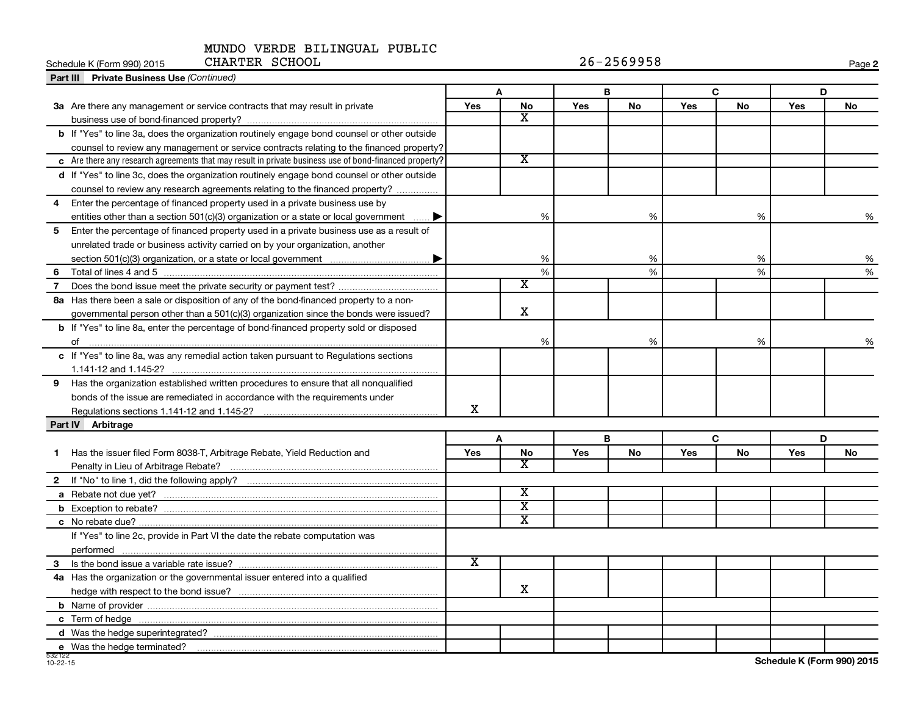#### MUNDO VERDE BILINGUAL PUBLIC CHARTER SCHOOL

| CHARTER SCHOOL<br>Schedule K (Form 990) 2015                                                           |     |                         |            | $26 - 2569958$ |            |              |            | Page 2 |
|--------------------------------------------------------------------------------------------------------|-----|-------------------------|------------|----------------|------------|--------------|------------|--------|
| Part III Private Business Use (Continued)                                                              |     |                         |            |                |            |              |            |        |
|                                                                                                        |     | A                       |            | B              |            | $\mathbf{C}$ |            | D      |
| 3a Are there any management or service contracts that may result in private                            | Yes | No                      | <b>Yes</b> | No             | Yes        | <b>No</b>    | <b>Yes</b> | No     |
|                                                                                                        |     | $\overline{\mathbf{X}}$ |            |                |            |              |            |        |
| b If "Yes" to line 3a, does the organization routinely engage bond counsel or other outside            |     |                         |            |                |            |              |            |        |
| counsel to review any management or service contracts relating to the financed property?               |     |                         |            |                |            |              |            |        |
| c Are there any research agreements that may result in private business use of bond-financed property? |     | $\overline{\texttt{x}}$ |            |                |            |              |            |        |
| d If "Yes" to line 3c, does the organization routinely engage bond counsel or other outside            |     |                         |            |                |            |              |            |        |
| counsel to review any research agreements relating to the financed property?                           |     |                         |            |                |            |              |            |        |
| Enter the percentage of financed property used in a private business use by<br>$\overline{\mathbf{4}}$ |     |                         |            |                |            |              |            |        |
| entities other than a section $501(c)(3)$ organization or a state or local government                  |     | %                       |            | %              |            | %            |            | %      |
| Enter the percentage of financed property used in a private business use as a result of<br>5           |     |                         |            |                |            |              |            |        |
| unrelated trade or business activity carried on by your organization, another                          |     |                         |            |                |            |              |            |        |
|                                                                                                        |     | %                       |            | %              |            | %            |            | %      |
|                                                                                                        |     | $\frac{0}{6}$           |            | %              |            | %            |            | %      |
| $\overline{7}$                                                                                         |     | X                       |            |                |            |              |            |        |
| 8a Has there been a sale or disposition of any of the bond-financed property to a non-                 |     |                         |            |                |            |              |            |        |
| governmental person other than a 501(c)(3) organization since the bonds were issued?                   |     | $\mathbf X$             |            |                |            |              |            |        |
| <b>b</b> If "Yes" to line 8a, enter the percentage of bond-financed property sold or disposed          |     |                         |            |                |            |              |            |        |
|                                                                                                        |     | %                       |            | $\%$           |            | %            |            | %      |
| c If "Yes" to line 8a, was any remedial action taken pursuant to Regulations sections                  |     |                         |            |                |            |              |            |        |
|                                                                                                        |     |                         |            |                |            |              |            |        |
| 9 Has the organization established written procedures to ensure that all nonqualified                  |     |                         |            |                |            |              |            |        |
| bonds of the issue are remediated in accordance with the requirements under                            |     |                         |            |                |            |              |            |        |
| Regulations sections 1.141-12 and 1.145-2?                                                             | х   |                         |            |                |            |              |            |        |
| Part IV Arbitrage                                                                                      |     |                         |            |                |            |              |            |        |
|                                                                                                        |     | A                       |            | в              |            | C            |            | D      |
| Has the issuer filed Form 8038-T, Arbitrage Rebate, Yield Reduction and<br>1                           | Yes | No                      | Yes        | No             | <b>Yes</b> | <b>No</b>    | <b>Yes</b> | No     |
|                                                                                                        |     | X                       |            |                |            |              |            |        |
|                                                                                                        |     |                         |            |                |            |              |            |        |
|                                                                                                        |     | $\overline{\texttt{x}}$ |            |                |            |              |            |        |
|                                                                                                        |     | $\overline{\texttt{x}}$ |            |                |            |              |            |        |
|                                                                                                        |     | $\overline{\text{x}}$   |            |                |            |              |            |        |
| If "Yes" to line 2c, provide in Part VI the date the rebate computation was                            |     |                         |            |                |            |              |            |        |
|                                                                                                        |     |                         |            |                |            |              |            |        |
|                                                                                                        | х   |                         |            |                |            |              |            |        |
| 4a Has the organization or the governmental issuer entered into a qualified                            |     |                         |            |                |            |              |            |        |
|                                                                                                        |     | х                       |            |                |            |              |            |        |
|                                                                                                        |     |                         |            |                |            |              |            |        |
|                                                                                                        |     |                         |            |                |            |              |            |        |
|                                                                                                        |     |                         |            |                |            |              |            |        |
| e Was the hedge terminated?                                                                            |     |                         |            |                |            |              |            |        |
|                                                                                                        |     |                         |            |                |            |              |            |        |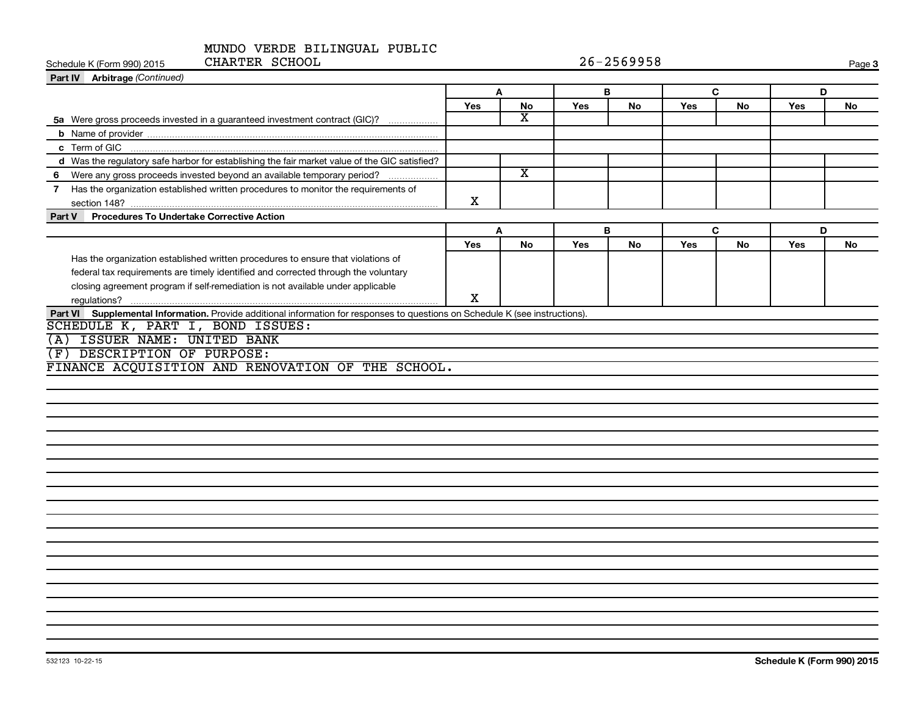| CHARTER SCHOOL<br>Schedule K (Form 990) 2015                                                                                  | $26 - 2569958$ |                         |     |           |     | Page 3 |     |    |
|-------------------------------------------------------------------------------------------------------------------------------|----------------|-------------------------|-----|-----------|-----|--------|-----|----|
| Part IV Arbitrage (Continued)                                                                                                 |                |                         |     |           |     |        |     |    |
|                                                                                                                               |                | $\mathbf{A}$            |     | B         | C   |        |     | D  |
|                                                                                                                               | Yes            | No                      | Yes | No        | Yes | No     | Yes | No |
| 5a Were gross proceeds invested in a guaranteed investment contract (GIC)?                                                    |                | x                       |     |           |     |        |     |    |
|                                                                                                                               |                |                         |     |           |     |        |     |    |
| c Term of GIC                                                                                                                 |                |                         |     |           |     |        |     |    |
| d Was the regulatory safe harbor for establishing the fair market value of the GIC satisfied?                                 |                |                         |     |           |     |        |     |    |
| 6 Were any gross proceeds invested beyond an available temporary period?                                                      |                | $\overline{\mathbf{X}}$ |     |           |     |        |     |    |
| 7 Has the organization established written procedures to monitor the requirements of                                          | X              |                         |     |           |     |        |     |    |
| Part V Procedures To Undertake Corrective Action                                                                              |                |                         |     |           |     |        |     |    |
|                                                                                                                               |                | A                       | B   |           |     | C      |     | D  |
|                                                                                                                               | Yes            | <b>No</b>               | Yes | <b>No</b> | Yes | No     | Yes | No |
| Has the organization established written procedures to ensure that violations of                                              |                |                         |     |           |     |        |     |    |
| federal tax requirements are timely identified and corrected through the voluntary                                            |                |                         |     |           |     |        |     |    |
| closing agreement program if self-remediation is not available under applicable                                               |                |                         |     |           |     |        |     |    |
|                                                                                                                               | X              |                         |     |           |     |        |     |    |
| Part VI Supplemental Information. Provide additional information for responses to questions on Schedule K (see instructions). |                |                         |     |           |     |        |     |    |
| SCHEDULE K, PART I, BOND ISSUES:                                                                                              |                |                         |     |           |     |        |     |    |
| ISSUER NAME: UNITED BANK<br>(A)                                                                                               |                |                         |     |           |     |        |     |    |
| DESCRIPTION OF PURPOSE:<br>(F)                                                                                                |                |                         |     |           |     |        |     |    |
| FINANCE ACQUISITION AND RENOVATION OF THE SCHOOL.                                                                             |                |                         |     |           |     |        |     |    |
|                                                                                                                               |                |                         |     |           |     |        |     |    |
|                                                                                                                               |                |                         |     |           |     |        |     |    |
|                                                                                                                               |                |                         |     |           |     |        |     |    |
|                                                                                                                               |                |                         |     |           |     |        |     |    |
|                                                                                                                               |                |                         |     |           |     |        |     |    |
|                                                                                                                               |                |                         |     |           |     |        |     |    |
|                                                                                                                               |                |                         |     |           |     |        |     |    |
|                                                                                                                               |                |                         |     |           |     |        |     |    |
|                                                                                                                               |                |                         |     |           |     |        |     |    |
|                                                                                                                               |                |                         |     |           |     |        |     |    |
|                                                                                                                               |                |                         |     |           |     |        |     |    |
|                                                                                                                               |                |                         |     |           |     |        |     |    |
|                                                                                                                               |                |                         |     |           |     |        |     |    |
|                                                                                                                               |                |                         |     |           |     |        |     |    |
|                                                                                                                               |                |                         |     |           |     |        |     |    |
|                                                                                                                               |                |                         |     |           |     |        |     |    |
|                                                                                                                               |                |                         |     |           |     |        |     |    |
|                                                                                                                               |                |                         |     |           |     |        |     |    |
|                                                                                                                               |                |                         |     |           |     |        |     |    |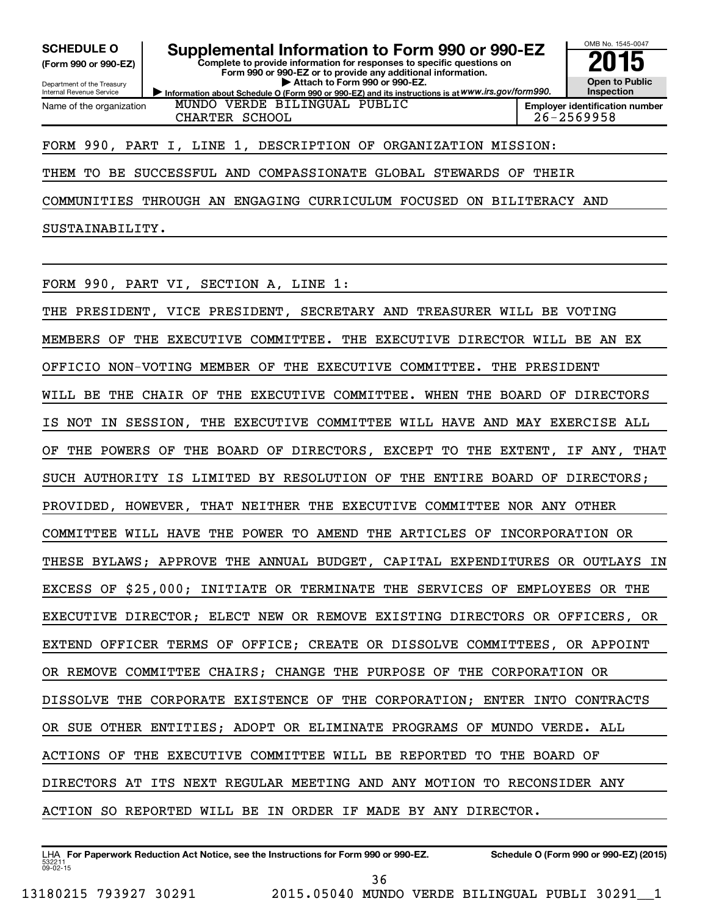**(Form 990 or 990-EZ)**

Department of the Treasury Internal Revenue Service Name of the organization

**SCHEDULE O Supplemental Information to Form 990 or 990-EZ 2015**

**Complete to provide information for responses to specific questions on Form 990 or 990-EZ or to provide any additional information. | Attach to Form 990 or 990-EZ.**

**Information about Schedule O (Form 990 or 990-EZ) and its instructions is at WWW.irs.gov/form990.** MUNDO VERDE BILINGUAL PUBLIC

**Open to Public Inspection Employer identification number**

OMB No. 1545-0047

## CHARTER SCHOOL 26-2569958

FORM 990, PART I, LINE 1, DESCRIPTION OF ORGANIZATION MISSION:

THEM TO BE SUCCESSFUL AND COMPASSIONATE GLOBAL STEWARDS OF THEIR

COMMUNITIES THROUGH AN ENGAGING CURRICULUM FOCUSED ON BILITERACY AND

SUSTAINABILITY.

FORM 990, PART VI, SECTION A, LINE 1:

THE PRESIDENT, VICE PRESIDENT, SECRETARY AND TREASURER WILL BE VOTING MEMBERS OF THE EXECUTIVE COMMITTEE. THE EXECUTIVE DIRECTOR WILL BE AN EX OFFICIO NON-VOTING MEMBER OF THE EXECUTIVE COMMITTEE. THE PRESIDENT WILL BE THE CHAIR OF THE EXECUTIVE COMMITTEE. WHEN THE BOARD OF DIRECTORS IS NOT IN SESSION, THE EXECUTIVE COMMITTEE WILL HAVE AND MAY EXERCISE ALL OF THE POWERS OF THE BOARD OF DIRECTORS, EXCEPT TO THE EXTENT, IF ANY, THAT SUCH AUTHORITY IS LIMITED BY RESOLUTION OF THE ENTIRE BOARD OF DIRECTORS; PROVIDED, HOWEVER, THAT NEITHER THE EXECUTIVE COMMITTEE NOR ANY OTHER COMMITTEE WILL HAVE THE POWER TO AMEND THE ARTICLES OF INCORPORATION OR THESE BYLAWS; APPROVE THE ANNUAL BUDGET, CAPITAL EXPENDITURES OR OUTLAYS IN EXCESS OF \$25,000; INITIATE OR TERMINATE THE SERVICES OF EMPLOYEES OR THE EXECUTIVE DIRECTOR; ELECT NEW OR REMOVE EXISTING DIRECTORS OR OFFICERS, OR EXTEND OFFICER TERMS OF OFFICE; CREATE OR DISSOLVE COMMITTEES, OR APPOINT OR REMOVE COMMITTEE CHAIRS; CHANGE THE PURPOSE OF THE CORPORATION OR DISSOLVE THE CORPORATE EXISTENCE OF THE CORPORATION; ENTER INTO CONTRACTS OR SUE OTHER ENTITIES; ADOPT OR ELIMINATE PROGRAMS OF MUNDO VERDE. ALL ACTIONS OF THE EXECUTIVE COMMITTEE WILL BE REPORTED TO THE BOARD OF DIRECTORS AT ITS NEXT REGULAR MEETING AND ANY MOTION TO RECONSIDER ANY ACTION SO REPORTED WILL BE IN ORDER IF MADE BY ANY DIRECTOR.

36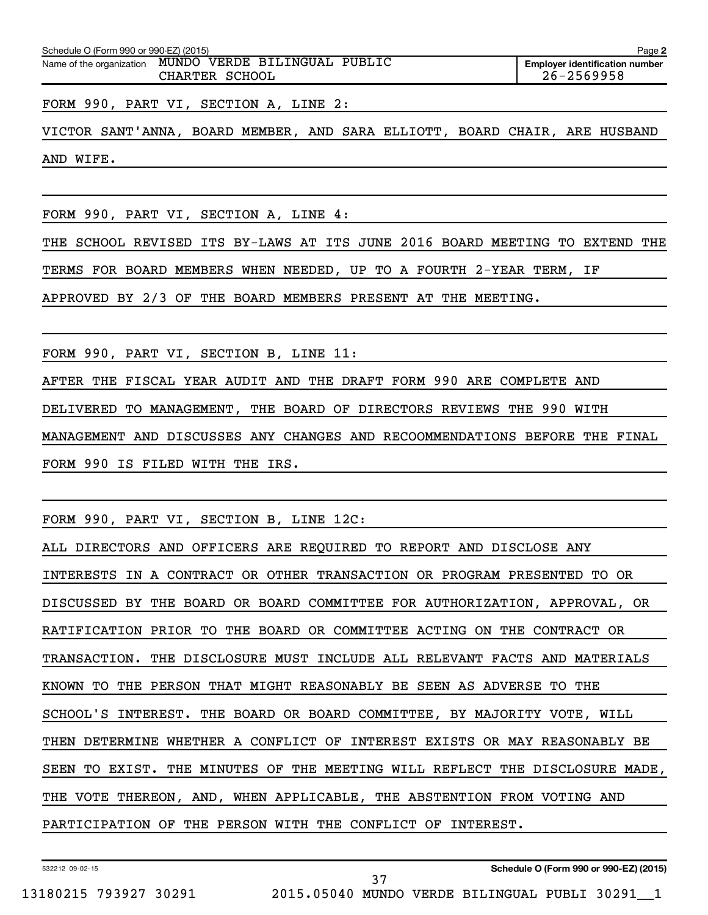| Schedule O (Form 990 or 990-EZ) (2015) |                              | Page 2                                |
|----------------------------------------|------------------------------|---------------------------------------|
| Name of the organization               | MUNDO VERDE BILINGUAL PUBLIC | <b>Emplover identification number</b> |
|                                        | CHARTER SCHOOL               | 26-2569958                            |

FORM 990, PART VI, SECTION A, LINE 2:

VICTOR SANT'ANNA, BOARD MEMBER, AND SARA ELLIOTT, BOARD CHAIR, ARE HUSBAND AND WIFE.

FORM 990, PART VI, SECTION A, LINE 4:

THE SCHOOL REVISED ITS BY-LAWS AT ITS JUNE 2016 BOARD MEETING TO EXTEND THE

TERMS FOR BOARD MEMBERS WHEN NEEDED, UP TO A FOURTH 2-YEAR TERM, IF

APPROVED BY 2/3 OF THE BOARD MEMBERS PRESENT AT THE MEETING.

FORM 990, PART VI, SECTION B, LINE 11:

AFTER THE FISCAL YEAR AUDIT AND THE DRAFT FORM 990 ARE COMPLETE AND

DELIVERED TO MANAGEMENT, THE BOARD OF DIRECTORS REVIEWS THE 990 WITH

MANAGEMENT AND DISCUSSES ANY CHANGES AND RECOOMMENDATIONS BEFORE THE FINAL FORM 990 IS FILED WITH THE IRS.

FORM 990, PART VI, SECTION B, LINE 12C:

ALL DIRECTORS AND OFFICERS ARE REQUIRED TO REPORT AND DISCLOSE ANY INTERESTS IN A CONTRACT OR OTHER TRANSACTION OR PROGRAM PRESENTED TO OR DISCUSSED BY THE BOARD OR BOARD COMMITTEE FOR AUTHORIZATION, APPROVAL, OR RATIFICATION PRIOR TO THE BOARD OR COMMITTEE ACTING ON THE CONTRACT OR TRANSACTION. THE DISCLOSURE MUST INCLUDE ALL RELEVANT FACTS AND MATERIALS KNOWN TO THE PERSON THAT MIGHT REASONABLY BE SEEN AS ADVERSE TO THE SCHOOL'S INTEREST. THE BOARD OR BOARD COMMITTEE, BY MAJORITY VOTE, WILL THEN DETERMINE WHETHER A CONFLICT OF INTEREST EXISTS OR MAY REASONABLY BE SEEN TO EXIST. THE MINUTES OF THE MEETING WILL REFLECT THE DISCLOSURE MADE, THE VOTE THEREON, AND, WHEN APPLICABLE, THE ABSTENTION FROM VOTING AND PARTICIPATION OF THE PERSON WITH THE CONFLICT OF INTEREST.

37

532212 09-02-15

**Schedule O (Form 990 or 990-EZ) (2015)**